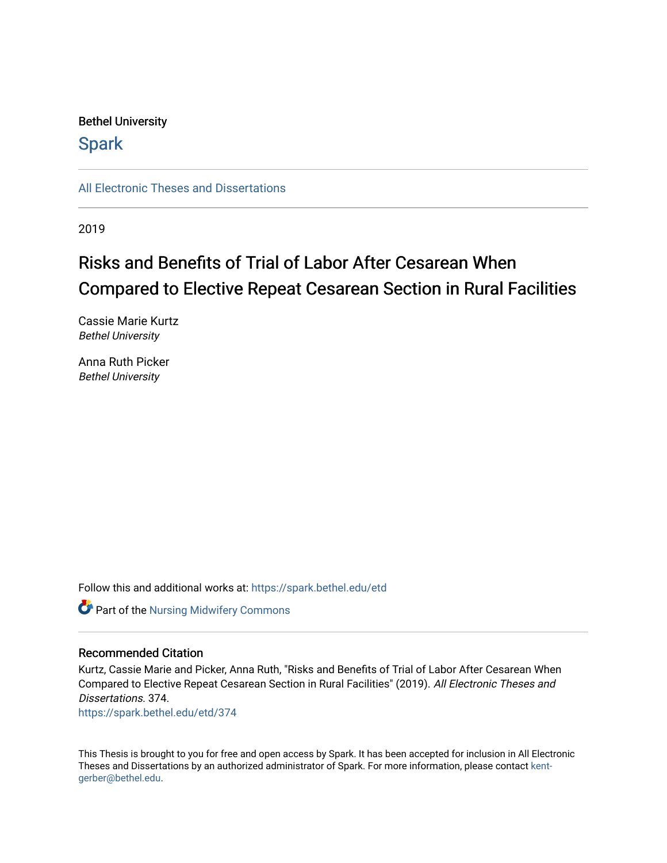# Bethel University

# **Spark**

[All Electronic Theses and Dissertations](https://spark.bethel.edu/etd) 

2019

# Risks and Benefits of Trial of Labor After Cesarean When Compared to Elective Repeat Cesarean Section in Rural Facilities

Cassie Marie Kurtz Bethel University

Anna Ruth Picker Bethel University

Follow this and additional works at: [https://spark.bethel.edu/etd](https://spark.bethel.edu/etd?utm_source=spark.bethel.edu%2Fetd%2F374&utm_medium=PDF&utm_campaign=PDFCoverPages)

Part of the [Nursing Midwifery Commons](http://network.bepress.com/hgg/discipline/722?utm_source=spark.bethel.edu%2Fetd%2F374&utm_medium=PDF&utm_campaign=PDFCoverPages) 

# Recommended Citation

Kurtz, Cassie Marie and Picker, Anna Ruth, "Risks and Benefits of Trial of Labor After Cesarean When Compared to Elective Repeat Cesarean Section in Rural Facilities" (2019). All Electronic Theses and Dissertations. 374.

[https://spark.bethel.edu/etd/374](https://spark.bethel.edu/etd/374?utm_source=spark.bethel.edu%2Fetd%2F374&utm_medium=PDF&utm_campaign=PDFCoverPages)

This Thesis is brought to you for free and open access by Spark. It has been accepted for inclusion in All Electronic Theses and Dissertations by an authorized administrator of Spark. For more information, please contact [kent](mailto:kent-gerber@bethel.edu)[gerber@bethel.edu.](mailto:kent-gerber@bethel.edu)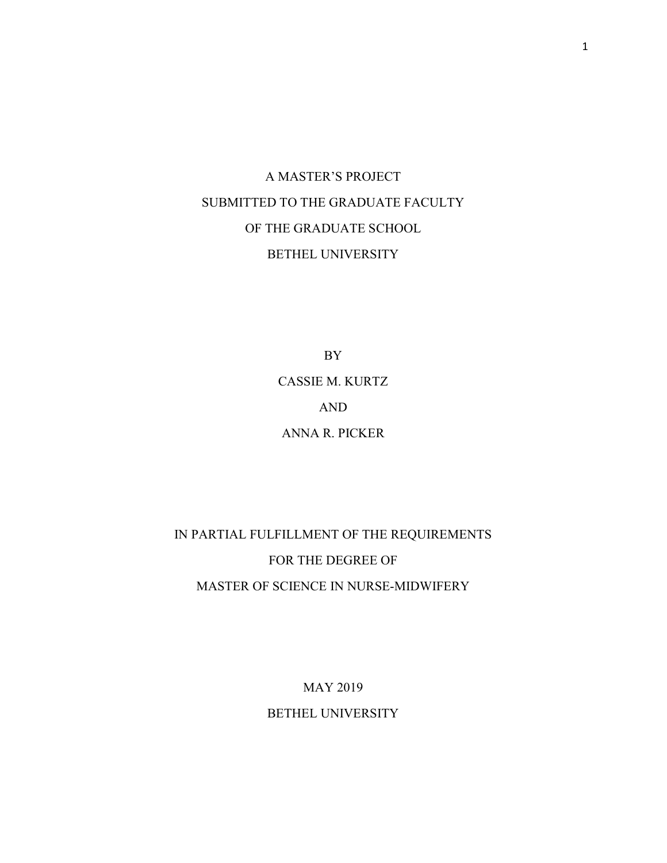# A MASTER'S PROJECT SUBMITTED TO THE GRADUATE FACULTY OF THE GRADUATE SCHOOL BETHEL UNIVERSITY

BY CASSIE M. KURTZ AND ANNA R. PICKER

IN PARTIAL FULFILLMENT OF THE REQUIREMENTS FOR THE DEGREE OF MASTER OF SCIENCE IN NURSE-MIDWIFERY

> MAY 2019 BETHEL UNIVERSITY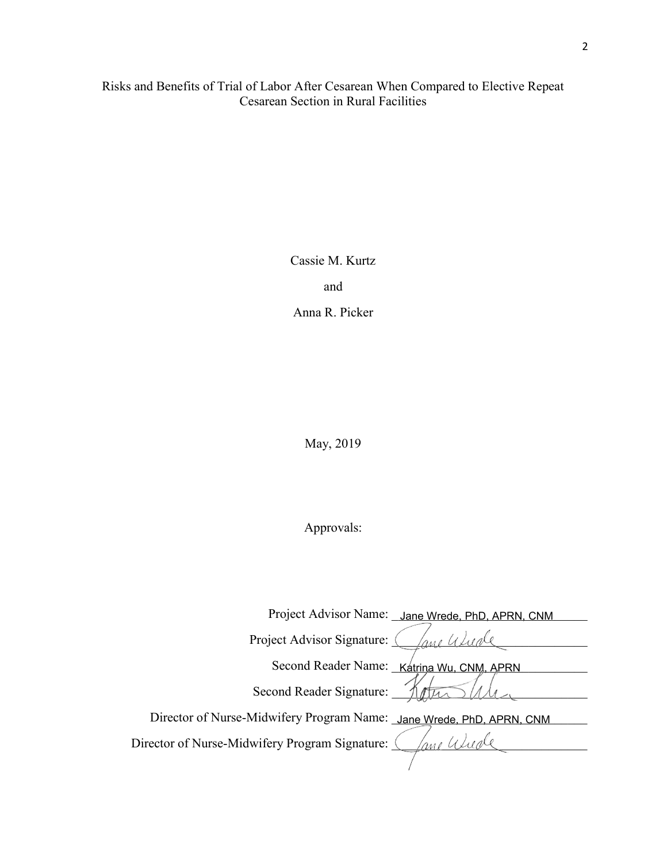Risks and Benefits of Trial of Labor After Cesarean When Compared to Elective Repeat Cesarean Section in Rural Facilities

Cassie M. Kurtz

and

Anna R. Picker

May, 2019

# Approvals:

| Project Advisor Name: Jane Wrede, PhD, APRN, CNM                     |
|----------------------------------------------------------------------|
| Project Advisor Signature:                                           |
| Second Reader Name: Katrina Wu, CNM, APRN                            |
| Second Reader Signature:                                             |
| Director of Nurse-Midwifery Program Name: Jane Wrede, PhD, APRN, CNM |
| Director of Nurse-Midwifery Program Signature:<br>ane Wude           |
|                                                                      |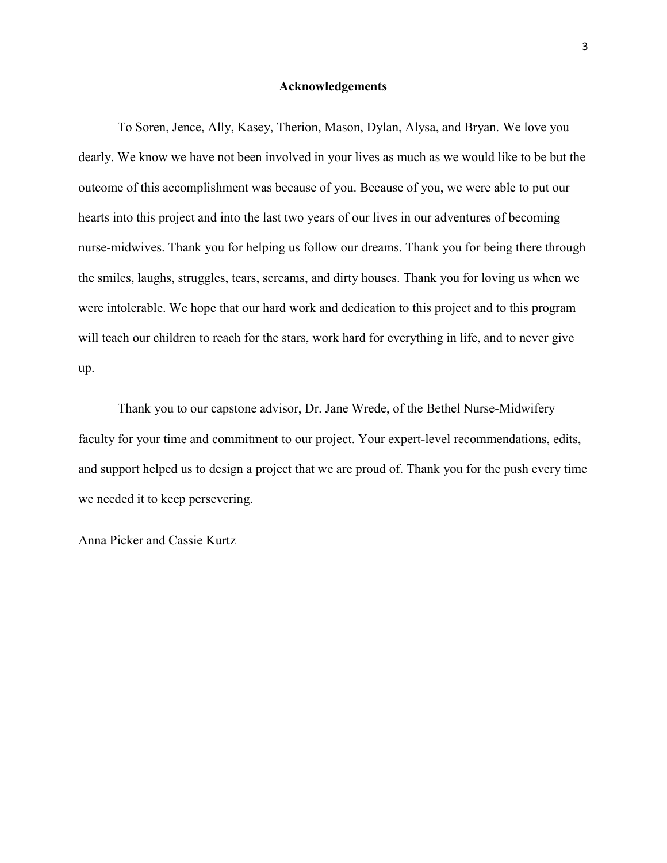# Acknowledgements

To Soren, Jence, Ally, Kasey, Therion, Mason, Dylan, Alysa, and Bryan. We love you dearly. We know we have not been involved in your lives as much as we would like to be but the outcome of this accomplishment was because of you. Because of you, we were able to put our hearts into this project and into the last two years of our lives in our adventures of becoming nurse-midwives. Thank you for helping us follow our dreams. Thank you for being there through the smiles, laughs, struggles, tears, screams, and dirty houses. Thank you for loving us when we were intolerable. We hope that our hard work and dedication to this project and to this program will teach our children to reach for the stars, work hard for everything in life, and to never give up.

Thank you to our capstone advisor, Dr. Jane Wrede, of the Bethel Nurse-Midwifery faculty for your time and commitment to our project. Your expert-level recommendations, edits, and support helped us to design a project that we are proud of. Thank you for the push every time we needed it to keep persevering.

Anna Picker and Cassie Kurtz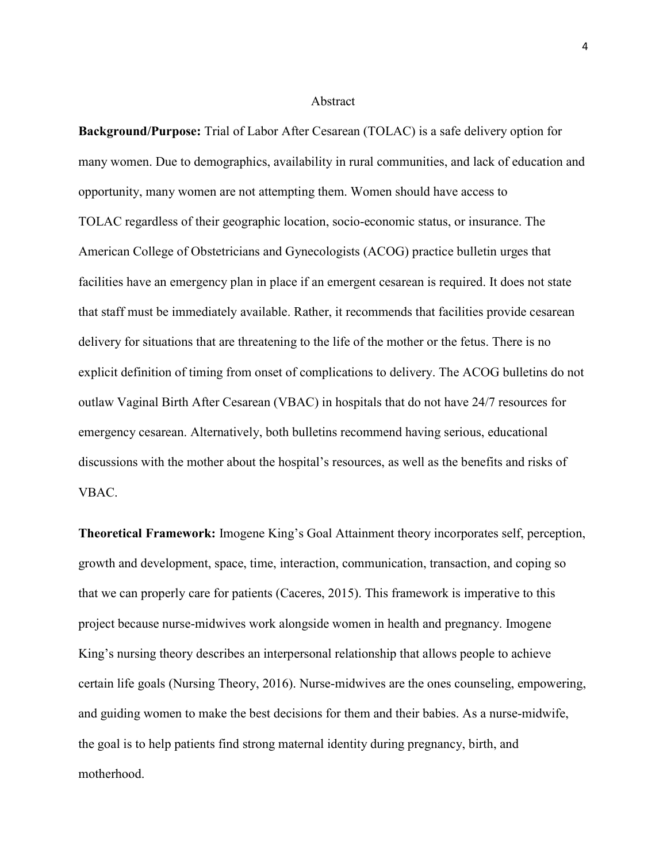#### Abstract

Background/Purpose: Trial of Labor After Cesarean (TOLAC) is a safe delivery option for many women. Due to demographics, availability in rural communities, and lack of education and opportunity, many women are not attempting them. Women should have access to TOLAC regardless of their geographic location, socio-economic status, or insurance. The American College of Obstetricians and Gynecologists (ACOG) practice bulletin urges that facilities have an emergency plan in place if an emergent cesarean is required. It does not state that staff must be immediately available. Rather, it recommends that facilities provide cesarean delivery for situations that are threatening to the life of the mother or the fetus. There is no explicit definition of timing from onset of complications to delivery. The ACOG bulletins do not outlaw Vaginal Birth After Cesarean (VBAC) in hospitals that do not have 24/7 resources for emergency cesarean. Alternatively, both bulletins recommend having serious, educational discussions with the mother about the hospital's resources, as well as the benefits and risks of VBAC.

Theoretical Framework: Imogene King's Goal Attainment theory incorporates self, perception, growth and development, space, time, interaction, communication, transaction, and coping so that we can properly care for patients (Caceres, 2015). This framework is imperative to this project because nurse-midwives work alongside women in health and pregnancy. Imogene King's nursing theory describes an interpersonal relationship that allows people to achieve certain life goals (Nursing Theory, 2016). Nurse-midwives are the ones counseling, empowering, and guiding women to make the best decisions for them and their babies. As a nurse-midwife, the goal is to help patients find strong maternal identity during pregnancy, birth, and motherhood.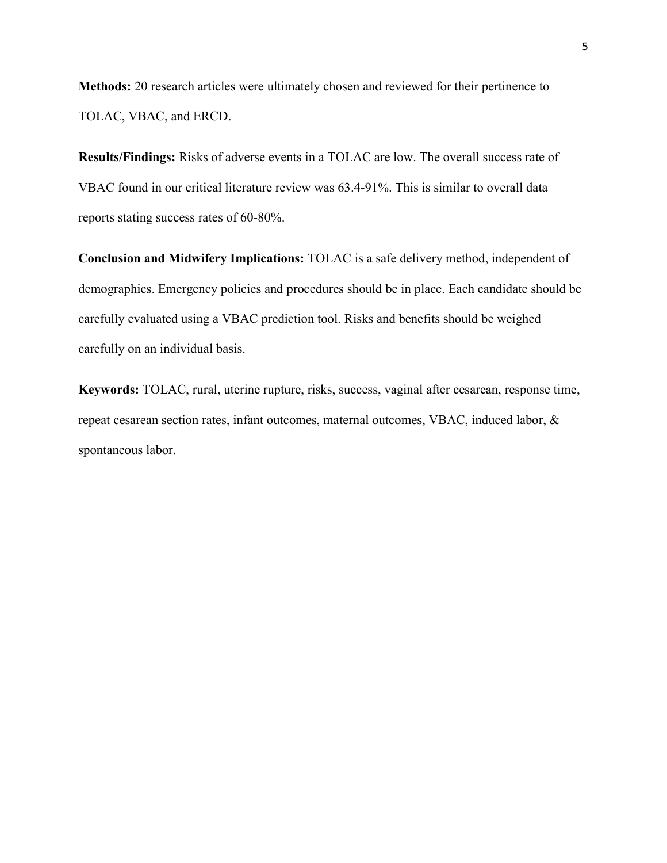Methods: 20 research articles were ultimately chosen and reviewed for their pertinence to TOLAC, VBAC, and ERCD.

Results/Findings: Risks of adverse events in a TOLAC are low. The overall success rate of VBAC found in our critical literature review was 63.4-91%. This is similar to overall data reports stating success rates of 60-80%.

Conclusion and Midwifery Implications: TOLAC is a safe delivery method, independent of demographics. Emergency policies and procedures should be in place. Each candidate should be carefully evaluated using a VBAC prediction tool. Risks and benefits should be weighed carefully on an individual basis.

Keywords: TOLAC, rural, uterine rupture, risks, success, vaginal after cesarean, response time, repeat cesarean section rates, infant outcomes, maternal outcomes, VBAC, induced labor, & spontaneous labor.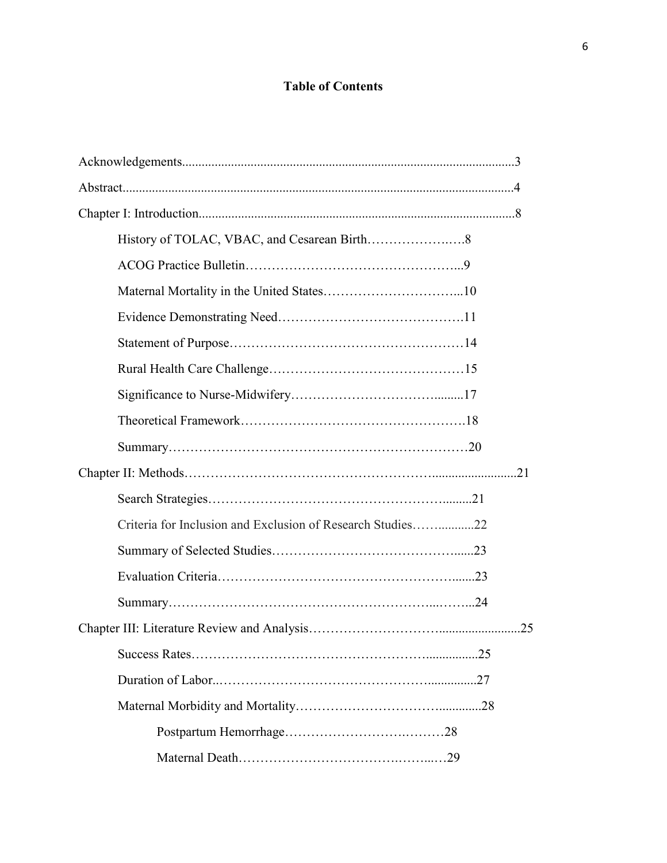# Table of Contents

| Criteria for Inclusion and Exclusion of Research Studies22 |  |
|------------------------------------------------------------|--|
|                                                            |  |
|                                                            |  |
|                                                            |  |
|                                                            |  |
|                                                            |  |
|                                                            |  |
|                                                            |  |
|                                                            |  |
|                                                            |  |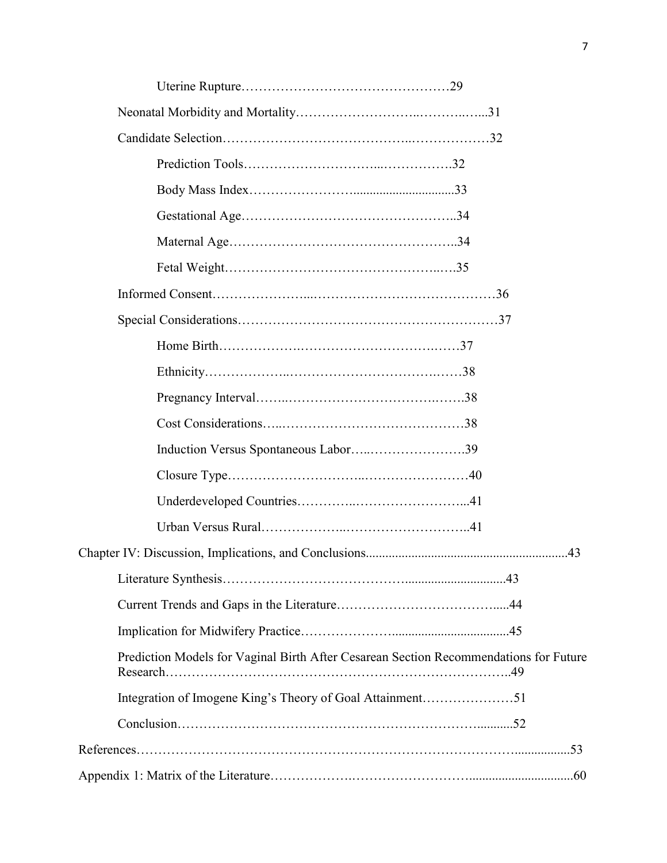| Induction Versus Spontaneous Labor39                                                  |
|---------------------------------------------------------------------------------------|
|                                                                                       |
|                                                                                       |
|                                                                                       |
|                                                                                       |
|                                                                                       |
|                                                                                       |
|                                                                                       |
| Prediction Models for Vaginal Birth After Cesarean Section Recommendations for Future |
| Integration of Imogene King's Theory of Goal Attainment51                             |
|                                                                                       |
|                                                                                       |
|                                                                                       |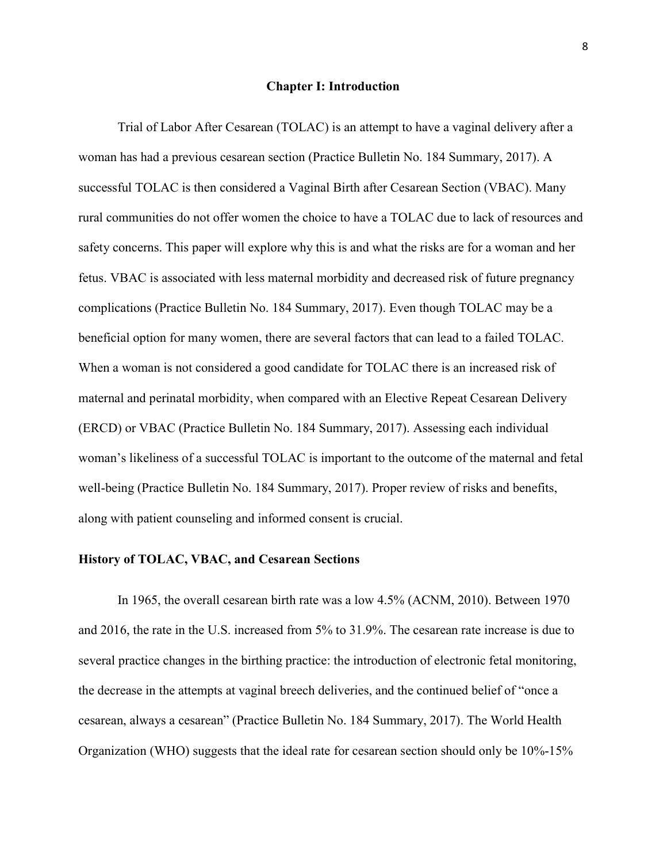#### Chapter I: Introduction

Trial of Labor After Cesarean (TOLAC) is an attempt to have a vaginal delivery after a woman has had a previous cesarean section (Practice Bulletin No. 184 Summary, 2017). A successful TOLAC is then considered a Vaginal Birth after Cesarean Section (VBAC). Many rural communities do not offer women the choice to have a TOLAC due to lack of resources and safety concerns. This paper will explore why this is and what the risks are for a woman and her fetus. VBAC is associated with less maternal morbidity and decreased risk of future pregnancy complications (Practice Bulletin No. 184 Summary, 2017). Even though TOLAC may be a beneficial option for many women, there are several factors that can lead to a failed TOLAC. When a woman is not considered a good candidate for TOLAC there is an increased risk of maternal and perinatal morbidity, when compared with an Elective Repeat Cesarean Delivery (ERCD) or VBAC (Practice Bulletin No. 184 Summary, 2017). Assessing each individual woman's likeliness of a successful TOLAC is important to the outcome of the maternal and fetal well-being (Practice Bulletin No. 184 Summary, 2017). Proper review of risks and benefits, along with patient counseling and informed consent is crucial.

# History of TOLAC, VBAC, and Cesarean Sections

In 1965, the overall cesarean birth rate was a low 4.5% (ACNM, 2010). Between 1970 and 2016, the rate in the U.S. increased from 5% to 31.9%. The cesarean rate increase is due to several practice changes in the birthing practice: the introduction of electronic fetal monitoring, the decrease in the attempts at vaginal breech deliveries, and the continued belief of "once a cesarean, always a cesarean" (Practice Bulletin No. 184 Summary, 2017). The World Health Organization (WHO) suggests that the ideal rate for cesarean section should only be 10%-15%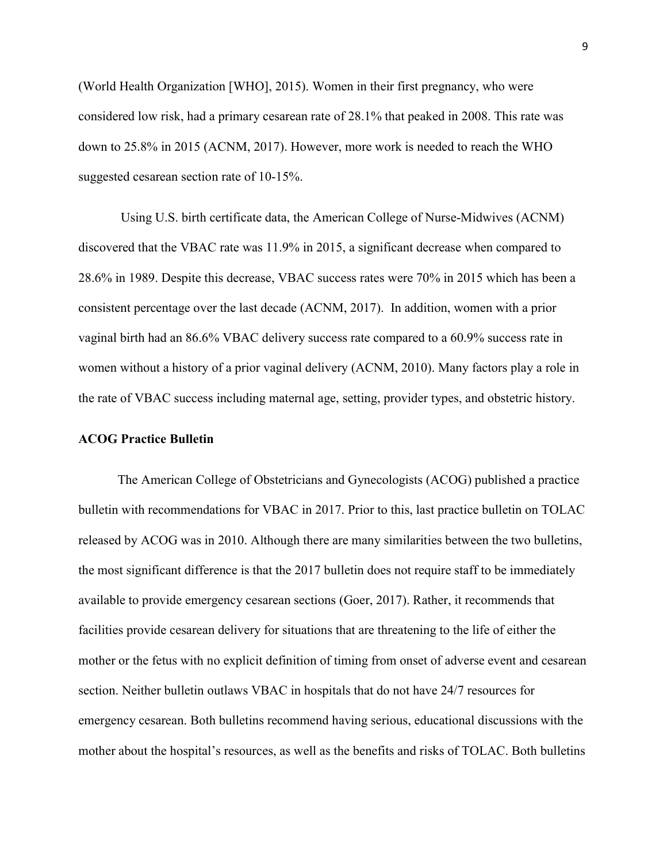(World Health Organization [WHO], 2015). Women in their first pregnancy, who were considered low risk, had a primary cesarean rate of 28.1% that peaked in 2008. This rate was down to 25.8% in 2015 (ACNM, 2017). However, more work is needed to reach the WHO suggested cesarean section rate of 10-15%.

 Using U.S. birth certificate data, the American College of Nurse-Midwives (ACNM) discovered that the VBAC rate was 11.9% in 2015, a significant decrease when compared to 28.6% in 1989. Despite this decrease, VBAC success rates were 70% in 2015 which has been a consistent percentage over the last decade (ACNM, 2017). In addition, women with a prior vaginal birth had an 86.6% VBAC delivery success rate compared to a 60.9% success rate in women without a history of a prior vaginal delivery (ACNM, 2010). Many factors play a role in the rate of VBAC success including maternal age, setting, provider types, and obstetric history.

# ACOG Practice Bulletin

The American College of Obstetricians and Gynecologists (ACOG) published a practice bulletin with recommendations for VBAC in 2017. Prior to this, last practice bulletin on TOLAC released by ACOG was in 2010. Although there are many similarities between the two bulletins, the most significant difference is that the 2017 bulletin does not require staff to be immediately available to provide emergency cesarean sections (Goer, 2017). Rather, it recommends that facilities provide cesarean delivery for situations that are threatening to the life of either the mother or the fetus with no explicit definition of timing from onset of adverse event and cesarean section. Neither bulletin outlaws VBAC in hospitals that do not have 24/7 resources for emergency cesarean. Both bulletins recommend having serious, educational discussions with the mother about the hospital's resources, as well as the benefits and risks of TOLAC. Both bulletins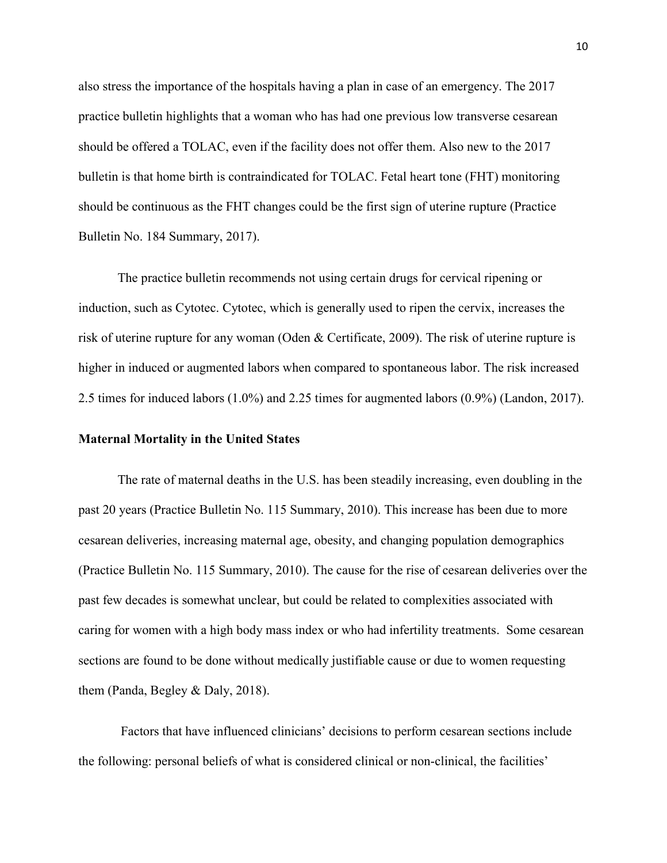also stress the importance of the hospitals having a plan in case of an emergency. The 2017 practice bulletin highlights that a woman who has had one previous low transverse cesarean should be offered a TOLAC, even if the facility does not offer them. Also new to the 2017 bulletin is that home birth is contraindicated for TOLAC. Fetal heart tone (FHT) monitoring should be continuous as the FHT changes could be the first sign of uterine rupture (Practice Bulletin No. 184 Summary, 2017).

The practice bulletin recommends not using certain drugs for cervical ripening or induction, such as Cytotec. Cytotec, which is generally used to ripen the cervix, increases the risk of uterine rupture for any woman (Oden & Certificate, 2009). The risk of uterine rupture is higher in induced or augmented labors when compared to spontaneous labor. The risk increased 2.5 times for induced labors (1.0%) and 2.25 times for augmented labors (0.9%) (Landon, 2017).

#### Maternal Mortality in the United States

The rate of maternal deaths in the U.S. has been steadily increasing, even doubling in the past 20 years (Practice Bulletin No. 115 Summary, 2010). This increase has been due to more cesarean deliveries, increasing maternal age, obesity, and changing population demographics (Practice Bulletin No. 115 Summary, 2010). The cause for the rise of cesarean deliveries over the past few decades is somewhat unclear, but could be related to complexities associated with caring for women with a high body mass index or who had infertility treatments. Some cesarean sections are found to be done without medically justifiable cause or due to women requesting them (Panda, Begley & Daly, 2018).

 Factors that have influenced clinicians' decisions to perform cesarean sections include the following: personal beliefs of what is considered clinical or non-clinical, the facilities'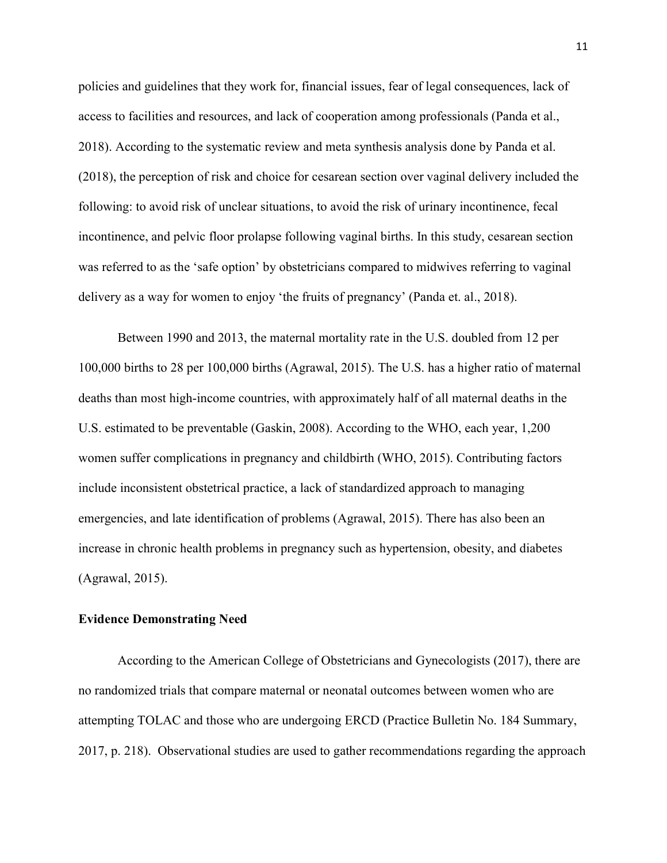policies and guidelines that they work for, financial issues, fear of legal consequences, lack of access to facilities and resources, and lack of cooperation among professionals (Panda et al., 2018). According to the systematic review and meta synthesis analysis done by Panda et al. (2018), the perception of risk and choice for cesarean section over vaginal delivery included the following: to avoid risk of unclear situations, to avoid the risk of urinary incontinence, fecal incontinence, and pelvic floor prolapse following vaginal births. In this study, cesarean section was referred to as the 'safe option' by obstetricians compared to midwives referring to vaginal delivery as a way for women to enjoy 'the fruits of pregnancy' (Panda et. al., 2018).

Between 1990 and 2013, the maternal mortality rate in the U.S. doubled from 12 per 100,000 births to 28 per 100,000 births (Agrawal, 2015). The U.S. has a higher ratio of maternal deaths than most high-income countries, with approximately half of all maternal deaths in the U.S. estimated to be preventable (Gaskin, 2008). According to the WHO, each year, 1,200 women suffer complications in pregnancy and childbirth (WHO, 2015). Contributing factors include inconsistent obstetrical practice, a lack of standardized approach to managing emergencies, and late identification of problems (Agrawal, 2015). There has also been an increase in chronic health problems in pregnancy such as hypertension, obesity, and diabetes (Agrawal, 2015).

# Evidence Demonstrating Need

According to the American College of Obstetricians and Gynecologists (2017), there are no randomized trials that compare maternal or neonatal outcomes between women who are attempting TOLAC and those who are undergoing ERCD (Practice Bulletin No. 184 Summary, 2017, p. 218). Observational studies are used to gather recommendations regarding the approach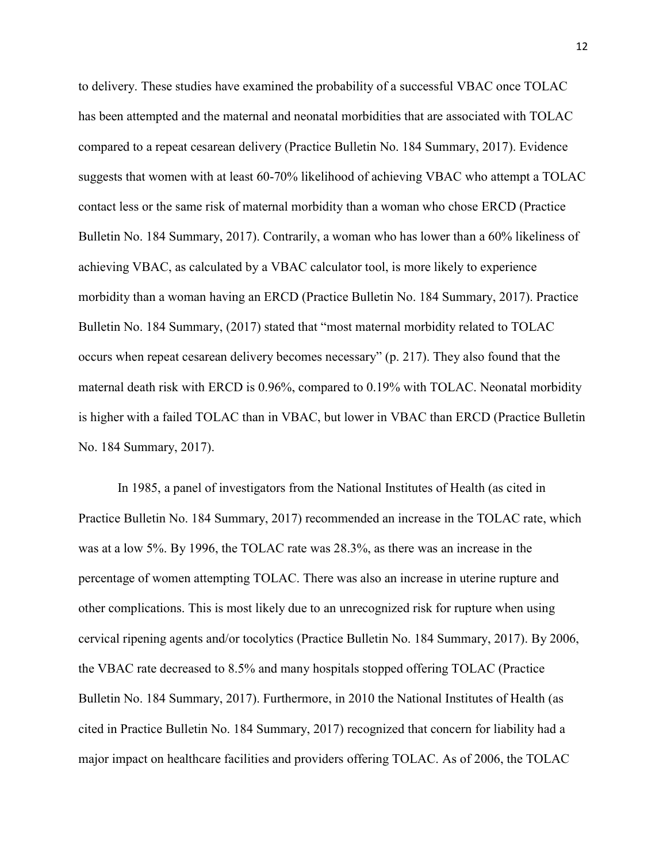to delivery. These studies have examined the probability of a successful VBAC once TOLAC has been attempted and the maternal and neonatal morbidities that are associated with TOLAC compared to a repeat cesarean delivery (Practice Bulletin No. 184 Summary, 2017). Evidence suggests that women with at least 60-70% likelihood of achieving VBAC who attempt a TOLAC contact less or the same risk of maternal morbidity than a woman who chose ERCD (Practice Bulletin No. 184 Summary, 2017). Contrarily, a woman who has lower than a 60% likeliness of achieving VBAC, as calculated by a VBAC calculator tool, is more likely to experience morbidity than a woman having an ERCD (Practice Bulletin No. 184 Summary, 2017). Practice Bulletin No. 184 Summary, (2017) stated that "most maternal morbidity related to TOLAC occurs when repeat cesarean delivery becomes necessary" (p. 217). They also found that the maternal death risk with ERCD is 0.96%, compared to 0.19% with TOLAC. Neonatal morbidity is higher with a failed TOLAC than in VBAC, but lower in VBAC than ERCD (Practice Bulletin No. 184 Summary, 2017).

In 1985, a panel of investigators from the National Institutes of Health (as cited in Practice Bulletin No. 184 Summary, 2017) recommended an increase in the TOLAC rate, which was at a low 5%. By 1996, the TOLAC rate was 28.3%, as there was an increase in the percentage of women attempting TOLAC. There was also an increase in uterine rupture and other complications. This is most likely due to an unrecognized risk for rupture when using cervical ripening agents and/or tocolytics (Practice Bulletin No. 184 Summary, 2017). By 2006, the VBAC rate decreased to 8.5% and many hospitals stopped offering TOLAC (Practice Bulletin No. 184 Summary, 2017). Furthermore, in 2010 the National Institutes of Health (as cited in Practice Bulletin No. 184 Summary, 2017) recognized that concern for liability had a major impact on healthcare facilities and providers offering TOLAC. As of 2006, the TOLAC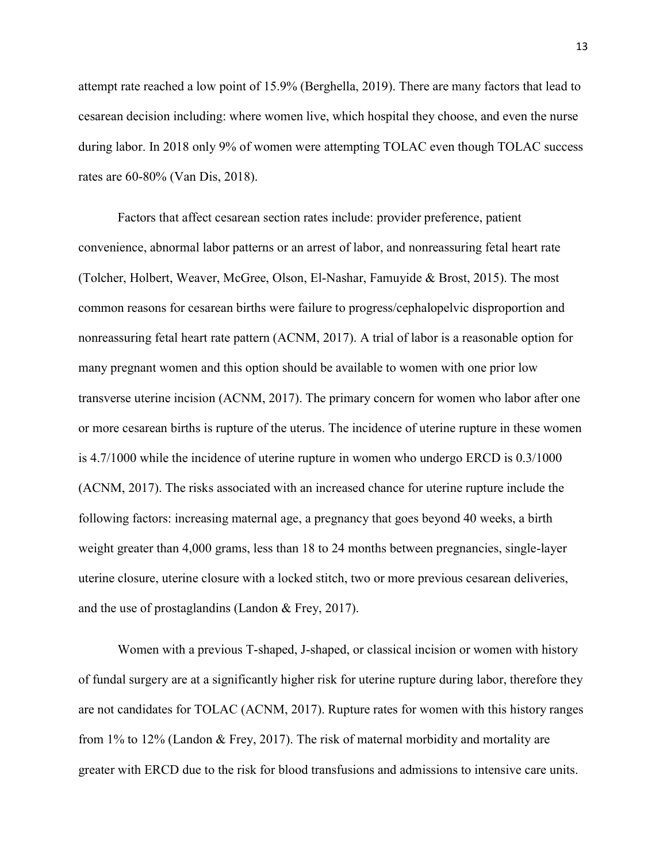attempt rate reached a low point of 15.9% (Berghella, 2019). There are many factors that lead to cesarean decision including: where women live, which hospital they choose, and even the nurse during labor. In 2018 only 9% of women were attempting TOLAC even though TOLAC success rates are 60-80% (Van Dis, 2018).

Factors that affect cesarean section rates include: provider preference, patient convenience, abnormal labor patterns or an arrest of labor, and nonreassuring fetal heart rate (Tolcher, Holbert, Weaver, McGree, Olson, El-Nashar, Famuyide & Brost, 2015). The most common reasons for cesarean births were failure to progress/cephalopelvic disproportion and nonreassuring fetal heart rate pattern (ACNM, 2017). A trial of labor is a reasonable option for many pregnant women and this option should be available to women with one prior low transverse uterine incision (ACNM, 2017). The primary concern for women who labor after one or more cesarean births is rupture of the uterus. The incidence of uterine rupture in these women is 4.7/1000 while the incidence of uterine rupture in women who undergo ERCD is 0.3/1000 (ACNM, 2017). The risks associated with an increased chance for uterine rupture include the following factors: increasing maternal age, a pregnancy that goes beyond 40 weeks, a birth weight greater than 4,000 grams, less than 18 to 24 months between pregnancies, single-layer uterine closure, uterine closure with a locked stitch, two or more previous cesarean deliveries, and the use of prostaglandins (Landon & Frey, 2017).

Women with a previous T-shaped, J-shaped, or classical incision or women with history of fundal surgery are at a significantly higher risk for uterine rupture during labor, therefore they are not candidates for TOLAC (ACNM, 2017). Rupture rates for women with this history ranges from 1% to 12% (Landon & Frey, 2017). The risk of maternal morbidity and mortality are greater with ERCD due to the risk for blood transfusions and admissions to intensive care units.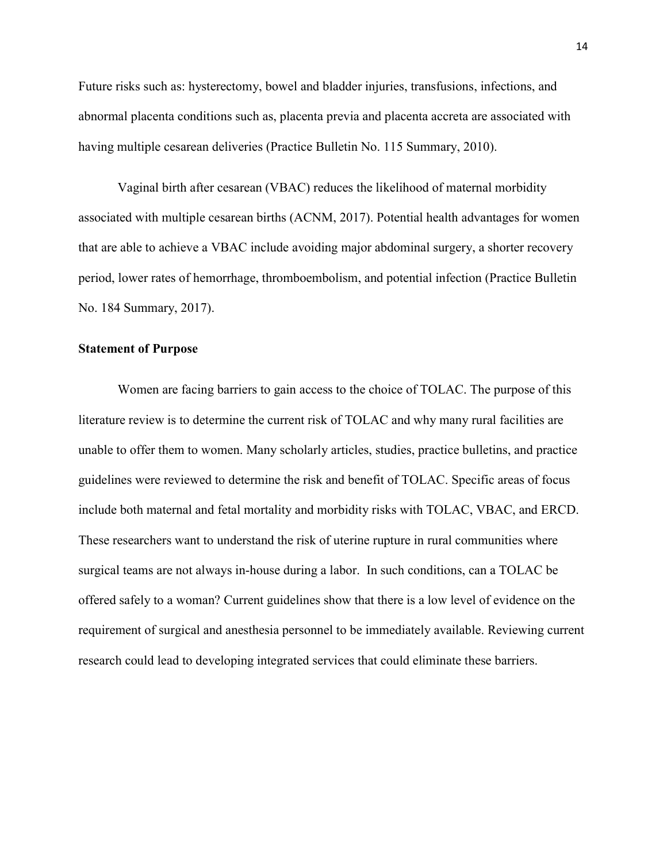Future risks such as: hysterectomy, bowel and bladder injuries, transfusions, infections, and abnormal placenta conditions such as, placenta previa and placenta accreta are associated with having multiple cesarean deliveries (Practice Bulletin No. 115 Summary, 2010).

Vaginal birth after cesarean (VBAC) reduces the likelihood of maternal morbidity associated with multiple cesarean births (ACNM, 2017). Potential health advantages for women that are able to achieve a VBAC include avoiding major abdominal surgery, a shorter recovery period, lower rates of hemorrhage, thromboembolism, and potential infection (Practice Bulletin No. 184 Summary, 2017).

# Statement of Purpose

Women are facing barriers to gain access to the choice of TOLAC. The purpose of this literature review is to determine the current risk of TOLAC and why many rural facilities are unable to offer them to women. Many scholarly articles, studies, practice bulletins, and practice guidelines were reviewed to determine the risk and benefit of TOLAC. Specific areas of focus include both maternal and fetal mortality and morbidity risks with TOLAC, VBAC, and ERCD. These researchers want to understand the risk of uterine rupture in rural communities where surgical teams are not always in-house during a labor. In such conditions, can a TOLAC be offered safely to a woman? Current guidelines show that there is a low level of evidence on the requirement of surgical and anesthesia personnel to be immediately available. Reviewing current research could lead to developing integrated services that could eliminate these barriers.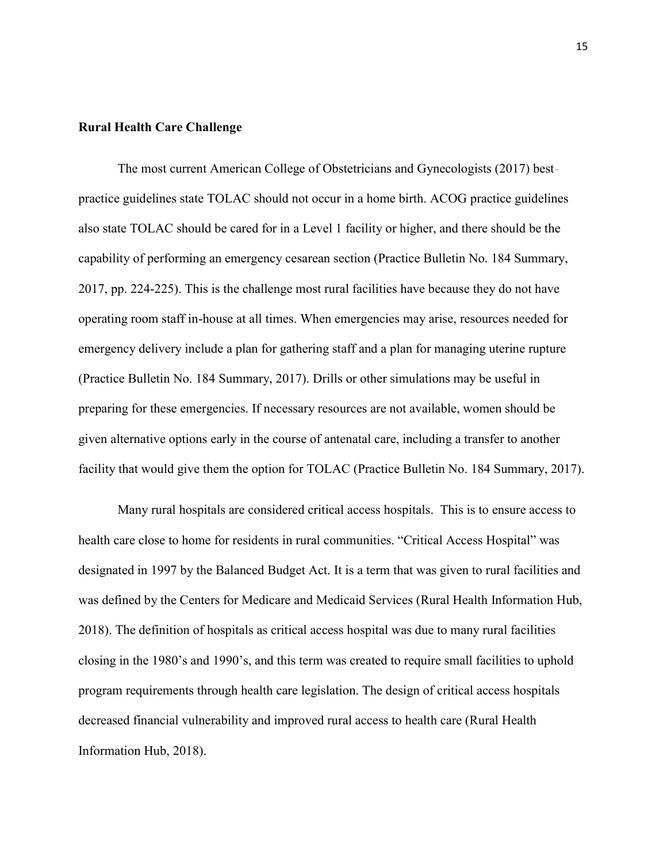# Rural Health Care Challenge

The most current American College of Obstetricians and Gynecologists (2017) bestpractice guidelines state TOLAC should not occur in a home birth. ACOG practice guidelines also state TOLAC should be cared for in a Level 1 facility or higher, and there should be the capability of performing an emergency cesarean section (Practice Bulletin No. 184 Summary, 2017, pp. 224-225). This is the challenge most rural facilities have because they do not have operating room staff in-house at all times. When emergencies may arise, resources needed for emergency delivery include a plan for gathering staff and a plan for managing uterine rupture (Practice Bulletin No. 184 Summary, 2017). Drills or other simulations may be useful in preparing for these emergencies. If necessary resources are not available, women should be given alternative options early in the course of antenatal care, including a transfer to another facility that would give them the option for TOLAC (Practice Bulletin No. 184 Summary, 2017).

Many rural hospitals are considered critical access hospitals. This is to ensure access to health care close to home for residents in rural communities. "Critical Access Hospital" was designated in 1997 by the Balanced Budget Act. It is a term that was given to rural facilities and was defined by the Centers for Medicare and Medicaid Services (Rural Health Information Hub, 2018). The definition of hospitals as critical access hospital was due to many rural facilities closing in the 1980's and 1990's, and this term was created to require small facilities to uphold program requirements through health care legislation. The design of critical access hospitals decreased financial vulnerability and improved rural access to health care (Rural Health Information Hub, 2018).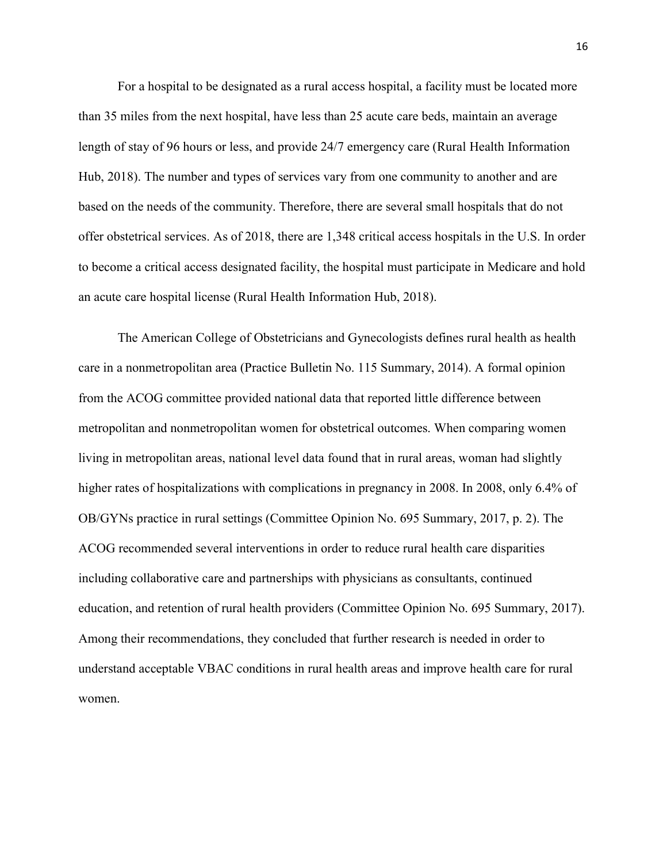For a hospital to be designated as a rural access hospital, a facility must be located more than 35 miles from the next hospital, have less than 25 acute care beds, maintain an average length of stay of 96 hours or less, and provide 24/7 emergency care (Rural Health Information Hub, 2018). The number and types of services vary from one community to another and are based on the needs of the community. Therefore, there are several small hospitals that do not offer obstetrical services. As of 2018, there are 1,348 critical access hospitals in the U.S. In order to become a critical access designated facility, the hospital must participate in Medicare and hold an acute care hospital license (Rural Health Information Hub, 2018).

The American College of Obstetricians and Gynecologists defines rural health as health care in a nonmetropolitan area (Practice Bulletin No. 115 Summary, 2014). A formal opinion from the ACOG committee provided national data that reported little difference between metropolitan and nonmetropolitan women for obstetrical outcomes. When comparing women living in metropolitan areas, national level data found that in rural areas, woman had slightly higher rates of hospitalizations with complications in pregnancy in 2008. In 2008, only 6.4% of OB/GYNs practice in rural settings (Committee Opinion No. 695 Summary, 2017, p. 2). The ACOG recommended several interventions in order to reduce rural health care disparities including collaborative care and partnerships with physicians as consultants, continued education, and retention of rural health providers (Committee Opinion No. 695 Summary, 2017). Among their recommendations, they concluded that further research is needed in order to understand acceptable VBAC conditions in rural health areas and improve health care for rural women.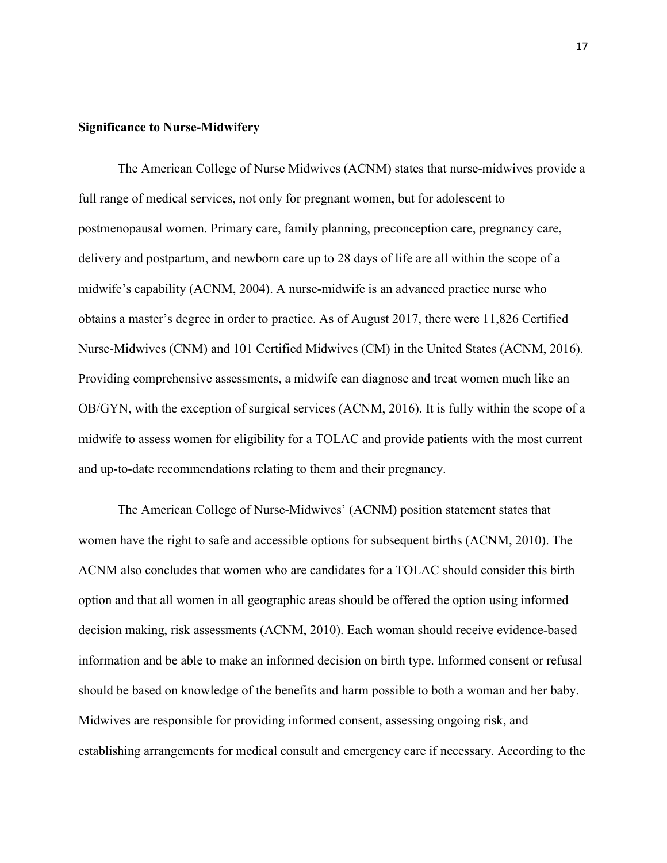# Significance to Nurse-Midwifery

The American College of Nurse Midwives (ACNM) states that nurse-midwives provide a full range of medical services, not only for pregnant women, but for adolescent to postmenopausal women. Primary care, family planning, preconception care, pregnancy care, delivery and postpartum, and newborn care up to 28 days of life are all within the scope of a midwife's capability (ACNM, 2004). A nurse-midwife is an advanced practice nurse who obtains a master's degree in order to practice. As of August 2017, there were 11,826 Certified Nurse-Midwives (CNM) and 101 Certified Midwives (CM) in the United States (ACNM, 2016). Providing comprehensive assessments, a midwife can diagnose and treat women much like an OB/GYN, with the exception of surgical services (ACNM, 2016). It is fully within the scope of a midwife to assess women for eligibility for a TOLAC and provide patients with the most current and up-to-date recommendations relating to them and their pregnancy.

The American College of Nurse-Midwives' (ACNM) position statement states that women have the right to safe and accessible options for subsequent births (ACNM, 2010). The ACNM also concludes that women who are candidates for a TOLAC should consider this birth option and that all women in all geographic areas should be offered the option using informed decision making, risk assessments (ACNM, 2010). Each woman should receive evidence-based information and be able to make an informed decision on birth type. Informed consent or refusal should be based on knowledge of the benefits and harm possible to both a woman and her baby. Midwives are responsible for providing informed consent, assessing ongoing risk, and establishing arrangements for medical consult and emergency care if necessary. According to the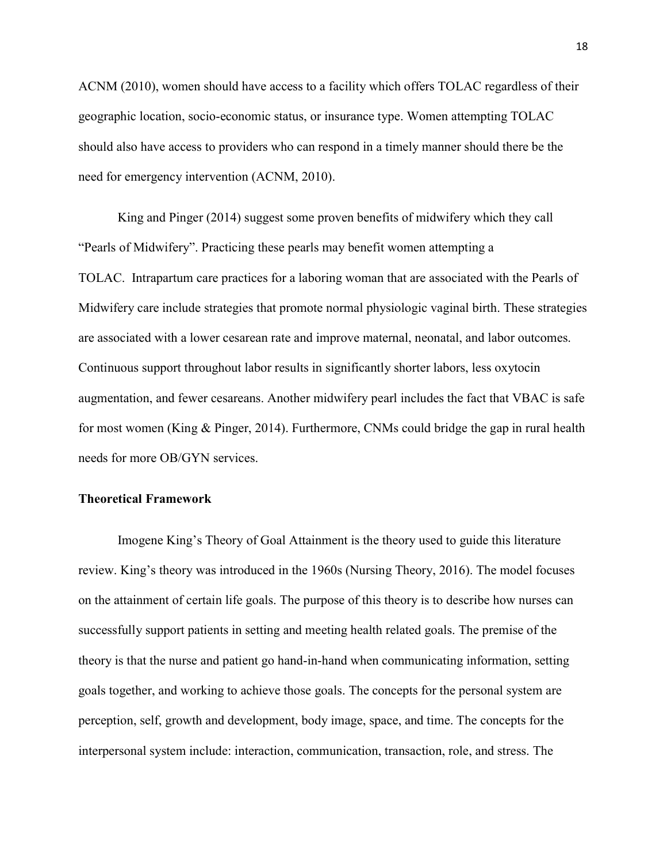ACNM (2010), women should have access to a facility which offers TOLAC regardless of their geographic location, socio-economic status, or insurance type. Women attempting TOLAC should also have access to providers who can respond in a timely manner should there be the need for emergency intervention (ACNM, 2010).

King and Pinger (2014) suggest some proven benefits of midwifery which they call "Pearls of Midwifery". Practicing these pearls may benefit women attempting a TOLAC. Intrapartum care practices for a laboring woman that are associated with the Pearls of Midwifery care include strategies that promote normal physiologic vaginal birth. These strategies are associated with a lower cesarean rate and improve maternal, neonatal, and labor outcomes. Continuous support throughout labor results in significantly shorter labors, less oxytocin augmentation, and fewer cesareans. Another midwifery pearl includes the fact that VBAC is safe for most women (King & Pinger, 2014). Furthermore, CNMs could bridge the gap in rural health needs for more OB/GYN services.

# Theoretical Framework

Imogene King's Theory of Goal Attainment is the theory used to guide this literature review. King's theory was introduced in the 1960s (Nursing Theory, 2016). The model focuses on the attainment of certain life goals. The purpose of this theory is to describe how nurses can successfully support patients in setting and meeting health related goals. The premise of the theory is that the nurse and patient go hand-in-hand when communicating information, setting goals together, and working to achieve those goals. The concepts for the personal system are perception, self, growth and development, body image, space, and time. The concepts for the interpersonal system include: interaction, communication, transaction, role, and stress. The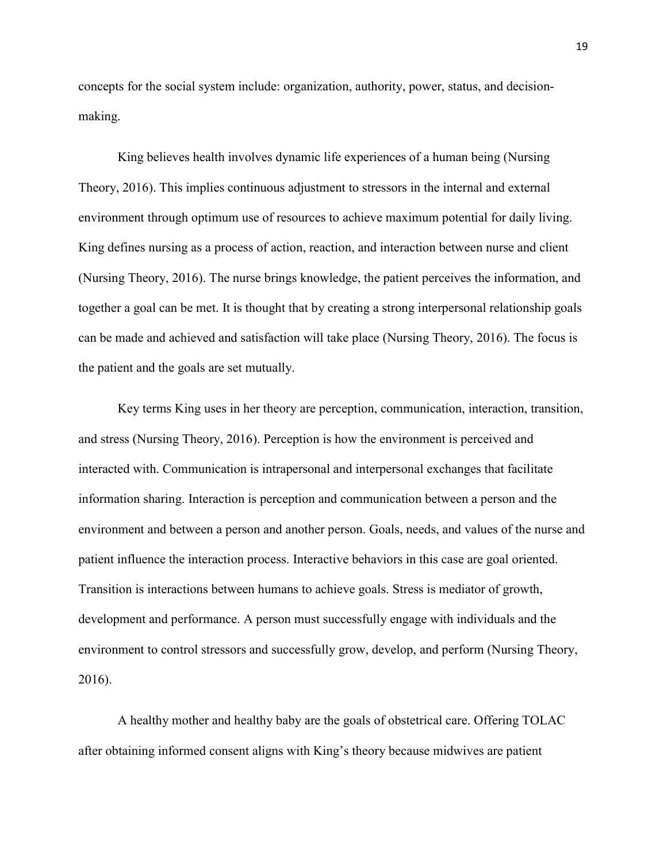concepts for the social system include: organization, authority, power, status, and decisionmaking.

King believes health involves dynamic life experiences of a human being (Nursing Theory, 2016). This implies continuous adjustment to stressors in the internal and external environment through optimum use of resources to achieve maximum potential for daily living. King defines nursing as a process of action, reaction, and interaction between nurse and client (Nursing Theory, 2016). The nurse brings knowledge, the patient perceives the information, and together a goal can be met. It is thought that by creating a strong interpersonal relationship goals can be made and achieved and satisfaction will take place (Nursing Theory, 2016). The focus is the patient and the goals are set mutually.

Key terms King uses in her theory are perception, communication, interaction, transition, and stress (Nursing Theory, 2016). Perception is how the environment is perceived and interacted with. Communication is intrapersonal and interpersonal exchanges that facilitate information sharing. Interaction is perception and communication between a person and the environment and between a person and another person. Goals, needs, and values of the nurse and patient influence the interaction process. Interactive behaviors in this case are goal oriented. Transition is interactions between humans to achieve goals. Stress is mediator of growth, development and performance. A person must successfully engage with individuals and the environment to control stressors and successfully grow, develop, and perform (Nursing Theory, 2016).

A healthy mother and healthy baby are the goals of obstetrical care. Offering TOLAC after obtaining informed consent aligns with King's theory because midwives are patient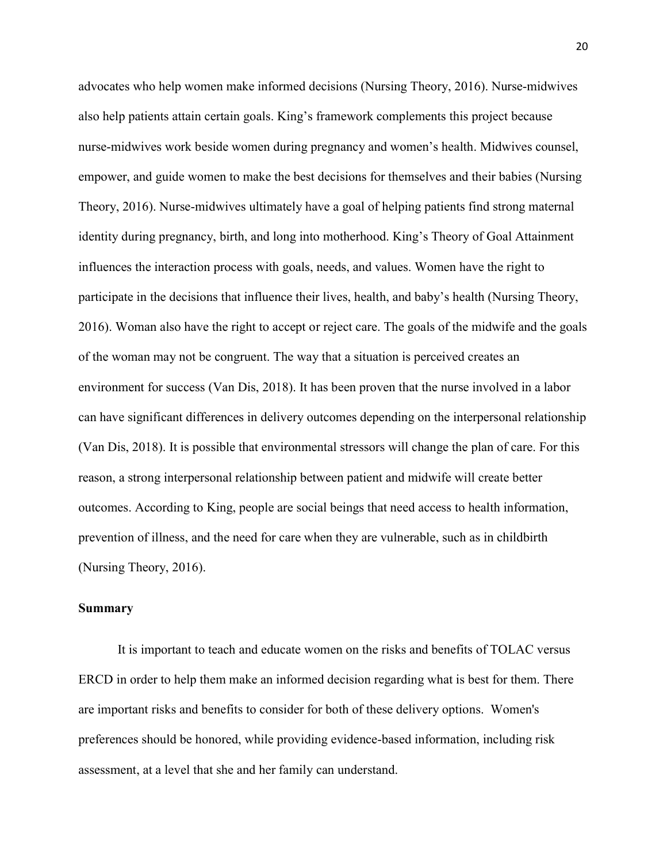advocates who help women make informed decisions (Nursing Theory, 2016). Nurse-midwives also help patients attain certain goals. King's framework complements this project because nurse-midwives work beside women during pregnancy and women's health. Midwives counsel, empower, and guide women to make the best decisions for themselves and their babies (Nursing Theory, 2016). Nurse-midwives ultimately have a goal of helping patients find strong maternal identity during pregnancy, birth, and long into motherhood. King's Theory of Goal Attainment influences the interaction process with goals, needs, and values. Women have the right to participate in the decisions that influence their lives, health, and baby's health (Nursing Theory, 2016). Woman also have the right to accept or reject care. The goals of the midwife and the goals of the woman may not be congruent. The way that a situation is perceived creates an environment for success (Van Dis, 2018). It has been proven that the nurse involved in a labor can have significant differences in delivery outcomes depending on the interpersonal relationship (Van Dis, 2018). It is possible that environmental stressors will change the plan of care. For this reason, a strong interpersonal relationship between patient and midwife will create better outcomes. According to King, people are social beings that need access to health information, prevention of illness, and the need for care when they are vulnerable, such as in childbirth (Nursing Theory, 2016).

#### Summary

It is important to teach and educate women on the risks and benefits of TOLAC versus ERCD in order to help them make an informed decision regarding what is best for them. There are important risks and benefits to consider for both of these delivery options. Women's preferences should be honored, while providing evidence-based information, including risk assessment, at a level that she and her family can understand.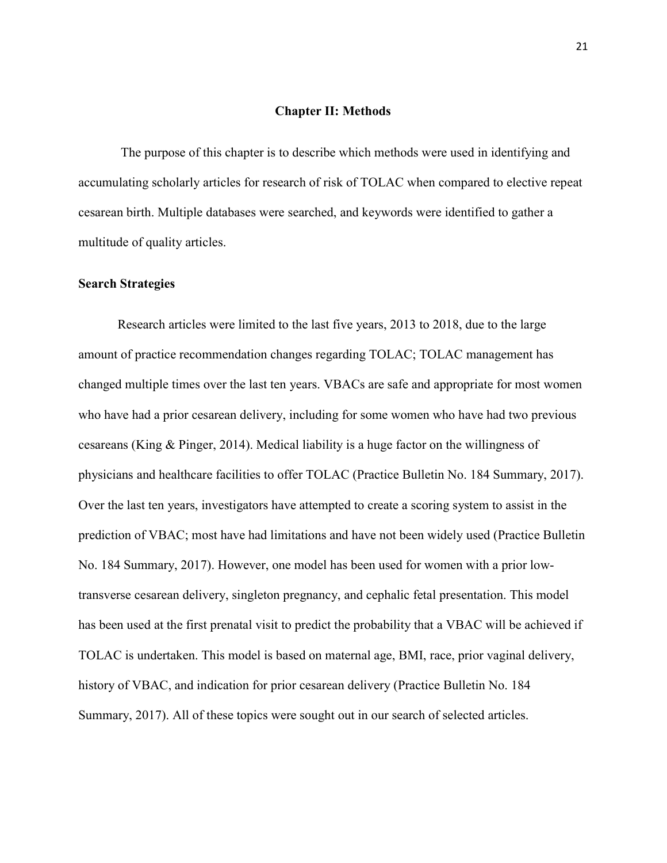# Chapter II: Methods

The purpose of this chapter is to describe which methods were used in identifying and accumulating scholarly articles for research of risk of TOLAC when compared to elective repeat cesarean birth. Multiple databases were searched, and keywords were identified to gather a multitude of quality articles.

# Search Strategies

Research articles were limited to the last five years, 2013 to 2018, due to the large amount of practice recommendation changes regarding TOLAC; TOLAC management has changed multiple times over the last ten years. VBACs are safe and appropriate for most women who have had a prior cesarean delivery, including for some women who have had two previous cesareans (King & Pinger, 2014). Medical liability is a huge factor on the willingness of physicians and healthcare facilities to offer TOLAC (Practice Bulletin No. 184 Summary, 2017). Over the last ten years, investigators have attempted to create a scoring system to assist in the prediction of VBAC; most have had limitations and have not been widely used (Practice Bulletin No. 184 Summary, 2017). However, one model has been used for women with a prior lowtransverse cesarean delivery, singleton pregnancy, and cephalic fetal presentation. This model has been used at the first prenatal visit to predict the probability that a VBAC will be achieved if TOLAC is undertaken. This model is based on maternal age, BMI, race, prior vaginal delivery, history of VBAC, and indication for prior cesarean delivery (Practice Bulletin No. 184 Summary, 2017). All of these topics were sought out in our search of selected articles.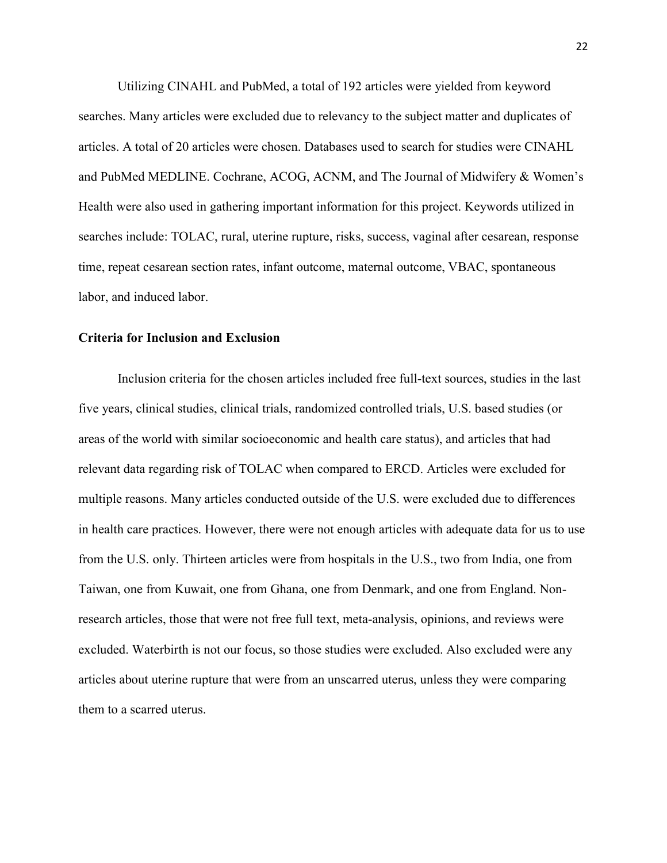Utilizing CINAHL and PubMed, a total of 192 articles were yielded from keyword searches. Many articles were excluded due to relevancy to the subject matter and duplicates of articles. A total of 20 articles were chosen. Databases used to search for studies were CINAHL and PubMed MEDLINE. Cochrane, ACOG, ACNM, and The Journal of Midwifery & Women's Health were also used in gathering important information for this project. Keywords utilized in searches include: TOLAC, rural, uterine rupture, risks, success, vaginal after cesarean, response time, repeat cesarean section rates, infant outcome, maternal outcome, VBAC, spontaneous labor, and induced labor.

### Criteria for Inclusion and Exclusion

Inclusion criteria for the chosen articles included free full-text sources, studies in the last five years, clinical studies, clinical trials, randomized controlled trials, U.S. based studies (or areas of the world with similar socioeconomic and health care status), and articles that had relevant data regarding risk of TOLAC when compared to ERCD. Articles were excluded for multiple reasons. Many articles conducted outside of the U.S. were excluded due to differences in health care practices. However, there were not enough articles with adequate data for us to use from the U.S. only. Thirteen articles were from hospitals in the U.S., two from India, one from Taiwan, one from Kuwait, one from Ghana, one from Denmark, and one from England. Nonresearch articles, those that were not free full text, meta-analysis, opinions, and reviews were excluded. Waterbirth is not our focus, so those studies were excluded. Also excluded were any articles about uterine rupture that were from an unscarred uterus, unless they were comparing them to a scarred uterus.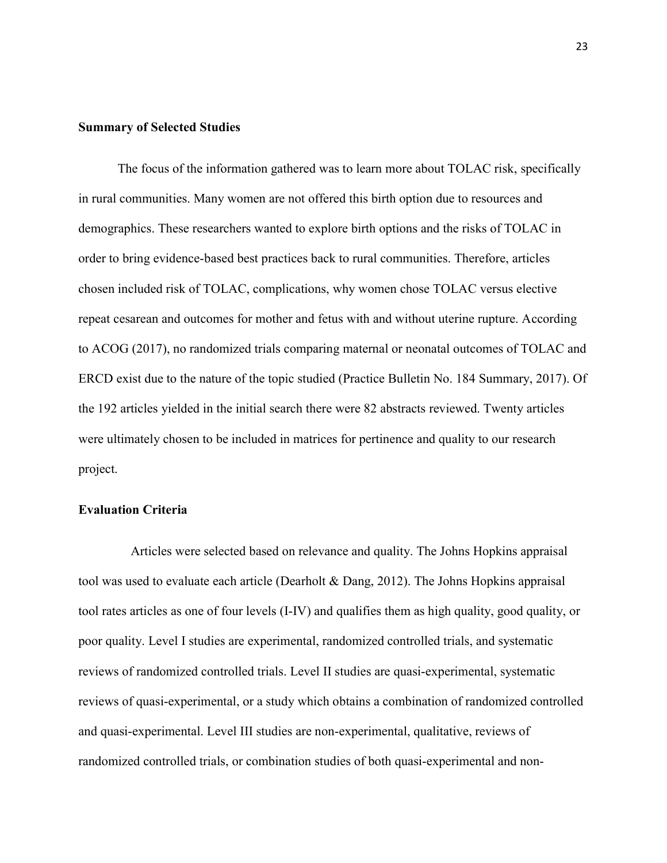# Summary of Selected Studies

The focus of the information gathered was to learn more about TOLAC risk, specifically in rural communities. Many women are not offered this birth option due to resources and demographics. These researchers wanted to explore birth options and the risks of TOLAC in order to bring evidence-based best practices back to rural communities. Therefore, articles chosen included risk of TOLAC, complications, why women chose TOLAC versus elective repeat cesarean and outcomes for mother and fetus with and without uterine rupture. According to ACOG (2017), no randomized trials comparing maternal or neonatal outcomes of TOLAC and ERCD exist due to the nature of the topic studied (Practice Bulletin No. 184 Summary, 2017). Of the 192 articles yielded in the initial search there were 82 abstracts reviewed. Twenty articles were ultimately chosen to be included in matrices for pertinence and quality to our research project.

# Evaluation Criteria

 Articles were selected based on relevance and quality. The Johns Hopkins appraisal tool was used to evaluate each article (Dearholt & Dang, 2012). The Johns Hopkins appraisal tool rates articles as one of four levels (I-IV) and qualifies them as high quality, good quality, or poor quality. Level I studies are experimental, randomized controlled trials, and systematic reviews of randomized controlled trials. Level II studies are quasi-experimental, systematic reviews of quasi-experimental, or a study which obtains a combination of randomized controlled and quasi-experimental. Level III studies are non-experimental, qualitative, reviews of randomized controlled trials, or combination studies of both quasi-experimental and non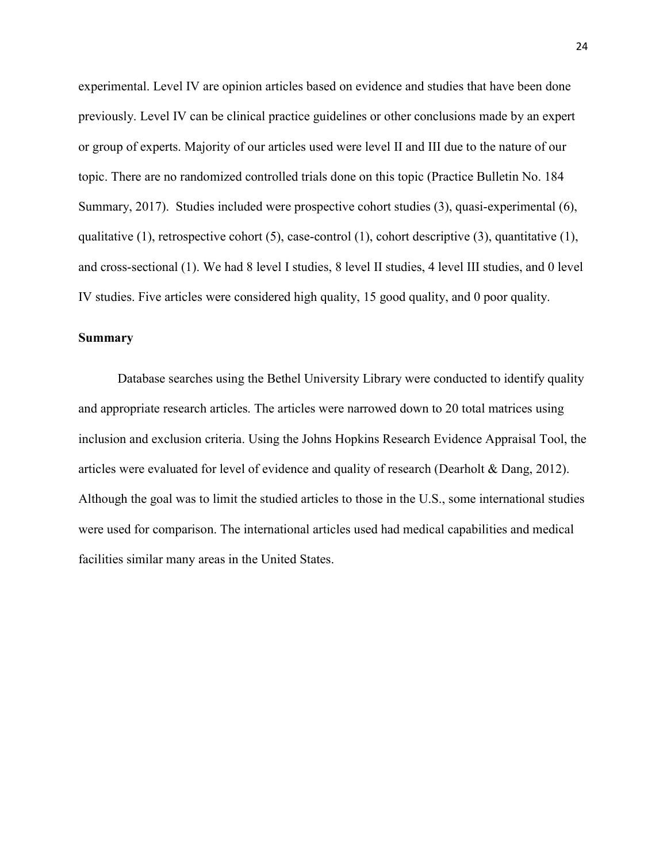experimental. Level IV are opinion articles based on evidence and studies that have been done previously. Level IV can be clinical practice guidelines or other conclusions made by an expert or group of experts. Majority of our articles used were level II and III due to the nature of our topic. There are no randomized controlled trials done on this topic (Practice Bulletin No. 184 Summary, 2017). Studies included were prospective cohort studies (3), quasi-experimental (6), qualitative (1), retrospective cohort (5), case-control (1), cohort descriptive (3), quantitative (1), and cross-sectional (1). We had 8 level I studies, 8 level II studies, 4 level III studies, and 0 level IV studies. Five articles were considered high quality, 15 good quality, and 0 poor quality.

# Summary

Database searches using the Bethel University Library were conducted to identify quality and appropriate research articles. The articles were narrowed down to 20 total matrices using inclusion and exclusion criteria. Using the Johns Hopkins Research Evidence Appraisal Tool, the articles were evaluated for level of evidence and quality of research (Dearholt & Dang, 2012). Although the goal was to limit the studied articles to those in the U.S., some international studies were used for comparison. The international articles used had medical capabilities and medical facilities similar many areas in the United States.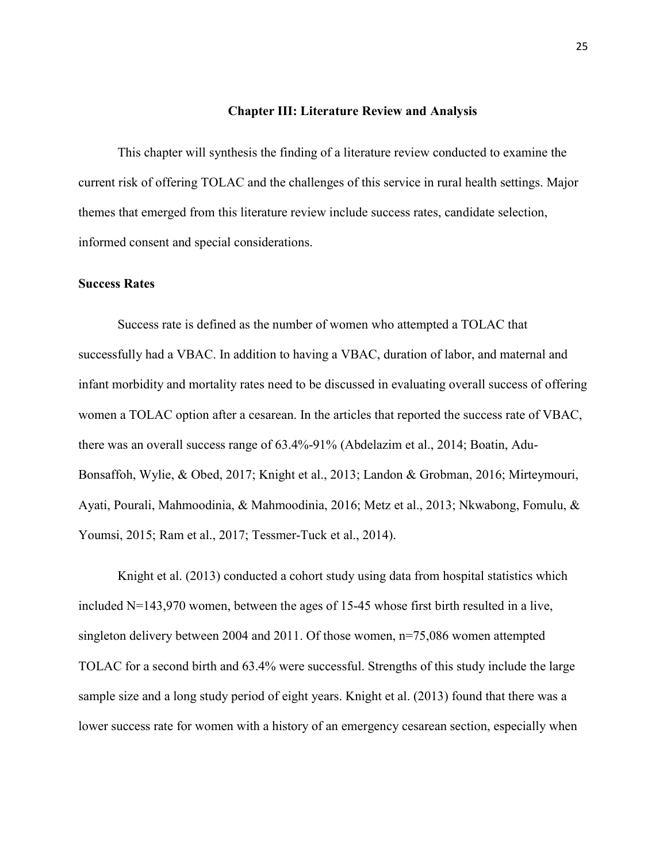### Chapter III: Literature Review and Analysis

This chapter will synthesis the finding of a literature review conducted to examine the current risk of offering TOLAC and the challenges of this service in rural health settings. Major themes that emerged from this literature review include success rates, candidate selection, informed consent and special considerations.

# Success Rates

Success rate is defined as the number of women who attempted a TOLAC that successfully had a VBAC. In addition to having a VBAC, duration of labor, and maternal and infant morbidity and mortality rates need to be discussed in evaluating overall success of offering women a TOLAC option after a cesarean. In the articles that reported the success rate of VBAC, there was an overall success range of 63.4%-91% (Abdelazim et al., 2014; Boatin, Adu-Bonsaffoh, Wylie, & Obed, 2017; Knight et al., 2013; Landon & Grobman, 2016; Mirteymouri, Ayati, Pourali, Mahmoodinia, & Mahmoodinia, 2016; Metz et al., 2013; Nkwabong, Fomulu, & Youmsi, 2015; Ram et al., 2017; Tessmer-Tuck et al., 2014).

Knight et al. (2013) conducted a cohort study using data from hospital statistics which included N=143,970 women, between the ages of 15-45 whose first birth resulted in a live, singleton delivery between 2004 and 2011. Of those women, n=75,086 women attempted TOLAC for a second birth and 63.4% were successful. Strengths of this study include the large sample size and a long study period of eight years. Knight et al. (2013) found that there was a lower success rate for women with a history of an emergency cesarean section, especially when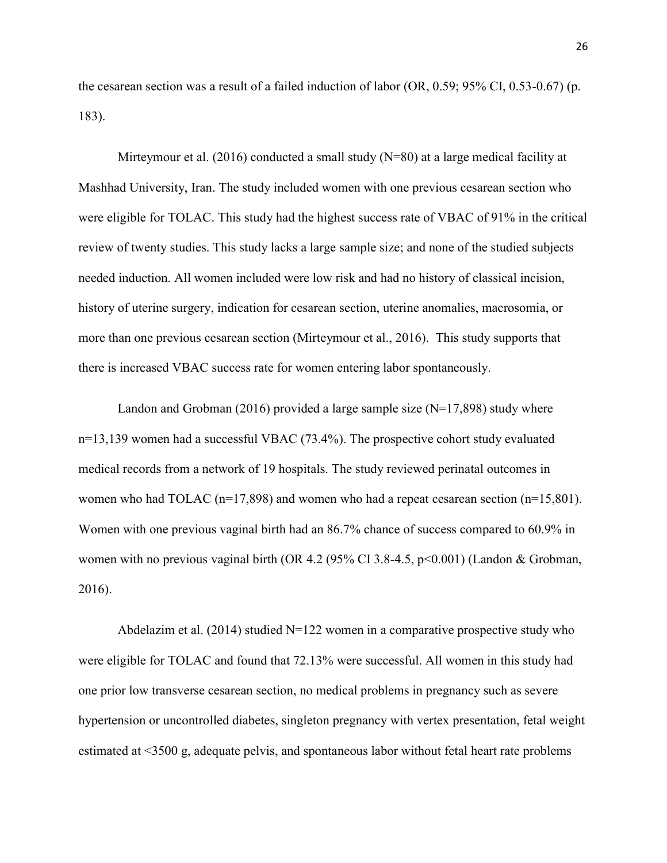the cesarean section was a result of a failed induction of labor (OR, 0.59; 95% CI, 0.53-0.67) (p. 183).

Mirteymour et al. (2016) conducted a small study  $(N=80)$  at a large medical facility at Mashhad University, Iran. The study included women with one previous cesarean section who were eligible for TOLAC. This study had the highest success rate of VBAC of 91% in the critical review of twenty studies. This study lacks a large sample size; and none of the studied subjects needed induction. All women included were low risk and had no history of classical incision, history of uterine surgery, indication for cesarean section, uterine anomalies, macrosomia, or more than one previous cesarean section (Mirteymour et al., 2016). This study supports that there is increased VBAC success rate for women entering labor spontaneously.

Landon and Grobman (2016) provided a large sample size  $(N=17,898)$  study where n=13,139 women had a successful VBAC (73.4%). The prospective cohort study evaluated medical records from a network of 19 hospitals. The study reviewed perinatal outcomes in women who had TOLAC ( $n=17,898$ ) and women who had a repeat cesarean section ( $n=15,801$ ). Women with one previous vaginal birth had an 86.7% chance of success compared to 60.9% in women with no previous vaginal birth (OR 4.2 (95% CI 3.8-4.5,  $p<0.001$ ) (Landon & Grobman, 2016).

Abdelazim et al. (2014) studied  $N=122$  women in a comparative prospective study who were eligible for TOLAC and found that 72.13% were successful. All women in this study had one prior low transverse cesarean section, no medical problems in pregnancy such as severe hypertension or uncontrolled diabetes, singleton pregnancy with vertex presentation, fetal weight estimated at <3500 g, adequate pelvis, and spontaneous labor without fetal heart rate problems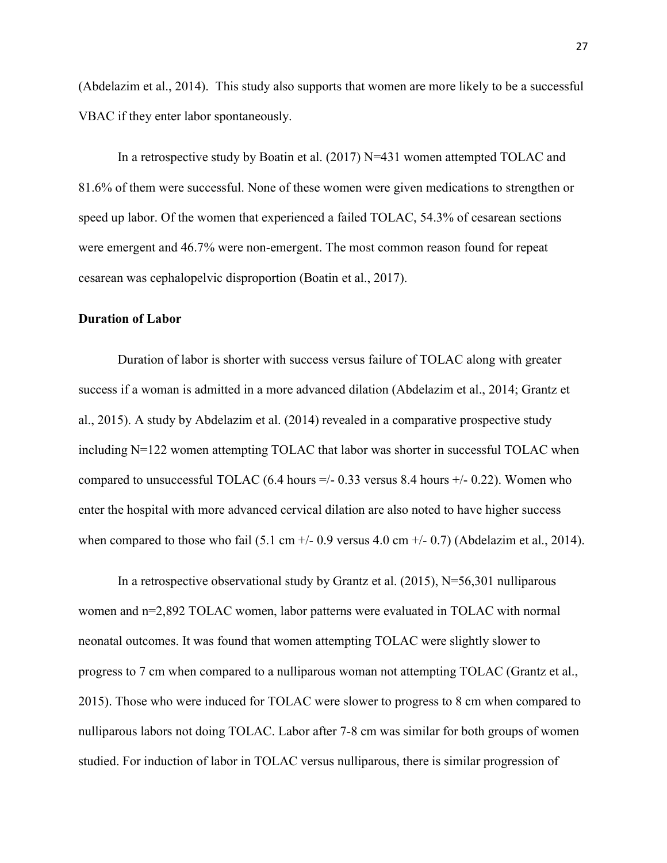(Abdelazim et al., 2014). This study also supports that women are more likely to be a successful VBAC if they enter labor spontaneously.

In a retrospective study by Boatin et al.  $(2017)$  N=431 women attempted TOLAC and 81.6% of them were successful. None of these women were given medications to strengthen or speed up labor. Of the women that experienced a failed TOLAC, 54.3% of cesarean sections were emergent and 46.7% were non-emergent. The most common reason found for repeat cesarean was cephalopelvic disproportion (Boatin et al., 2017).

### Duration of Labor

Duration of labor is shorter with success versus failure of TOLAC along with greater success if a woman is admitted in a more advanced dilation (Abdelazim et al., 2014; Grantz et al., 2015). A study by Abdelazim et al. (2014) revealed in a comparative prospective study including N=122 women attempting TOLAC that labor was shorter in successful TOLAC when compared to unsuccessful TOLAC (6.4 hours  $=/- 0.33$  versus 8.4 hours  $+/- 0.22$ ). Women who enter the hospital with more advanced cervical dilation are also noted to have higher success when compared to those who fail (5.1 cm  $+/-$  0.9 versus 4.0 cm  $+/-$  0.7) (Abdelazim et al., 2014).

In a retrospective observational study by Grantz et al. (2015), N=56,301 nulliparous women and n=2,892 TOLAC women, labor patterns were evaluated in TOLAC with normal neonatal outcomes. It was found that women attempting TOLAC were slightly slower to progress to 7 cm when compared to a nulliparous woman not attempting TOLAC (Grantz et al., 2015). Those who were induced for TOLAC were slower to progress to 8 cm when compared to nulliparous labors not doing TOLAC. Labor after 7-8 cm was similar for both groups of women studied. For induction of labor in TOLAC versus nulliparous, there is similar progression of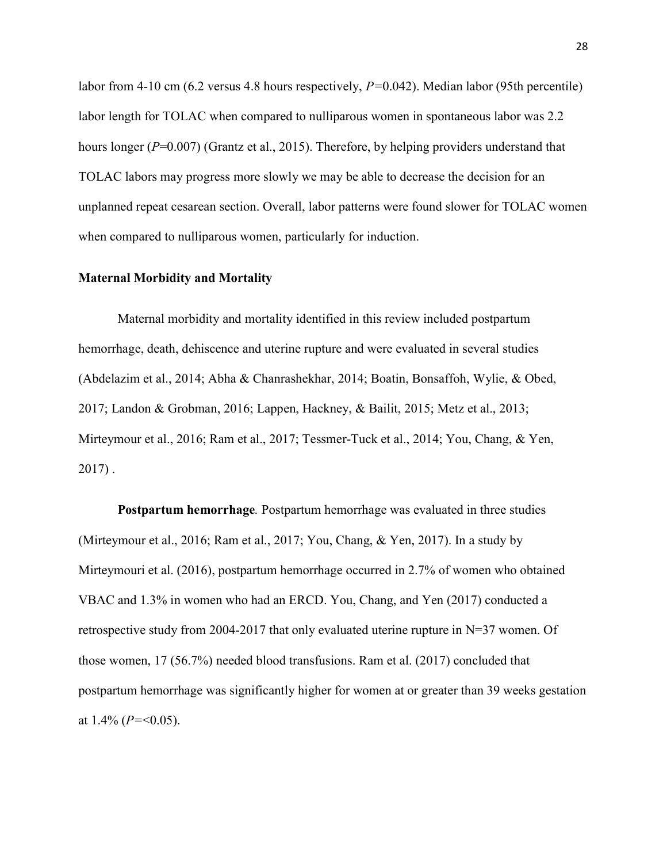labor from 4-10 cm (6.2 versus 4.8 hours respectively,  $P=0.042$ ). Median labor (95th percentile) labor length for TOLAC when compared to nulliparous women in spontaneous labor was 2.2 hours longer (P=0.007) (Grantz et al., 2015). Therefore, by helping providers understand that TOLAC labors may progress more slowly we may be able to decrease the decision for an unplanned repeat cesarean section. Overall, labor patterns were found slower for TOLAC women when compared to nulliparous women, particularly for induction.

# Maternal Morbidity and Mortality

Maternal morbidity and mortality identified in this review included postpartum hemorrhage, death, dehiscence and uterine rupture and were evaluated in several studies (Abdelazim et al., 2014; Abha & Chanrashekhar, 2014; Boatin, Bonsaffoh, Wylie, & Obed, 2017; Landon & Grobman, 2016; Lappen, Hackney, & Bailit, 2015; Metz et al., 2013; Mirteymour et al., 2016; Ram et al., 2017; Tessmer-Tuck et al., 2014; You, Chang, & Yen, 2017) .

Postpartum hemorrhage. Postpartum hemorrhage was evaluated in three studies (Mirteymour et al., 2016; Ram et al., 2017; You, Chang, & Yen, 2017). In a study by Mirteymouri et al. (2016), postpartum hemorrhage occurred in 2.7% of women who obtained VBAC and 1.3% in women who had an ERCD. You, Chang, and Yen (2017) conducted a retrospective study from 2004-2017 that only evaluated uterine rupture in N=37 women. Of those women, 17 (56.7%) needed blood transfusions. Ram et al. (2017) concluded that postpartum hemorrhage was significantly higher for women at or greater than 39 weeks gestation at  $1.4\%$  ( $P = 0.05$ ).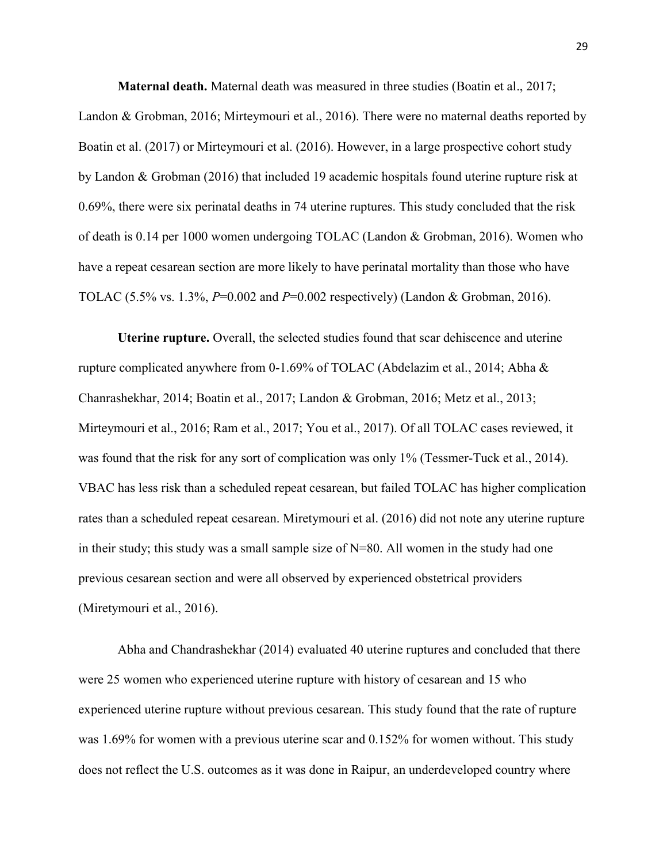Maternal death. Maternal death was measured in three studies (Boatin et al., 2017;

Landon & Grobman, 2016; Mirteymouri et al., 2016). There were no maternal deaths reported by Boatin et al. (2017) or Mirteymouri et al. (2016). However, in a large prospective cohort study by Landon & Grobman (2016) that included 19 academic hospitals found uterine rupture risk at 0.69%, there were six perinatal deaths in 74 uterine ruptures. This study concluded that the risk of death is 0.14 per 1000 women undergoing TOLAC (Landon & Grobman, 2016). Women who have a repeat cesarean section are more likely to have perinatal mortality than those who have TOLAC (5.5% vs. 1.3%,  $P=0.002$  and  $P=0.002$  respectively) (Landon & Grobman, 2016).

Uterine rupture. Overall, the selected studies found that scar dehiscence and uterine rupture complicated anywhere from 0-1.69% of TOLAC (Abdelazim et al., 2014; Abha & Chanrashekhar, 2014; Boatin et al., 2017; Landon & Grobman, 2016; Metz et al., 2013; Mirteymouri et al., 2016; Ram et al., 2017; You et al., 2017). Of all TOLAC cases reviewed, it was found that the risk for any sort of complication was only 1% (Tessmer-Tuck et al., 2014). VBAC has less risk than a scheduled repeat cesarean, but failed TOLAC has higher complication rates than a scheduled repeat cesarean. Miretymouri et al. (2016) did not note any uterine rupture in their study; this study was a small sample size of N=80. All women in the study had one previous cesarean section and were all observed by experienced obstetrical providers (Miretymouri et al., 2016).

Abha and Chandrashekhar (2014) evaluated 40 uterine ruptures and concluded that there were 25 women who experienced uterine rupture with history of cesarean and 15 who experienced uterine rupture without previous cesarean. This study found that the rate of rupture was 1.69% for women with a previous uterine scar and 0.152% for women without. This study does not reflect the U.S. outcomes as it was done in Raipur, an underdeveloped country where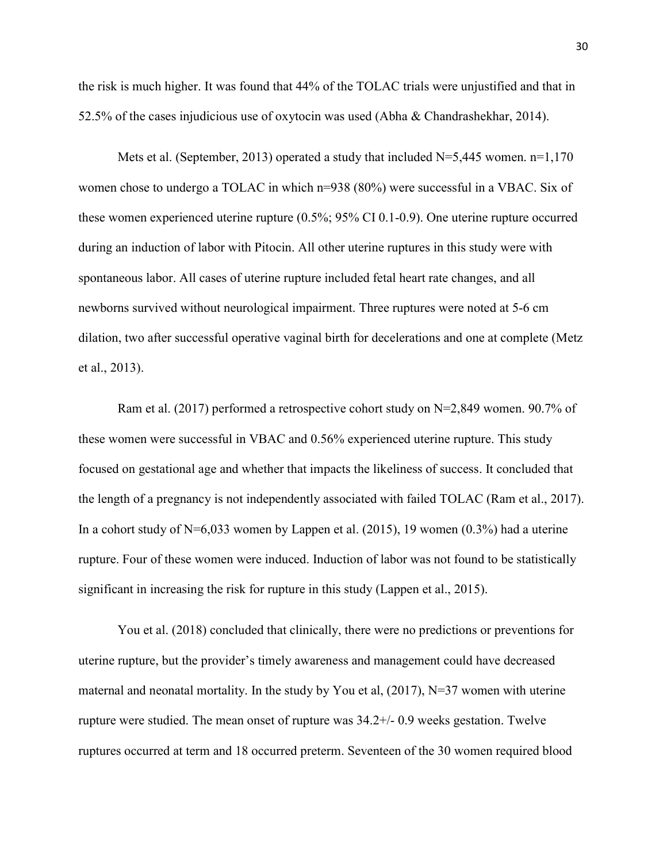the risk is much higher. It was found that 44% of the TOLAC trials were unjustified and that in 52.5% of the cases injudicious use of oxytocin was used (Abha & Chandrashekhar, 2014).

Mets et al. (September, 2013) operated a study that included  $N=5,445$  women.  $n=1,170$ women chose to undergo a TOLAC in which n=938 (80%) were successful in a VBAC. Six of these women experienced uterine rupture (0.5%; 95% CI 0.1-0.9). One uterine rupture occurred during an induction of labor with Pitocin. All other uterine ruptures in this study were with spontaneous labor. All cases of uterine rupture included fetal heart rate changes, and all newborns survived without neurological impairment. Three ruptures were noted at 5-6 cm dilation, two after successful operative vaginal birth for decelerations and one at complete (Metz et al., 2013).

Ram et al. (2017) performed a retrospective cohort study on N=2,849 women. 90.7% of these women were successful in VBAC and 0.56% experienced uterine rupture. This study focused on gestational age and whether that impacts the likeliness of success. It concluded that the length of a pregnancy is not independently associated with failed TOLAC (Ram et al., 2017). In a cohort study of  $N=6,033$  women by Lappen et al. (2015), 19 women (0.3%) had a uterine rupture. Four of these women were induced. Induction of labor was not found to be statistically significant in increasing the risk for rupture in this study (Lappen et al., 2015).

You et al. (2018) concluded that clinically, there were no predictions or preventions for uterine rupture, but the provider's timely awareness and management could have decreased maternal and neonatal mortality. In the study by You et al,  $(2017)$ , N=37 women with uterine rupture were studied. The mean onset of rupture was 34.2+/- 0.9 weeks gestation. Twelve ruptures occurred at term and 18 occurred preterm. Seventeen of the 30 women required blood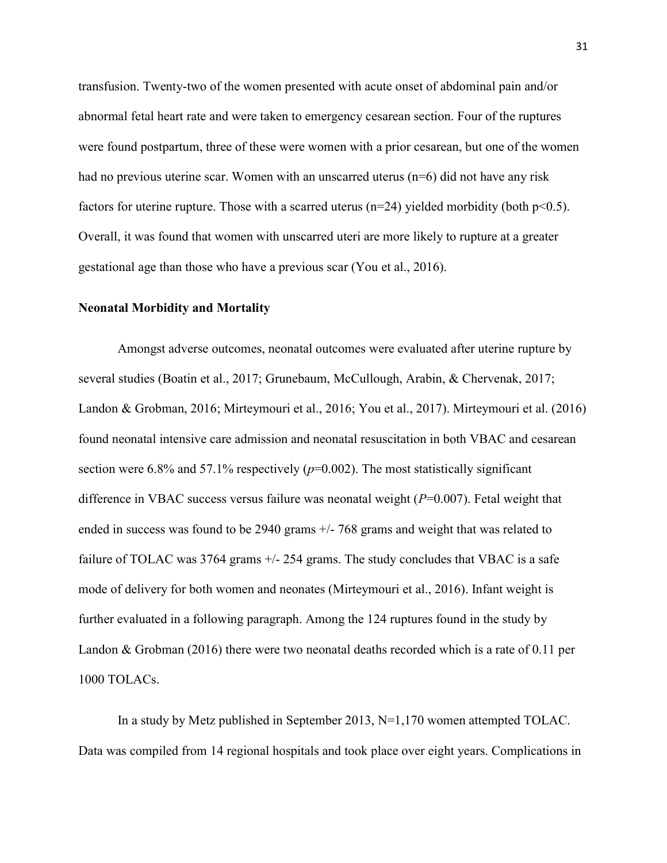transfusion. Twenty-two of the women presented with acute onset of abdominal pain and/or abnormal fetal heart rate and were taken to emergency cesarean section. Four of the ruptures were found postpartum, three of these were women with a prior cesarean, but one of the women had no previous uterine scar. Women with an unscarred uterus (n=6) did not have any risk factors for uterine rupture. Those with a scarred uterus  $(n=24)$  yielded morbidity (both  $p<0.5$ ). Overall, it was found that women with unscarred uteri are more likely to rupture at a greater gestational age than those who have a previous scar (You et al., 2016).

# Neonatal Morbidity and Mortality

Amongst adverse outcomes, neonatal outcomes were evaluated after uterine rupture by several studies (Boatin et al., 2017; Grunebaum, McCullough, Arabin, & Chervenak, 2017; Landon & Grobman, 2016; Mirteymouri et al., 2016; You et al., 2017). Mirteymouri et al. (2016) found neonatal intensive care admission and neonatal resuscitation in both VBAC and cesarean section were 6.8% and 57.1% respectively  $(p=0.002)$ . The most statistically significant difference in VBAC success versus failure was neonatal weight  $(P=0.007)$ . Fetal weight that ended in success was found to be 2940 grams +/- 768 grams and weight that was related to failure of TOLAC was  $3764$  grams  $+/- 254$  grams. The study concludes that VBAC is a safe mode of delivery for both women and neonates (Mirteymouri et al., 2016). Infant weight is further evaluated in a following paragraph. Among the 124 ruptures found in the study by Landon & Grobman (2016) there were two neonatal deaths recorded which is a rate of 0.11 per 1000 TOLACs.

In a study by Metz published in September 2013, N=1,170 women attempted TOLAC. Data was compiled from 14 regional hospitals and took place over eight years. Complications in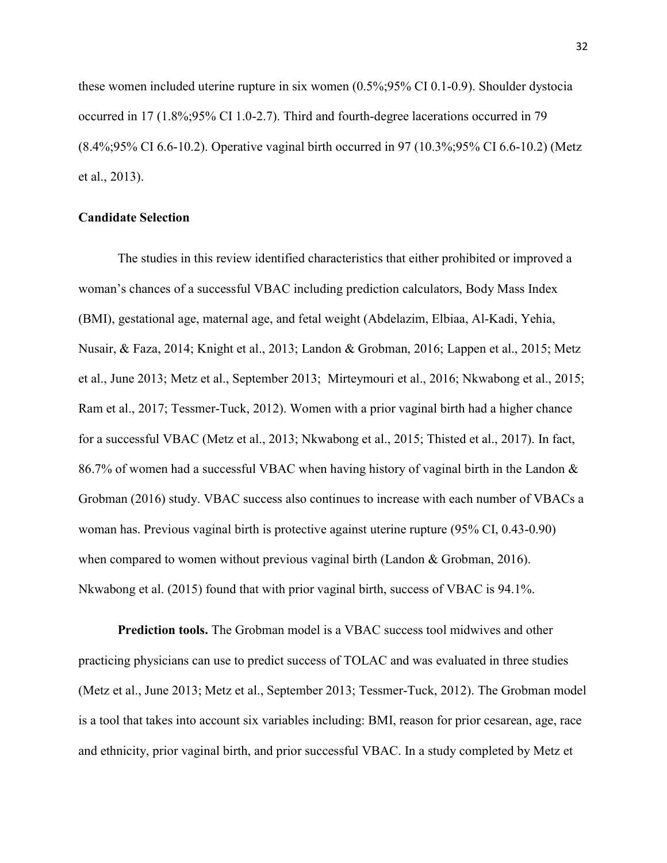these women included uterine rupture in six women (0.5%;95% CI 0.1-0.9). Shoulder dystocia occurred in 17 (1.8%;95% CI 1.0-2.7). Third and fourth-degree lacerations occurred in 79 (8.4%;95% CI 6.6-10.2). Operative vaginal birth occurred in 97 (10.3%;95% CI 6.6-10.2) (Metz et al., 2013).

# Candidate Selection

The studies in this review identified characteristics that either prohibited or improved a woman's chances of a successful VBAC including prediction calculators, Body Mass Index (BMI), gestational age, maternal age, and fetal weight (Abdelazim, Elbiaa, Al-Kadi, Yehia, Nusair, & Faza, 2014; Knight et al., 2013; Landon & Grobman, 2016; Lappen et al., 2015; Metz et al., June 2013; Metz et al., September 2013; Mirteymouri et al., 2016; Nkwabong et al., 2015; Ram et al., 2017; Tessmer-Tuck, 2012). Women with a prior vaginal birth had a higher chance for a successful VBAC (Metz et al., 2013; Nkwabong et al., 2015; Thisted et al., 2017). In fact, 86.7% of women had a successful VBAC when having history of vaginal birth in the Landon & Grobman (2016) study. VBAC success also continues to increase with each number of VBACs a woman has. Previous vaginal birth is protective against uterine rupture (95% CI, 0.43-0.90) when compared to women without previous vaginal birth (Landon & Grobman, 2016). Nkwabong et al. (2015) found that with prior vaginal birth, success of VBAC is 94.1%.

Prediction tools. The Grobman model is a VBAC success tool midwives and other practicing physicians can use to predict success of TOLAC and was evaluated in three studies (Metz et al., June 2013; Metz et al., September 2013; Tessmer-Tuck, 2012). The Grobman model is a tool that takes into account six variables including: BMI, reason for prior cesarean, age, race and ethnicity, prior vaginal birth, and prior successful VBAC. In a study completed by Metz et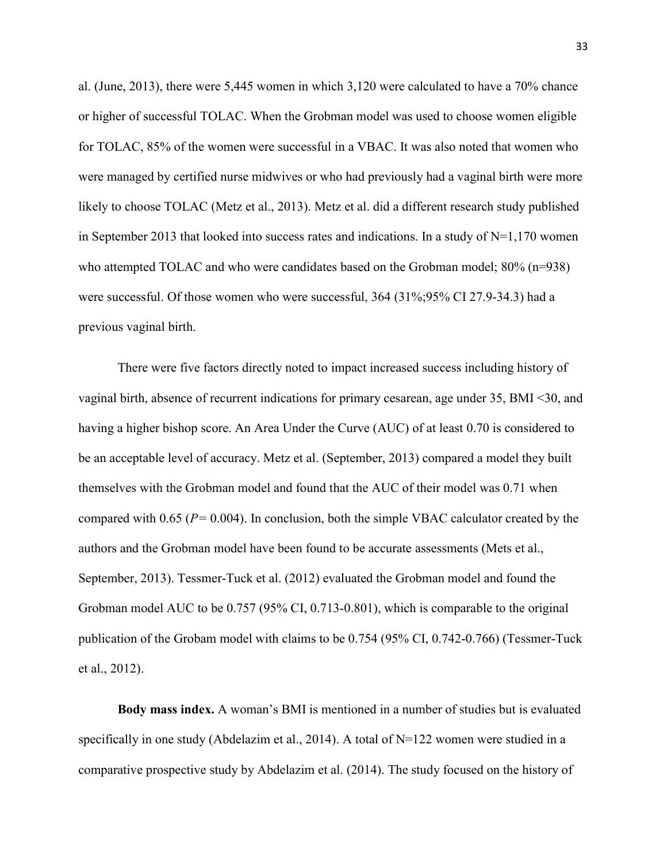al. (June, 2013), there were 5,445 women in which 3,120 were calculated to have a 70% chance or higher of successful TOLAC. When the Grobman model was used to choose women eligible for TOLAC, 85% of the women were successful in a VBAC. It was also noted that women who were managed by certified nurse midwives or who had previously had a vaginal birth were more likely to choose TOLAC (Metz et al., 2013). Metz et al. did a different research study published in September 2013 that looked into success rates and indications. In a study of  $N=1,170$  women who attempted TOLAC and who were candidates based on the Grobman model;  $80\%$  (n=938) were successful. Of those women who were successful, 364 (31%;95% CI 27.9-34.3) had a previous vaginal birth.

There were five factors directly noted to impact increased success including history of vaginal birth, absence of recurrent indications for primary cesarean, age under 35, BMI <30, and having a higher bishop score. An Area Under the Curve (AUC) of at least 0.70 is considered to be an acceptable level of accuracy. Metz et al. (September, 2013) compared a model they built themselves with the Grobman model and found that the AUC of their model was 0.71 when compared with 0.65 ( $P = 0.004$ ). In conclusion, both the simple VBAC calculator created by the authors and the Grobman model have been found to be accurate assessments (Mets et al., September, 2013). Tessmer-Tuck et al. (2012) evaluated the Grobman model and found the Grobman model AUC to be 0.757 (95% CI, 0.713-0.801), which is comparable to the original publication of the Grobam model with claims to be 0.754 (95% CI, 0.742-0.766) (Tessmer-Tuck et al., 2012).

Body mass index. A woman's BMI is mentioned in a number of studies but is evaluated specifically in one study (Abdelazim et al., 2014). A total of N=122 women were studied in a comparative prospective study by Abdelazim et al. (2014). The study focused on the history of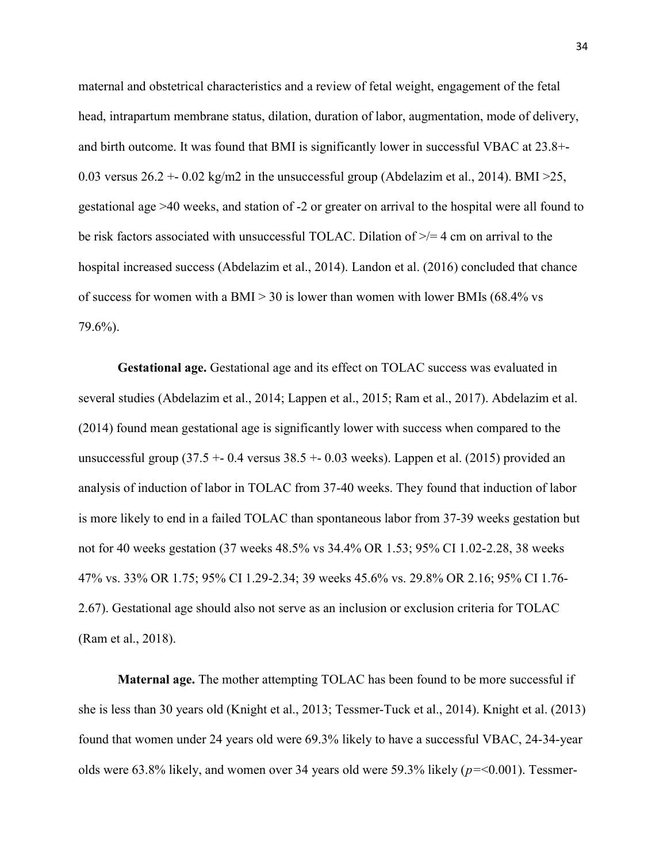maternal and obstetrical characteristics and a review of fetal weight, engagement of the fetal head, intrapartum membrane status, dilation, duration of labor, augmentation, mode of delivery, and birth outcome. It was found that BMI is significantly lower in successful VBAC at 23.8+- 0.03 versus  $26.2 + 0.02$  kg/m2 in the unsuccessful group (Abdelazim et al., 2014). BMI  $>25$ , gestational age >40 weeks, and station of -2 or greater on arrival to the hospital were all found to be risk factors associated with unsuccessful TOLAC. Dilation of  $\geq$  4 cm on arrival to the hospital increased success (Abdelazim et al., 2014). Landon et al. (2016) concluded that chance of success for women with a BMI  $> 30$  is lower than women with lower BMIs (68.4% vs 79.6%).

Gestational age. Gestational age and its effect on TOLAC success was evaluated in several studies (Abdelazim et al., 2014; Lappen et al., 2015; Ram et al., 2017). Abdelazim et al. (2014) found mean gestational age is significantly lower with success when compared to the unsuccessful group  $(37.5 + 0.4$  versus  $38.5 + 0.03$  weeks). Lappen et al.  $(2015)$  provided an analysis of induction of labor in TOLAC from 37-40 weeks. They found that induction of labor is more likely to end in a failed TOLAC than spontaneous labor from 37-39 weeks gestation but not for 40 weeks gestation (37 weeks 48.5% vs 34.4% OR 1.53; 95% CI 1.02-2.28, 38 weeks 47% vs. 33% OR 1.75; 95% CI 1.29-2.34; 39 weeks 45.6% vs. 29.8% OR 2.16; 95% CI 1.76- 2.67). Gestational age should also not serve as an inclusion or exclusion criteria for TOLAC (Ram et al., 2018).

Maternal age. The mother attempting TOLAC has been found to be more successful if she is less than 30 years old (Knight et al., 2013; Tessmer-Tuck et al., 2014). Knight et al. (2013) found that women under 24 years old were 69.3% likely to have a successful VBAC, 24-34-year olds were 63.8% likely, and women over 34 years old were 59.3% likely  $(p=0.001)$ . Tessmer-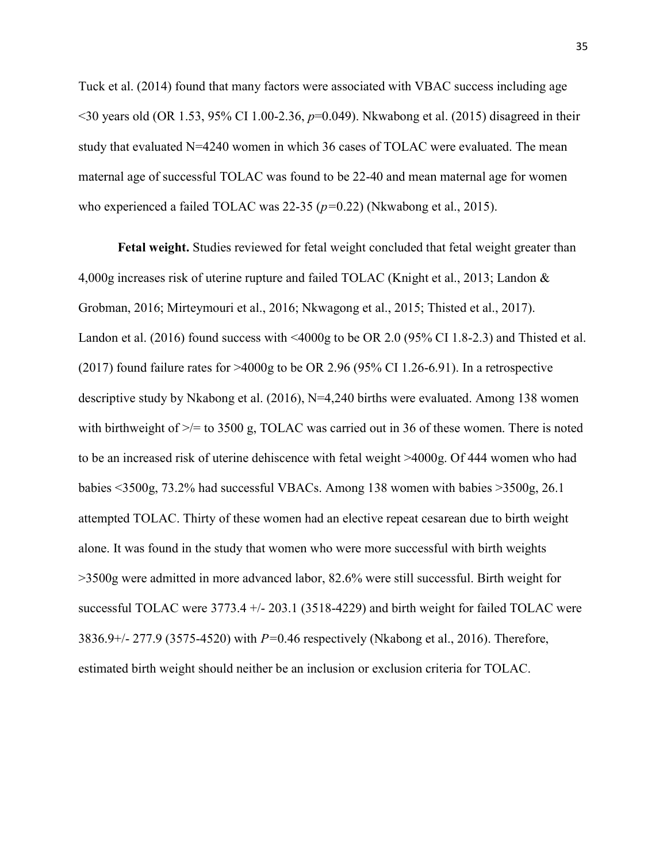Tuck et al. (2014) found that many factors were associated with VBAC success including age  $\leq$ 30 years old (OR 1.53, 95% CI 1.00-2.36, p=0.049). Nkwabong et al. (2015) disagreed in their study that evaluated  $N=4240$  women in which 36 cases of TOLAC were evaluated. The mean maternal age of successful TOLAC was found to be 22-40 and mean maternal age for women who experienced a failed TOLAC was  $22-35$  ( $p=0.22$ ) (Nkwabong et al., 2015).

Fetal weight. Studies reviewed for fetal weight concluded that fetal weight greater than 4,000g increases risk of uterine rupture and failed TOLAC (Knight et al., 2013; Landon & Grobman, 2016; Mirteymouri et al., 2016; Nkwagong et al., 2015; Thisted et al., 2017). Landon et al. (2016) found success with <4000g to be OR 2.0 (95% CI 1.8-2.3) and Thisted et al. (2017) found failure rates for  $>4000g$  to be OR 2.96 (95% CI 1.26-6.91). In a retrospective descriptive study by Nkabong et al. (2016), N=4,240 births were evaluated. Among 138 women with birthweight of  $\ge$ /= to 3500 g, TOLAC was carried out in 36 of these women. There is noted to be an increased risk of uterine dehiscence with fetal weight >4000g. Of 444 women who had babies <3500g, 73.2% had successful VBACs. Among 138 women with babies >3500g, 26.1 attempted TOLAC. Thirty of these women had an elective repeat cesarean due to birth weight alone. It was found in the study that women who were more successful with birth weights >3500g were admitted in more advanced labor, 82.6% were still successful. Birth weight for successful TOLAC were 3773.4 +/- 203.1 (3518-4229) and birth weight for failed TOLAC were 3836.9+/- 277.9 (3575-4520) with  $P=0.46$  respectively (Nkabong et al., 2016). Therefore, estimated birth weight should neither be an inclusion or exclusion criteria for TOLAC.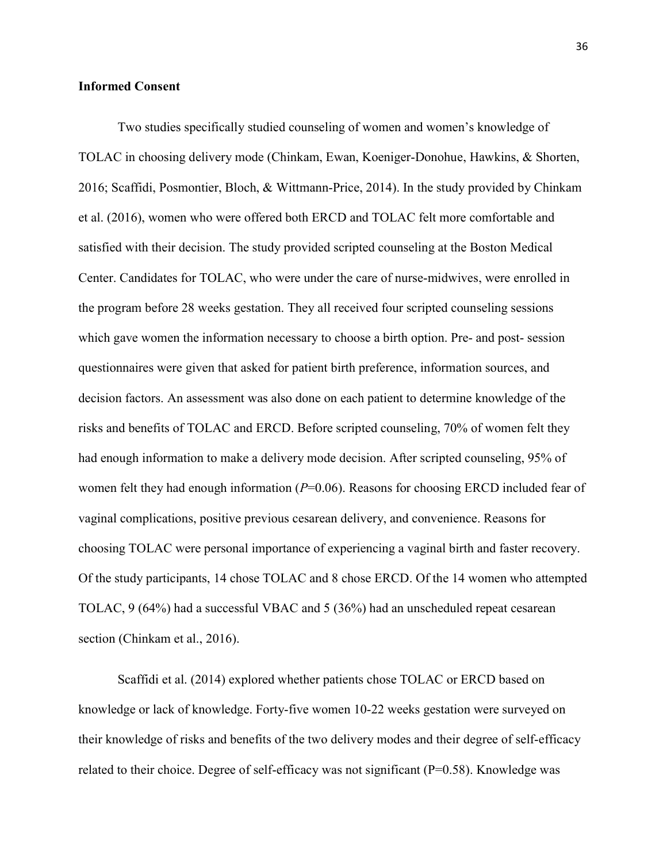#### Informed Consent

Two studies specifically studied counseling of women and women's knowledge of TOLAC in choosing delivery mode (Chinkam, Ewan, Koeniger-Donohue, Hawkins, & Shorten, 2016; Scaffidi, Posmontier, Bloch, & Wittmann-Price, 2014). In the study provided by Chinkam et al. (2016), women who were offered both ERCD and TOLAC felt more comfortable and satisfied with their decision. The study provided scripted counseling at the Boston Medical Center. Candidates for TOLAC, who were under the care of nurse-midwives, were enrolled in the program before 28 weeks gestation. They all received four scripted counseling sessions which gave women the information necessary to choose a birth option. Pre- and post- session questionnaires were given that asked for patient birth preference, information sources, and decision factors. An assessment was also done on each patient to determine knowledge of the risks and benefits of TOLAC and ERCD. Before scripted counseling, 70% of women felt they had enough information to make a delivery mode decision. After scripted counseling, 95% of women felt they had enough information  $(P=0.06)$ . Reasons for choosing ERCD included fear of vaginal complications, positive previous cesarean delivery, and convenience. Reasons for choosing TOLAC were personal importance of experiencing a vaginal birth and faster recovery. Of the study participants, 14 chose TOLAC and 8 chose ERCD. Of the 14 women who attempted TOLAC, 9 (64%) had a successful VBAC and 5 (36%) had an unscheduled repeat cesarean section (Chinkam et al., 2016).

Scaffidi et al. (2014) explored whether patients chose TOLAC or ERCD based on knowledge or lack of knowledge. Forty-five women 10-22 weeks gestation were surveyed on their knowledge of risks and benefits of the two delivery modes and their degree of self-efficacy related to their choice. Degree of self-efficacy was not significant (P=0.58). Knowledge was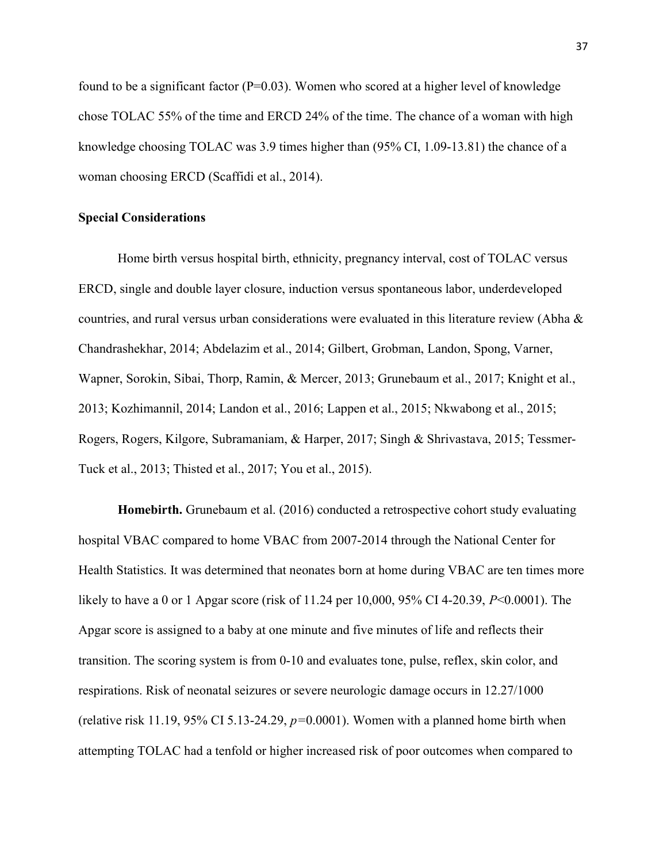found to be a significant factor ( $P=0.03$ ). Women who scored at a higher level of knowledge chose TOLAC 55% of the time and ERCD 24% of the time. The chance of a woman with high knowledge choosing TOLAC was 3.9 times higher than (95% CI, 1.09-13.81) the chance of a woman choosing ERCD (Scaffidi et al., 2014).

#### Special Considerations

Home birth versus hospital birth, ethnicity, pregnancy interval, cost of TOLAC versus ERCD, single and double layer closure, induction versus spontaneous labor, underdeveloped countries, and rural versus urban considerations were evaluated in this literature review (Abha & Chandrashekhar, 2014; Abdelazim et al., 2014; Gilbert, Grobman, Landon, Spong, Varner, Wapner, Sorokin, Sibai, Thorp, Ramin, & Mercer, 2013; Grunebaum et al., 2017; Knight et al., 2013; Kozhimannil, 2014; Landon et al., 2016; Lappen et al., 2015; Nkwabong et al., 2015; Rogers, Rogers, Kilgore, Subramaniam, & Harper, 2017; Singh & Shrivastava, 2015; Tessmer-Tuck et al., 2013; Thisted et al., 2017; You et al., 2015).

Homebirth. Grunebaum et al. (2016) conducted a retrospective cohort study evaluating hospital VBAC compared to home VBAC from 2007-2014 through the National Center for Health Statistics. It was determined that neonates born at home during VBAC are ten times more likely to have a 0 or 1 Apgar score (risk of 11.24 per 10,000, 95% CI 4-20.39, P<0.0001). The Apgar score is assigned to a baby at one minute and five minutes of life and reflects their transition. The scoring system is from 0-10 and evaluates tone, pulse, reflex, skin color, and respirations. Risk of neonatal seizures or severe neurologic damage occurs in 12.27/1000 (relative risk 11.19, 95% CI 5.13-24.29,  $p=0.0001$ ). Women with a planned home birth when attempting TOLAC had a tenfold or higher increased risk of poor outcomes when compared to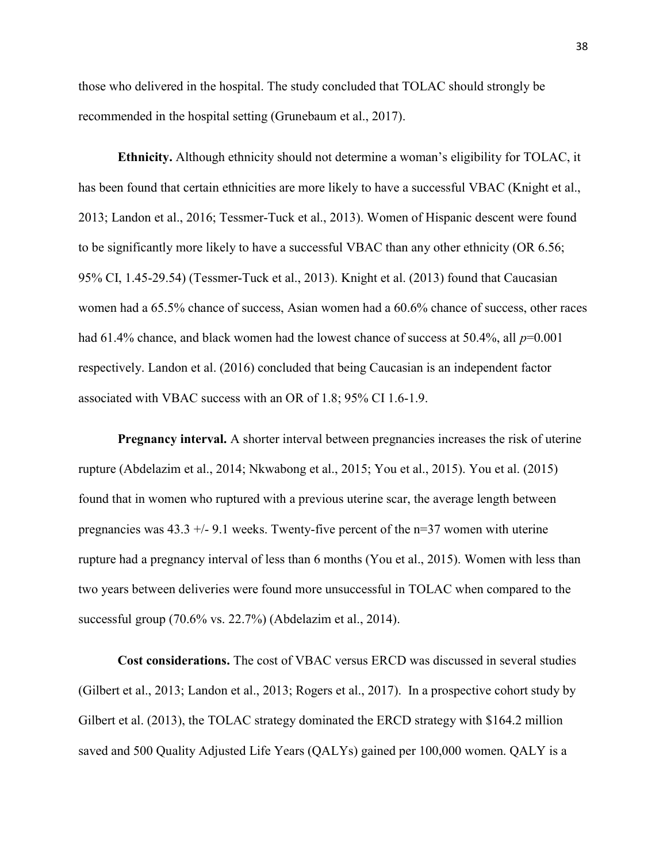those who delivered in the hospital. The study concluded that TOLAC should strongly be recommended in the hospital setting (Grunebaum et al., 2017).

Ethnicity. Although ethnicity should not determine a woman's eligibility for TOLAC, it has been found that certain ethnicities are more likely to have a successful VBAC (Knight et al., 2013; Landon et al., 2016; Tessmer-Tuck et al., 2013). Women of Hispanic descent were found to be significantly more likely to have a successful VBAC than any other ethnicity (OR 6.56; 95% CI, 1.45-29.54) (Tessmer-Tuck et al., 2013). Knight et al. (2013) found that Caucasian women had a 65.5% chance of success, Asian women had a 60.6% chance of success, other races had 61.4% chance, and black women had the lowest chance of success at 50.4%, all  $p=0.001$ respectively. Landon et al. (2016) concluded that being Caucasian is an independent factor associated with VBAC success with an OR of 1.8; 95% CI 1.6-1.9.

Pregnancy interval. A shorter interval between pregnancies increases the risk of uterine rupture (Abdelazim et al., 2014; Nkwabong et al., 2015; You et al., 2015). You et al. (2015) found that in women who ruptured with a previous uterine scar, the average length between pregnancies was  $43.3 +/- 9.1$  weeks. Twenty-five percent of the  $n=37$  women with uterine rupture had a pregnancy interval of less than 6 months (You et al., 2015). Women with less than two years between deliveries were found more unsuccessful in TOLAC when compared to the successful group (70.6% vs. 22.7%) (Abdelazim et al., 2014).

Cost considerations. The cost of VBAC versus ERCD was discussed in several studies (Gilbert et al., 2013; Landon et al., 2013; Rogers et al., 2017). In a prospective cohort study by Gilbert et al. (2013), the TOLAC strategy dominated the ERCD strategy with \$164.2 million saved and 500 Quality Adjusted Life Years (QALYs) gained per 100,000 women. QALY is a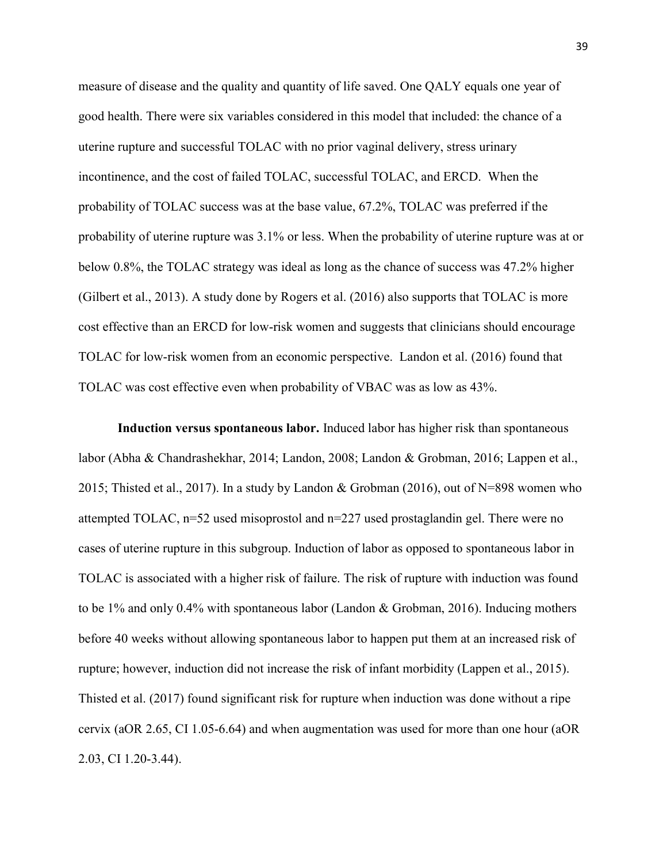measure of disease and the quality and quantity of life saved. One QALY equals one year of good health. There were six variables considered in this model that included: the chance of a uterine rupture and successful TOLAC with no prior vaginal delivery, stress urinary incontinence, and the cost of failed TOLAC, successful TOLAC, and ERCD. When the probability of TOLAC success was at the base value, 67.2%, TOLAC was preferred if the probability of uterine rupture was 3.1% or less. When the probability of uterine rupture was at or below 0.8%, the TOLAC strategy was ideal as long as the chance of success was 47.2% higher (Gilbert et al., 2013). A study done by Rogers et al. (2016) also supports that TOLAC is more cost effective than an ERCD for low-risk women and suggests that clinicians should encourage TOLAC for low-risk women from an economic perspective. Landon et al. (2016) found that TOLAC was cost effective even when probability of VBAC was as low as 43%.

Induction versus spontaneous labor. Induced labor has higher risk than spontaneous labor (Abha & Chandrashekhar, 2014; Landon, 2008; Landon & Grobman, 2016; Lappen et al., 2015; Thisted et al., 2017). In a study by Landon & Grobman (2016), out of N=898 women who attempted TOLAC, n=52 used misoprostol and n=227 used prostaglandin gel. There were no cases of uterine rupture in this subgroup. Induction of labor as opposed to spontaneous labor in TOLAC is associated with a higher risk of failure. The risk of rupture with induction was found to be 1% and only 0.4% with spontaneous labor (Landon & Grobman, 2016). Inducing mothers before 40 weeks without allowing spontaneous labor to happen put them at an increased risk of rupture; however, induction did not increase the risk of infant morbidity (Lappen et al., 2015). Thisted et al. (2017) found significant risk for rupture when induction was done without a ripe cervix (aOR 2.65, CI 1.05-6.64) and when augmentation was used for more than one hour (aOR 2.03, CI 1.20-3.44).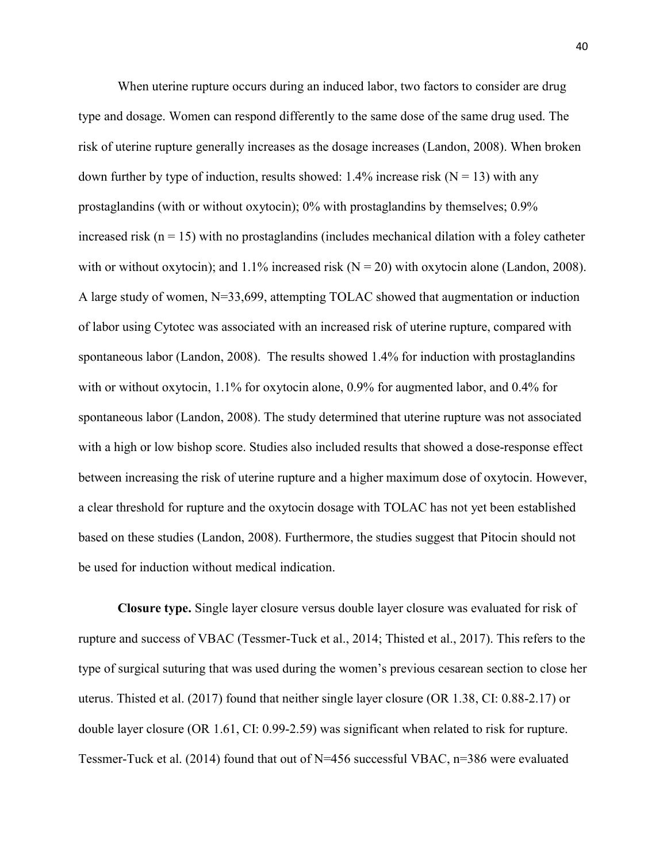When uterine rupture occurs during an induced labor, two factors to consider are drug type and dosage. Women can respond differently to the same dose of the same drug used. The risk of uterine rupture generally increases as the dosage increases (Landon, 2008). When broken down further by type of induction, results showed: 1.4% increase risk ( $N = 13$ ) with any prostaglandins (with or without oxytocin); 0% with prostaglandins by themselves; 0.9% increased risk ( $n = 15$ ) with no prostaglandins (includes mechanical dilation with a foley catheter with or without oxytocin); and  $1.1\%$  increased risk (N = 20) with oxytocin alone (Landon, 2008). A large study of women, N=33,699, attempting TOLAC showed that augmentation or induction of labor using Cytotec was associated with an increased risk of uterine rupture, compared with spontaneous labor (Landon, 2008). The results showed 1.4% for induction with prostaglandins with or without oxytocin, 1.1% for oxytocin alone, 0.9% for augmented labor, and 0.4% for spontaneous labor (Landon, 2008). The study determined that uterine rupture was not associated with a high or low bishop score. Studies also included results that showed a dose-response effect between increasing the risk of uterine rupture and a higher maximum dose of oxytocin. However, a clear threshold for rupture and the oxytocin dosage with TOLAC has not yet been established based on these studies (Landon, 2008). Furthermore, the studies suggest that Pitocin should not be used for induction without medical indication.

Closure type. Single layer closure versus double layer closure was evaluated for risk of rupture and success of VBAC (Tessmer-Tuck et al., 2014; Thisted et al., 2017). This refers to the type of surgical suturing that was used during the women's previous cesarean section to close her uterus. Thisted et al. (2017) found that neither single layer closure (OR 1.38, CI: 0.88-2.17) or double layer closure (OR 1.61, CI: 0.99-2.59) was significant when related to risk for rupture. Tessmer-Tuck et al. (2014) found that out of N=456 successful VBAC, n=386 were evaluated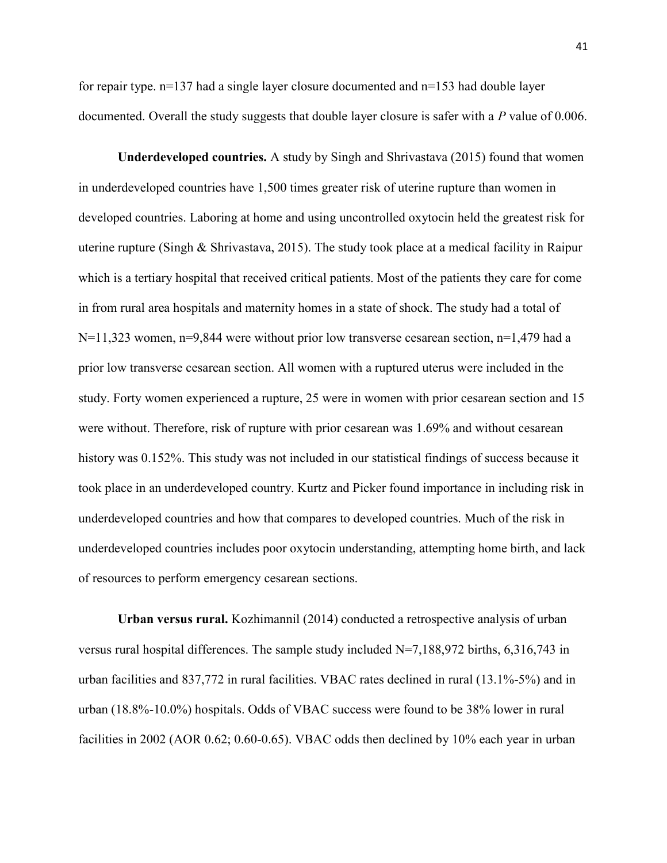for repair type.  $n=137$  had a single layer closure documented and  $n=153$  had double layer documented. Overall the study suggests that double layer closure is safer with a P value of 0.006.

Underdeveloped countries. A study by Singh and Shrivastava (2015) found that women in underdeveloped countries have 1,500 times greater risk of uterine rupture than women in developed countries. Laboring at home and using uncontrolled oxytocin held the greatest risk for uterine rupture (Singh & Shrivastava, 2015). The study took place at a medical facility in Raipur which is a tertiary hospital that received critical patients. Most of the patients they care for come in from rural area hospitals and maternity homes in a state of shock. The study had a total of  $N=11,323$  women, n=9,844 were without prior low transverse cesarean section, n=1,479 had a prior low transverse cesarean section. All women with a ruptured uterus were included in the study. Forty women experienced a rupture, 25 were in women with prior cesarean section and 15 were without. Therefore, risk of rupture with prior cesarean was 1.69% and without cesarean history was 0.152%. This study was not included in our statistical findings of success because it took place in an underdeveloped country. Kurtz and Picker found importance in including risk in underdeveloped countries and how that compares to developed countries. Much of the risk in underdeveloped countries includes poor oxytocin understanding, attempting home birth, and lack of resources to perform emergency cesarean sections.

Urban versus rural. Kozhimannil (2014) conducted a retrospective analysis of urban versus rural hospital differences. The sample study included N=7,188,972 births, 6,316,743 in urban facilities and 837,772 in rural facilities. VBAC rates declined in rural (13.1%-5%) and in urban (18.8%-10.0%) hospitals. Odds of VBAC success were found to be 38% lower in rural facilities in 2002 (AOR 0.62; 0.60-0.65). VBAC odds then declined by 10% each year in urban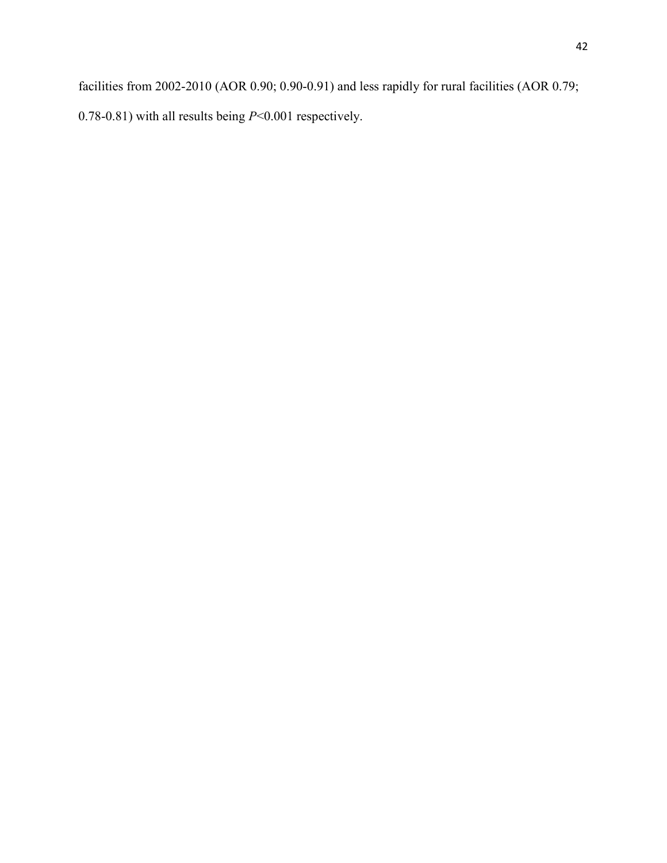facilities from 2002-2010 (AOR 0.90; 0.90-0.91) and less rapidly for rural facilities (AOR 0.79; 0.78-0.81) with all results being  $P<0.001$  respectively.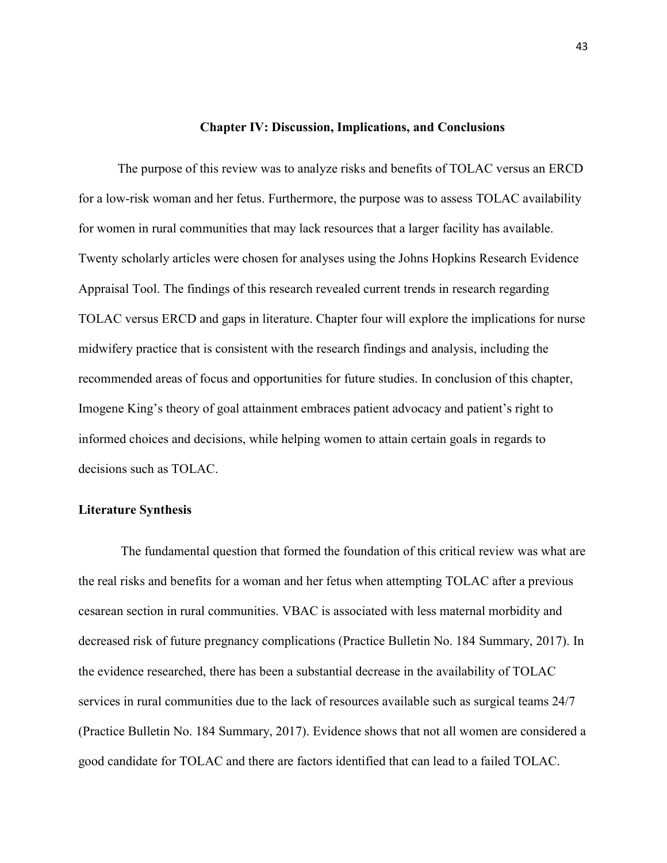#### Chapter IV: Discussion, Implications, and Conclusions

The purpose of this review was to analyze risks and benefits of TOLAC versus an ERCD for a low-risk woman and her fetus. Furthermore, the purpose was to assess TOLAC availability for women in rural communities that may lack resources that a larger facility has available. Twenty scholarly articles were chosen for analyses using the Johns Hopkins Research Evidence Appraisal Tool. The findings of this research revealed current trends in research regarding TOLAC versus ERCD and gaps in literature. Chapter four will explore the implications for nurse midwifery practice that is consistent with the research findings and analysis, including the recommended areas of focus and opportunities for future studies. In conclusion of this chapter, Imogene King's theory of goal attainment embraces patient advocacy and patient's right to informed choices and decisions, while helping women to attain certain goals in regards to decisions such as TOLAC.

#### Literature Synthesis

 The fundamental question that formed the foundation of this critical review was what are the real risks and benefits for a woman and her fetus when attempting TOLAC after a previous cesarean section in rural communities. VBAC is associated with less maternal morbidity and decreased risk of future pregnancy complications (Practice Bulletin No. 184 Summary, 2017). In the evidence researched, there has been a substantial decrease in the availability of TOLAC services in rural communities due to the lack of resources available such as surgical teams 24/7 (Practice Bulletin No. 184 Summary, 2017). Evidence shows that not all women are considered a good candidate for TOLAC and there are factors identified that can lead to a failed TOLAC.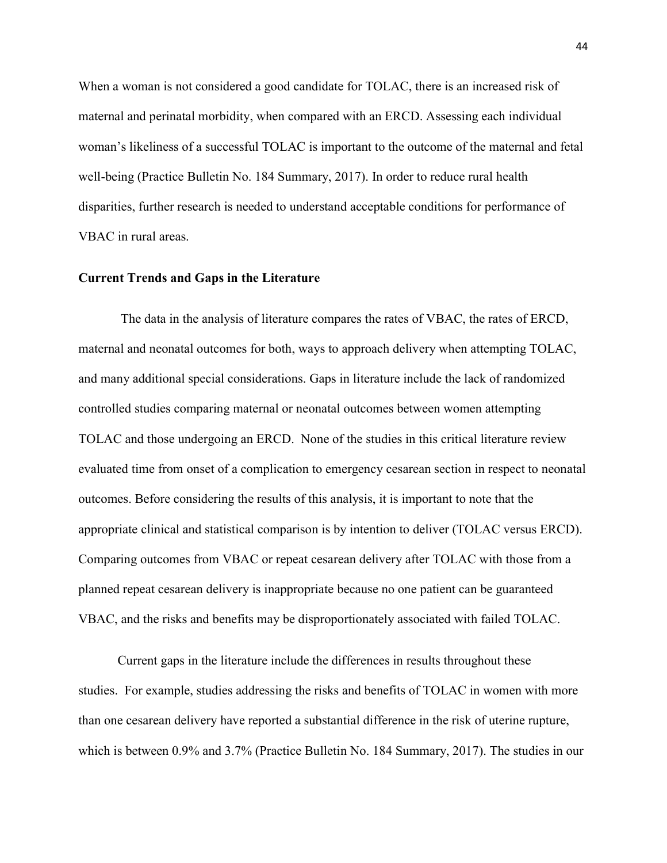When a woman is not considered a good candidate for TOLAC, there is an increased risk of maternal and perinatal morbidity, when compared with an ERCD. Assessing each individual woman's likeliness of a successful TOLAC is important to the outcome of the maternal and fetal well-being (Practice Bulletin No. 184 Summary, 2017). In order to reduce rural health disparities, further research is needed to understand acceptable conditions for performance of VBAC in rural areas.

#### Current Trends and Gaps in the Literature

The data in the analysis of literature compares the rates of VBAC, the rates of ERCD, maternal and neonatal outcomes for both, ways to approach delivery when attempting TOLAC, and many additional special considerations. Gaps in literature include the lack of randomized controlled studies comparing maternal or neonatal outcomes between women attempting TOLAC and those undergoing an ERCD. None of the studies in this critical literature review evaluated time from onset of a complication to emergency cesarean section in respect to neonatal outcomes. Before considering the results of this analysis, it is important to note that the appropriate clinical and statistical comparison is by intention to deliver (TOLAC versus ERCD). Comparing outcomes from VBAC or repeat cesarean delivery after TOLAC with those from a planned repeat cesarean delivery is inappropriate because no one patient can be guaranteed VBAC, and the risks and benefits may be disproportionately associated with failed TOLAC.

Current gaps in the literature include the differences in results throughout these studies. For example, studies addressing the risks and benefits of TOLAC in women with more than one cesarean delivery have reported a substantial difference in the risk of uterine rupture, which is between 0.9% and 3.7% (Practice Bulletin No. 184 Summary, 2017). The studies in our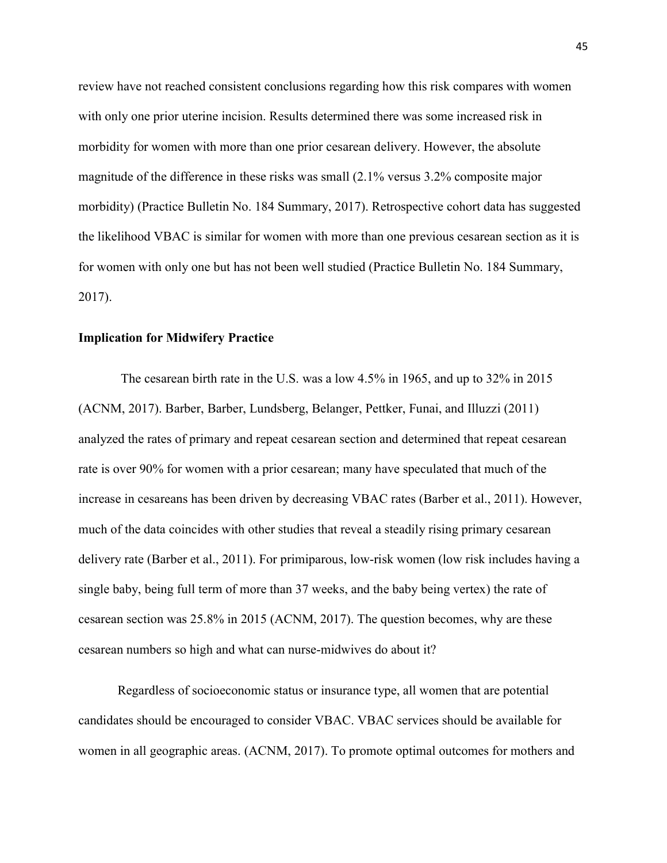review have not reached consistent conclusions regarding how this risk compares with women with only one prior uterine incision. Results determined there was some increased risk in morbidity for women with more than one prior cesarean delivery. However, the absolute magnitude of the difference in these risks was small (2.1% versus 3.2% composite major morbidity) (Practice Bulletin No. 184 Summary, 2017). Retrospective cohort data has suggested the likelihood VBAC is similar for women with more than one previous cesarean section as it is for women with only one but has not been well studied (Practice Bulletin No. 184 Summary, 2017).

#### Implication for Midwifery Practice

 The cesarean birth rate in the U.S. was a low 4.5% in 1965, and up to 32% in 2015 (ACNM, 2017). Barber, Barber, Lundsberg, Belanger, Pettker, Funai, and Illuzzi (2011) analyzed the rates of primary and repeat cesarean section and determined that repeat cesarean rate is over 90% for women with a prior cesarean; many have speculated that much of the increase in cesareans has been driven by decreasing VBAC rates (Barber et al., 2011). However, much of the data coincides with other studies that reveal a steadily rising primary cesarean delivery rate (Barber et al., 2011). For primiparous, low-risk women (low risk includes having a single baby, being full term of more than 37 weeks, and the baby being vertex) the rate of cesarean section was 25.8% in 2015 (ACNM, 2017). The question becomes, why are these cesarean numbers so high and what can nurse-midwives do about it?

Regardless of socioeconomic status or insurance type, all women that are potential candidates should be encouraged to consider VBAC. VBAC services should be available for women in all geographic areas. (ACNM, 2017). To promote optimal outcomes for mothers and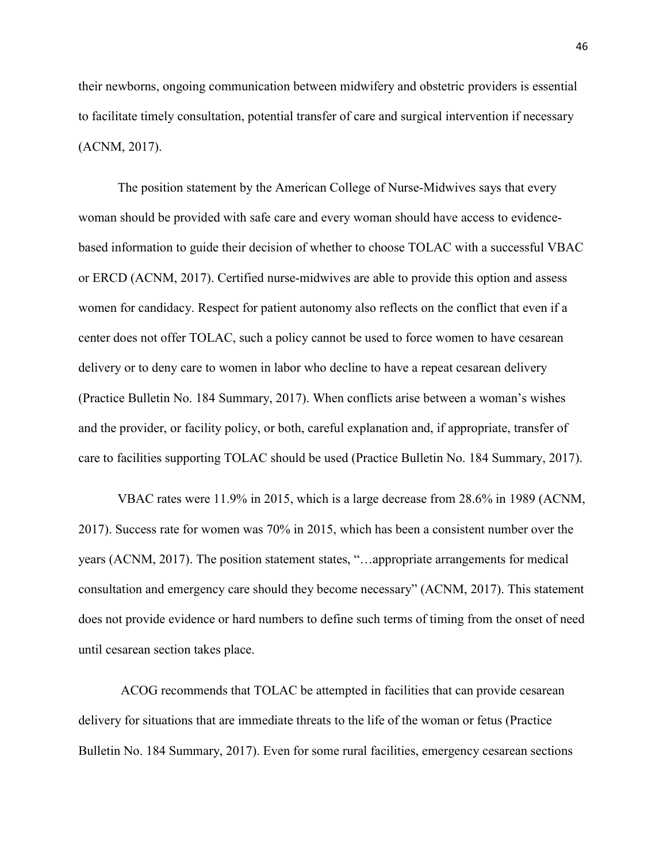their newborns, ongoing communication between midwifery and obstetric providers is essential to facilitate timely consultation, potential transfer of care and surgical intervention if necessary (ACNM, 2017).

The position statement by the American College of Nurse-Midwives says that every woman should be provided with safe care and every woman should have access to evidencebased information to guide their decision of whether to choose TOLAC with a successful VBAC or ERCD (ACNM, 2017). Certified nurse-midwives are able to provide this option and assess women for candidacy. Respect for patient autonomy also reflects on the conflict that even if a center does not offer TOLAC, such a policy cannot be used to force women to have cesarean delivery or to deny care to women in labor who decline to have a repeat cesarean delivery (Practice Bulletin No. 184 Summary, 2017). When conflicts arise between a woman's wishes and the provider, or facility policy, or both, careful explanation and, if appropriate, transfer of care to facilities supporting TOLAC should be used (Practice Bulletin No. 184 Summary, 2017).

VBAC rates were 11.9% in 2015, which is a large decrease from 28.6% in 1989 (ACNM, 2017). Success rate for women was 70% in 2015, which has been a consistent number over the years (ACNM, 2017). The position statement states, "…appropriate arrangements for medical consultation and emergency care should they become necessary" (ACNM, 2017). This statement does not provide evidence or hard numbers to define such terms of timing from the onset of need until cesarean section takes place.

 ACOG recommends that TOLAC be attempted in facilities that can provide cesarean delivery for situations that are immediate threats to the life of the woman or fetus (Practice Bulletin No. 184 Summary, 2017). Even for some rural facilities, emergency cesarean sections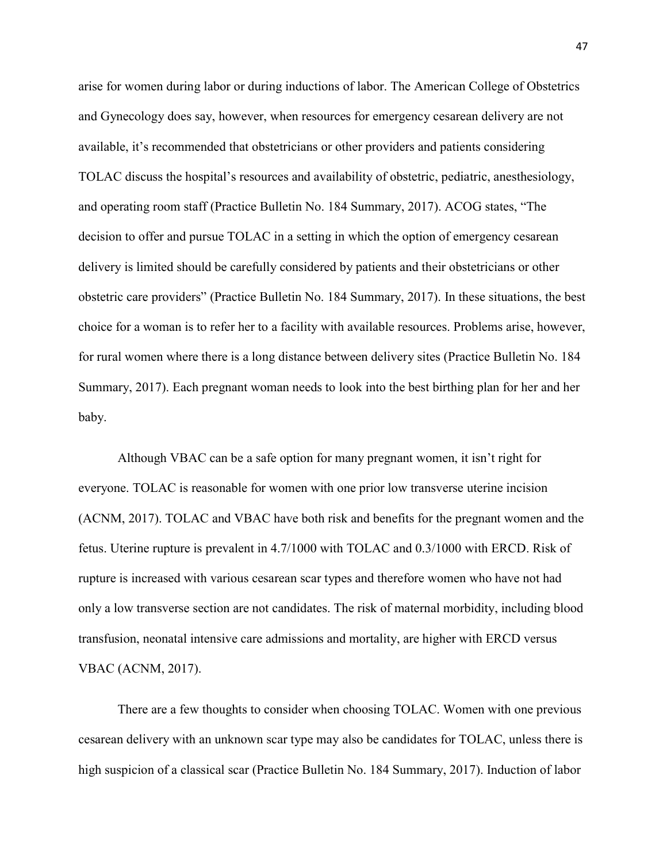arise for women during labor or during inductions of labor. The American College of Obstetrics and Gynecology does say, however, when resources for emergency cesarean delivery are not available, it's recommended that obstetricians or other providers and patients considering TOLAC discuss the hospital's resources and availability of obstetric, pediatric, anesthesiology, and operating room staff (Practice Bulletin No. 184 Summary, 2017). ACOG states, "The decision to offer and pursue TOLAC in a setting in which the option of emergency cesarean delivery is limited should be carefully considered by patients and their obstetricians or other obstetric care providers" (Practice Bulletin No. 184 Summary, 2017). In these situations, the best choice for a woman is to refer her to a facility with available resources. Problems arise, however, for rural women where there is a long distance between delivery sites (Practice Bulletin No. 184 Summary, 2017). Each pregnant woman needs to look into the best birthing plan for her and her baby.

Although VBAC can be a safe option for many pregnant women, it isn't right for everyone. TOLAC is reasonable for women with one prior low transverse uterine incision (ACNM, 2017). TOLAC and VBAC have both risk and benefits for the pregnant women and the fetus. Uterine rupture is prevalent in 4.7/1000 with TOLAC and 0.3/1000 with ERCD. Risk of rupture is increased with various cesarean scar types and therefore women who have not had only a low transverse section are not candidates. The risk of maternal morbidity, including blood transfusion, neonatal intensive care admissions and mortality, are higher with ERCD versus VBAC (ACNM, 2017).

There are a few thoughts to consider when choosing TOLAC. Women with one previous cesarean delivery with an unknown scar type may also be candidates for TOLAC, unless there is high suspicion of a classical scar (Practice Bulletin No. 184 Summary, 2017). Induction of labor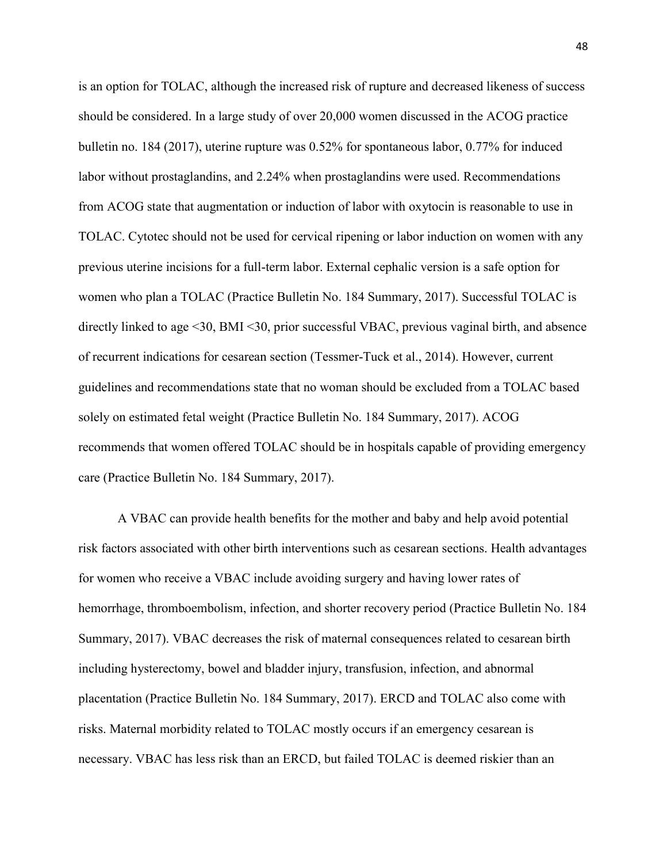is an option for TOLAC, although the increased risk of rupture and decreased likeness of success should be considered. In a large study of over 20,000 women discussed in the ACOG practice bulletin no. 184 (2017), uterine rupture was 0.52% for spontaneous labor, 0.77% for induced labor without prostaglandins, and 2.24% when prostaglandins were used. Recommendations from ACOG state that augmentation or induction of labor with oxytocin is reasonable to use in TOLAC. Cytotec should not be used for cervical ripening or labor induction on women with any previous uterine incisions for a full-term labor. External cephalic version is a safe option for women who plan a TOLAC (Practice Bulletin No. 184 Summary, 2017). Successful TOLAC is directly linked to age <30, BMI <30, prior successful VBAC, previous vaginal birth, and absence of recurrent indications for cesarean section (Tessmer-Tuck et al., 2014). However, current guidelines and recommendations state that no woman should be excluded from a TOLAC based solely on estimated fetal weight (Practice Bulletin No. 184 Summary, 2017). ACOG recommends that women offered TOLAC should be in hospitals capable of providing emergency care (Practice Bulletin No. 184 Summary, 2017).

A VBAC can provide health benefits for the mother and baby and help avoid potential risk factors associated with other birth interventions such as cesarean sections. Health advantages for women who receive a VBAC include avoiding surgery and having lower rates of hemorrhage, thromboembolism, infection, and shorter recovery period (Practice Bulletin No. 184 Summary, 2017). VBAC decreases the risk of maternal consequences related to cesarean birth including hysterectomy, bowel and bladder injury, transfusion, infection, and abnormal placentation (Practice Bulletin No. 184 Summary, 2017). ERCD and TOLAC also come with risks. Maternal morbidity related to TOLAC mostly occurs if an emergency cesarean is necessary. VBAC has less risk than an ERCD, but failed TOLAC is deemed riskier than an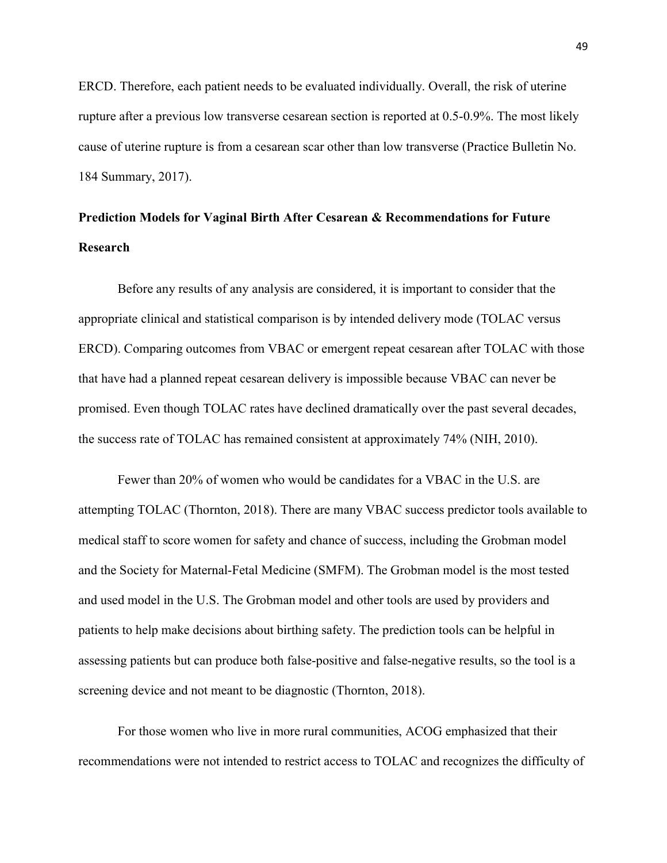ERCD. Therefore, each patient needs to be evaluated individually. Overall, the risk of uterine rupture after a previous low transverse cesarean section is reported at 0.5-0.9%. The most likely cause of uterine rupture is from a cesarean scar other than low transverse (Practice Bulletin No. 184 Summary, 2017).

# Prediction Models for Vaginal Birth After Cesarean & Recommendations for Future Research

Before any results of any analysis are considered, it is important to consider that the appropriate clinical and statistical comparison is by intended delivery mode (TOLAC versus ERCD). Comparing outcomes from VBAC or emergent repeat cesarean after TOLAC with those that have had a planned repeat cesarean delivery is impossible because VBAC can never be promised. Even though TOLAC rates have declined dramatically over the past several decades, the success rate of TOLAC has remained consistent at approximately 74% (NIH, 2010).

Fewer than 20% of women who would be candidates for a VBAC in the U.S. are attempting TOLAC (Thornton, 2018). There are many VBAC success predictor tools available to medical staff to score women for safety and chance of success, including the Grobman model and the Society for Maternal-Fetal Medicine (SMFM). The Grobman model is the most tested and used model in the U.S. The Grobman model and other tools are used by providers and patients to help make decisions about birthing safety. The prediction tools can be helpful in assessing patients but can produce both false-positive and false-negative results, so the tool is a screening device and not meant to be diagnostic (Thornton, 2018).

For those women who live in more rural communities, ACOG emphasized that their recommendations were not intended to restrict access to TOLAC and recognizes the difficulty of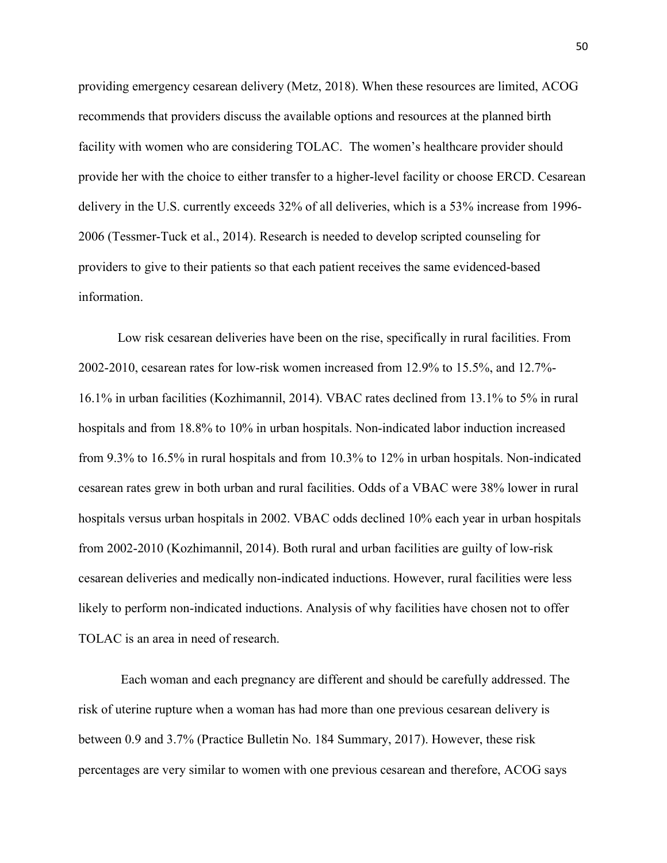providing emergency cesarean delivery (Metz, 2018). When these resources are limited, ACOG recommends that providers discuss the available options and resources at the planned birth facility with women who are considering TOLAC. The women's healthcare provider should provide her with the choice to either transfer to a higher-level facility or choose ERCD. Cesarean delivery in the U.S. currently exceeds 32% of all deliveries, which is a 53% increase from 1996- 2006 (Tessmer-Tuck et al., 2014). Research is needed to develop scripted counseling for providers to give to their patients so that each patient receives the same evidenced-based information.

Low risk cesarean deliveries have been on the rise, specifically in rural facilities. From 2002-2010, cesarean rates for low-risk women increased from 12.9% to 15.5%, and 12.7%- 16.1% in urban facilities (Kozhimannil, 2014). VBAC rates declined from 13.1% to 5% in rural hospitals and from 18.8% to 10% in urban hospitals. Non-indicated labor induction increased from 9.3% to 16.5% in rural hospitals and from 10.3% to 12% in urban hospitals. Non-indicated cesarean rates grew in both urban and rural facilities. Odds of a VBAC were 38% lower in rural hospitals versus urban hospitals in 2002. VBAC odds declined 10% each year in urban hospitals from 2002-2010 (Kozhimannil, 2014). Both rural and urban facilities are guilty of low-risk cesarean deliveries and medically non-indicated inductions. However, rural facilities were less likely to perform non-indicated inductions. Analysis of why facilities have chosen not to offer TOLAC is an area in need of research.

 Each woman and each pregnancy are different and should be carefully addressed. The risk of uterine rupture when a woman has had more than one previous cesarean delivery is between 0.9 and 3.7% (Practice Bulletin No. 184 Summary, 2017). However, these risk percentages are very similar to women with one previous cesarean and therefore, ACOG says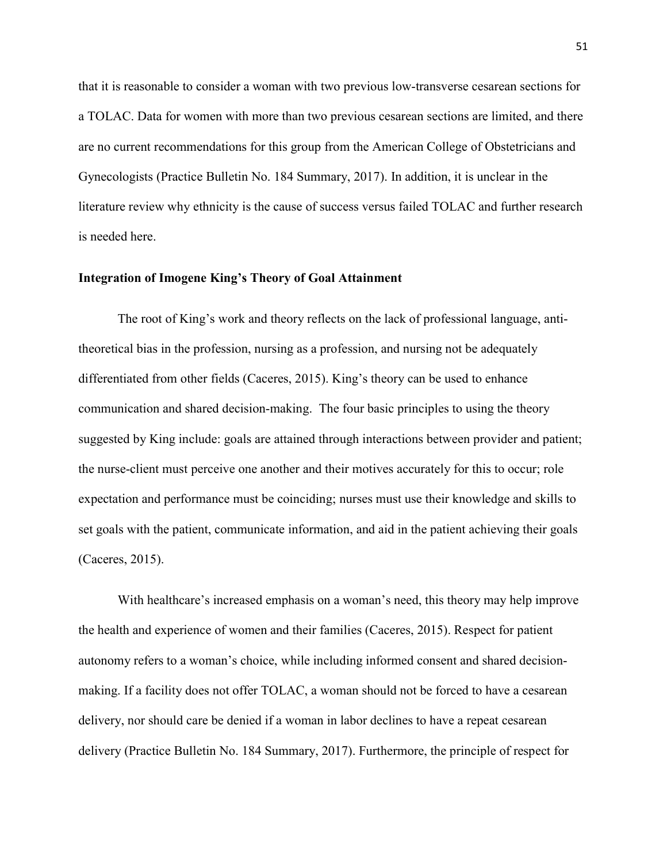that it is reasonable to consider a woman with two previous low-transverse cesarean sections for a TOLAC. Data for women with more than two previous cesarean sections are limited, and there are no current recommendations for this group from the American College of Obstetricians and Gynecologists (Practice Bulletin No. 184 Summary, 2017). In addition, it is unclear in the literature review why ethnicity is the cause of success versus failed TOLAC and further research is needed here.

#### Integration of Imogene King's Theory of Goal Attainment

The root of King's work and theory reflects on the lack of professional language, antitheoretical bias in the profession, nursing as a profession, and nursing not be adequately differentiated from other fields (Caceres, 2015). King's theory can be used to enhance communication and shared decision-making. The four basic principles to using the theory suggested by King include: goals are attained through interactions between provider and patient; the nurse-client must perceive one another and their motives accurately for this to occur; role expectation and performance must be coinciding; nurses must use their knowledge and skills to set goals with the patient, communicate information, and aid in the patient achieving their goals (Caceres, 2015).

With healthcare's increased emphasis on a woman's need, this theory may help improve the health and experience of women and their families (Caceres, 2015). Respect for patient autonomy refers to a woman's choice, while including informed consent and shared decisionmaking. If a facility does not offer TOLAC, a woman should not be forced to have a cesarean delivery, nor should care be denied if a woman in labor declines to have a repeat cesarean delivery (Practice Bulletin No. 184 Summary, 2017). Furthermore, the principle of respect for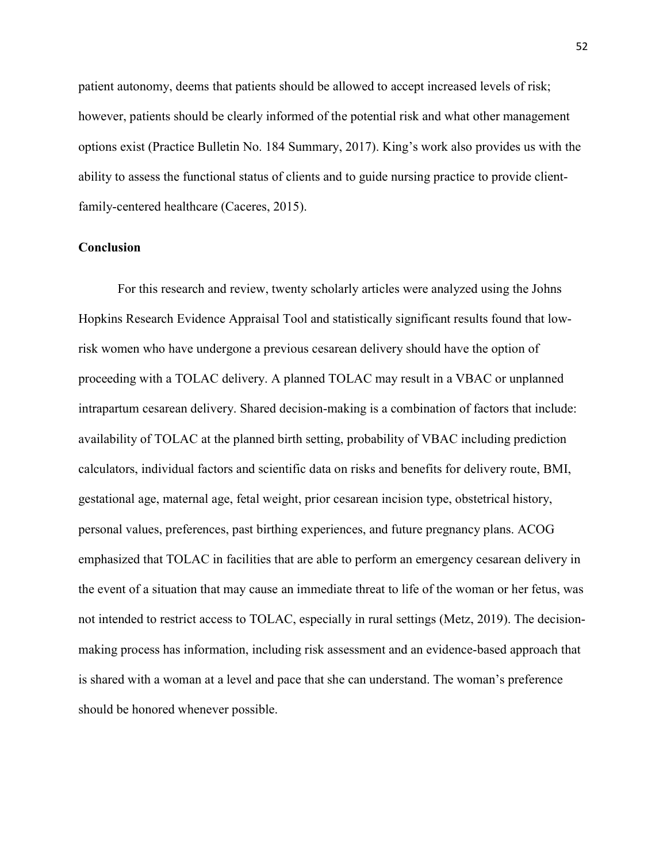patient autonomy, deems that patients should be allowed to accept increased levels of risk; however, patients should be clearly informed of the potential risk and what other management options exist (Practice Bulletin No. 184 Summary, 2017). King's work also provides us with the ability to assess the functional status of clients and to guide nursing practice to provide clientfamily-centered healthcare (Caceres, 2015).

#### **Conclusion**

For this research and review, twenty scholarly articles were analyzed using the Johns Hopkins Research Evidence Appraisal Tool and statistically significant results found that lowrisk women who have undergone a previous cesarean delivery should have the option of proceeding with a TOLAC delivery. A planned TOLAC may result in a VBAC or unplanned intrapartum cesarean delivery. Shared decision-making is a combination of factors that include: availability of TOLAC at the planned birth setting, probability of VBAC including prediction calculators, individual factors and scientific data on risks and benefits for delivery route, BMI, gestational age, maternal age, fetal weight, prior cesarean incision type, obstetrical history, personal values, preferences, past birthing experiences, and future pregnancy plans. ACOG emphasized that TOLAC in facilities that are able to perform an emergency cesarean delivery in the event of a situation that may cause an immediate threat to life of the woman or her fetus, was not intended to restrict access to TOLAC, especially in rural settings (Metz, 2019). The decisionmaking process has information, including risk assessment and an evidence-based approach that is shared with a woman at a level and pace that she can understand. The woman's preference should be honored whenever possible.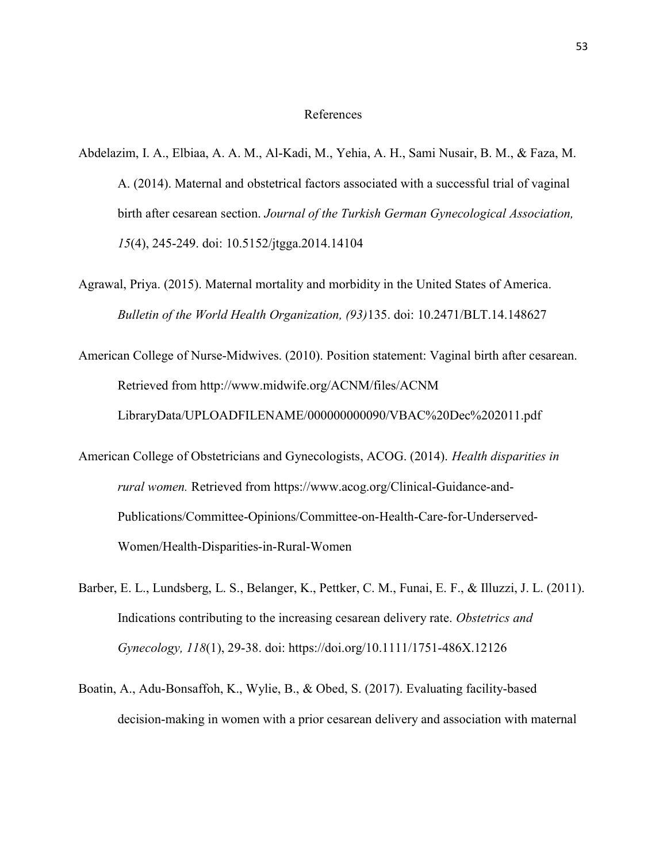#### References

- Abdelazim, I. A., Elbiaa, A. A. M., Al-Kadi, M., Yehia, A. H., Sami Nusair, B. M., & Faza, M. A. (2014). Maternal and obstetrical factors associated with a successful trial of vaginal birth after cesarean section. Journal of the Turkish German Gynecological Association, 15(4), 245-249. doi: 10.5152/jtgga.2014.14104
- Agrawal, Priya. (2015). Maternal mortality and morbidity in the United States of America. Bulletin of the World Health Organization, (93)135. doi: 10.2471/BLT.14.148627
- American College of Nurse-Midwives. (2010). Position statement: Vaginal birth after cesarean. Retrieved from http://www.midwife.org/ACNM/files/ACNM LibraryData/UPLOADFILENAME/000000000090/VBAC%20Dec%202011.pdf
- American College of Obstetricians and Gynecologists, ACOG. (2014). Health disparities in rural women. Retrieved from https://www.acog.org/Clinical-Guidance-and-Publications/Committee-Opinions/Committee-on-Health-Care-for-Underserved-Women/Health-Disparities-in-Rural-Women
- Barber, E. L., Lundsberg, L. S., Belanger, K., Pettker, C. M., Funai, E. F., & Illuzzi, J. L. (2011). Indications contributing to the increasing cesarean delivery rate. Obstetrics and Gynecology, 118(1), 29-38. doi: https://doi.org/10.1111/1751-486X.12126
- Boatin, A., Adu-Bonsaffoh, K., Wylie, B., & Obed, S. (2017). Evaluating facility-based decision-making in women with a prior cesarean delivery and association with maternal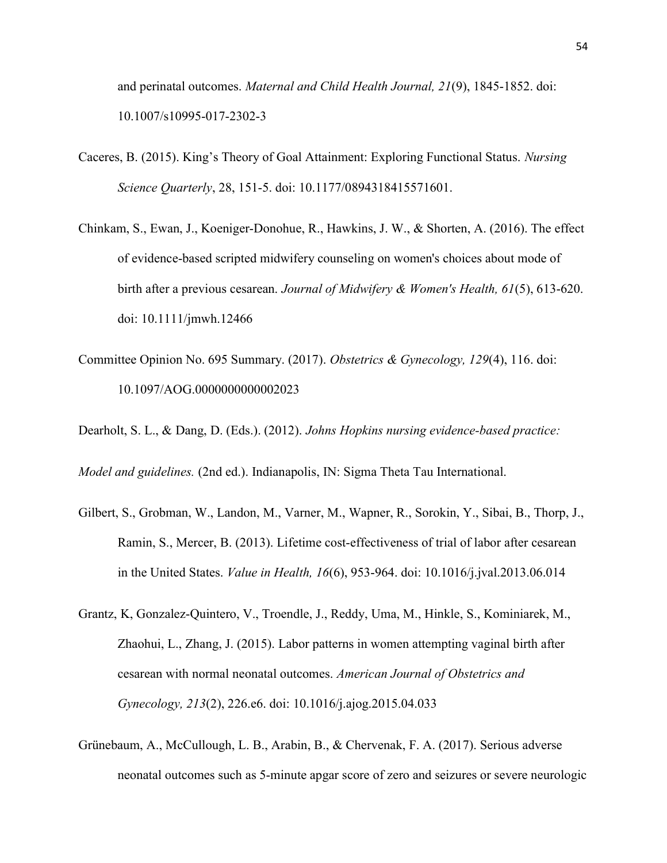and perinatal outcomes. Maternal and Child Health Journal, 21(9), 1845-1852. doi: 10.1007/s10995-017-2302-3

- Caceres, B. (2015). King's Theory of Goal Attainment: Exploring Functional Status. Nursing Science Quarterly, 28, 151-5. doi: 10.1177/0894318415571601.
- Chinkam, S., Ewan, J., Koeniger‐Donohue, R., Hawkins, J. W., & Shorten, A. (2016). The effect of evidence‐based scripted midwifery counseling on women's choices about mode of birth after a previous cesarean. Journal of Midwifery & Women's Health, 61(5), 613-620. doi: 10.1111/jmwh.12466
- Committee Opinion No. 695 Summary. (2017). Obstetrics & Gynecology, 129(4), 116. doi: 10.1097/AOG.0000000000002023

Dearholt, S. L., & Dang, D. (Eds.). (2012). Johns Hopkins nursing evidence-based practice:

Model and guidelines. (2nd ed.). Indianapolis, IN: Sigma Theta Tau International.

- Gilbert, S., Grobman, W., Landon, M., Varner, M., Wapner, R., Sorokin, Y., Sibai, B., Thorp, J., Ramin, S., Mercer, B. (2013). Lifetime cost-effectiveness of trial of labor after cesarean in the United States. Value in Health, 16(6), 953-964. doi: 10.1016/j.jval.2013.06.014
- Grantz, K, Gonzalez-Quintero, V., Troendle, J., Reddy, Uma, M., Hinkle, S., Kominiarek, M., Zhaohui, L., Zhang, J. (2015). Labor patterns in women attempting vaginal birth after cesarean with normal neonatal outcomes. American Journal of Obstetrics and Gynecology, 213(2), 226.e6. doi: 10.1016/j.ajog.2015.04.033
- Grünebaum, A., McCullough, L. B., Arabin, B., & Chervenak, F. A. (2017). Serious adverse neonatal outcomes such as 5-minute apgar score of zero and seizures or severe neurologic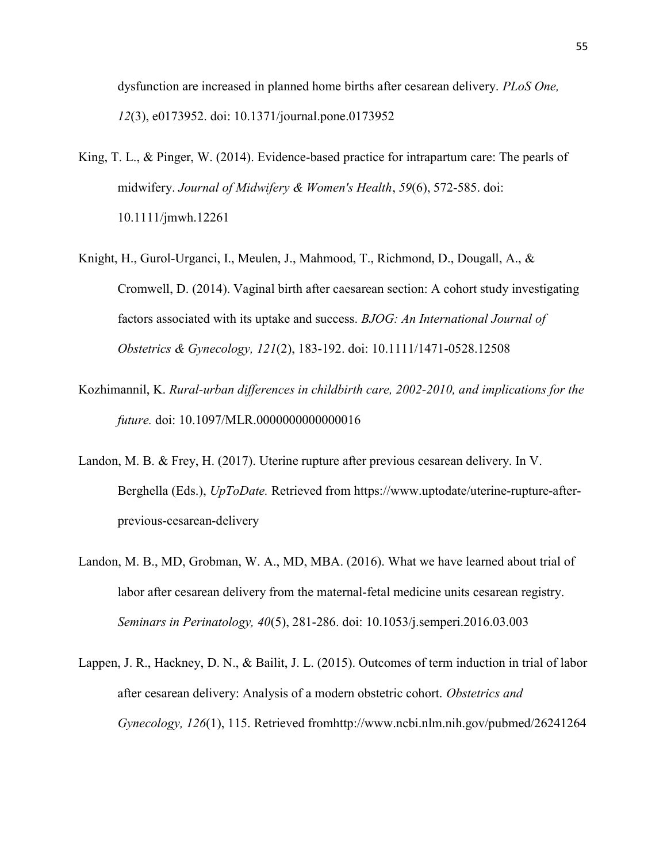dysfunction are increased in planned home births after cesarean delivery. PLoS One, 12(3), e0173952. doi: 10.1371/journal.pone.0173952

- King, T. L., & Pinger, W. (2014). Evidence-based practice for intrapartum care: The pearls of midwifery. Journal of Midwifery & Women's Health, 59(6), 572-585. doi: 10.1111/jmwh.12261
- Knight, H., Gurol‐Urganci, I., Meulen, J., Mahmood, T., Richmond, D., Dougall, A., & Cromwell, D. (2014). Vaginal birth after caesarean section: A cohort study investigating factors associated with its uptake and success. BJOG: An International Journal of Obstetrics & Gynecology, 121(2), 183-192. doi: 10.1111/1471-0528.12508
- Kozhimannil, K. Rural-urban differences in childbirth care, 2002-2010, and implications for the future. doi: 10.1097/MLR.0000000000000016
- Landon, M. B. & Frey, H. (2017). Uterine rupture after previous cesarean delivery. In V. Berghella (Eds.), UpToDate. Retrieved from https://www.uptodate/uterine-rupture-afterprevious-cesarean-delivery
- Landon, M. B., MD, Grobman, W. A., MD, MBA. (2016). What we have learned about trial of labor after cesarean delivery from the maternal-fetal medicine units cesarean registry. Seminars in Perinatology, 40(5), 281-286. doi: 10.1053/j.semperi.2016.03.003
- Lappen, J. R., Hackney, D. N., & Bailit, J. L. (2015). Outcomes of term induction in trial of labor after cesarean delivery: Analysis of a modern obstetric cohort. Obstetrics and Gynecology, 126(1), 115. Retrieved fromhttp://www.ncbi.nlm.nih.gov/pubmed/26241264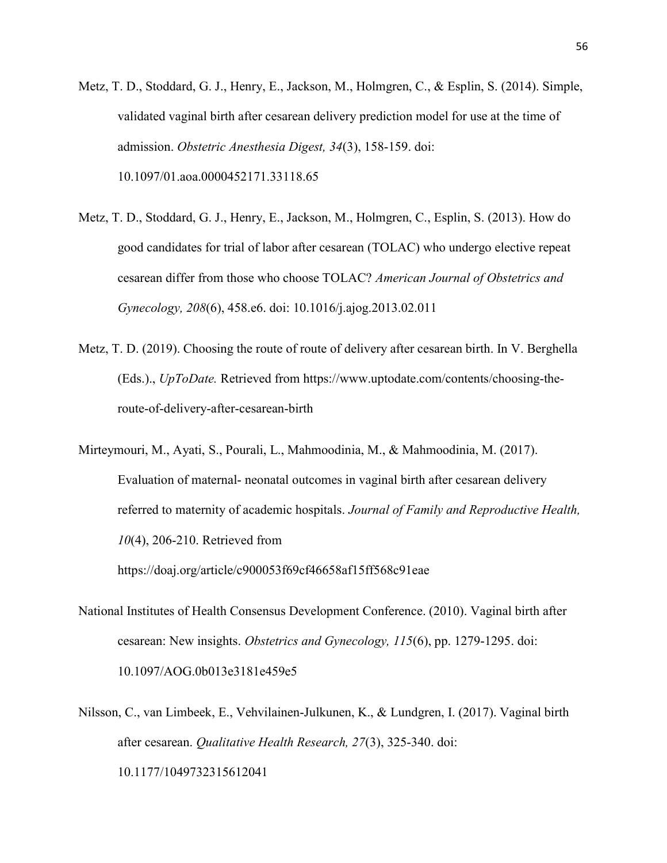- Metz, T. D., Stoddard, G. J., Henry, E., Jackson, M., Holmgren, C., & Esplin, S. (2014). Simple, validated vaginal birth after cesarean delivery prediction model for use at the time of admission. Obstetric Anesthesia Digest, 34(3), 158-159. doi: 10.1097/01.aoa.0000452171.33118.65
- Metz, T. D., Stoddard, G. J., Henry, E., Jackson, M., Holmgren, C., Esplin, S. (2013). How do good candidates for trial of labor after cesarean (TOLAC) who undergo elective repeat cesarean differ from those who choose TOLAC? American Journal of Obstetrics and Gynecology, 208(6), 458.e6. doi: 10.1016/j.ajog.2013.02.011
- Metz, T. D. (2019). Choosing the route of route of delivery after cesarean birth. In V. Berghella (Eds.)., UpToDate. Retrieved from https://www.uptodate.com/contents/choosing-theroute-of-delivery-after-cesarean-birth
- Mirteymouri, M., Ayati, S., Pourali, L., Mahmoodinia, M., & Mahmoodinia, M. (2017). Evaluation of maternal- neonatal outcomes in vaginal birth after cesarean delivery referred to maternity of academic hospitals. Journal of Family and Reproductive Health, 10(4), 206-210. Retrieved from https://doaj.org/article/c900053f69cf46658af15ff568c91eae
- National Institutes of Health Consensus Development Conference. (2010). Vaginal birth after cesarean: New insights. Obstetrics and Gynecology, 115(6), pp. 1279-1295. doi: 10.1097/AOG.0b013e3181e459e5
- Nilsson, C., van Limbeek, E., Vehvilainen-Julkunen, K., & Lundgren, I. (2017). Vaginal birth after cesarean. Qualitative Health Research, 27(3), 325-340. doi: 10.1177/1049732315612041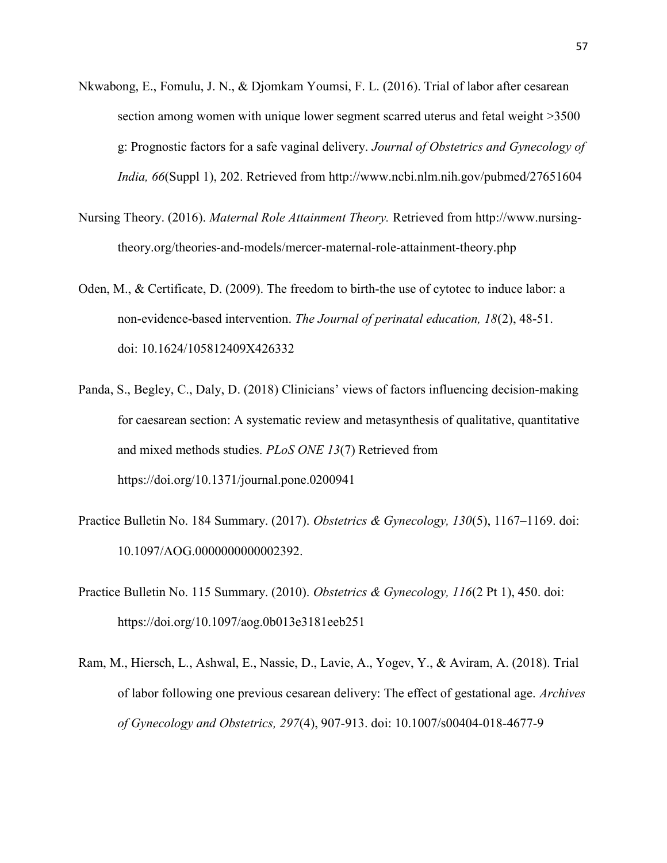- Nkwabong, E., Fomulu, J. N., & Djomkam Youmsi, F. L. (2016). Trial of labor after cesarean section among women with unique lower segment scarred uterus and fetal weight >3500 g: Prognostic factors for a safe vaginal delivery. Journal of Obstetrics and Gynecology of India, 66(Suppl 1), 202. Retrieved from http://www.ncbi.nlm.nih.gov/pubmed/27651604
- Nursing Theory. (2016). Maternal Role Attainment Theory. Retrieved from http://www.nursingtheory.org/theories-and-models/mercer-maternal-role-attainment-theory.php
- Oden, M., & Certificate, D. (2009). The freedom to birth-the use of cytotec to induce labor: a non-evidence-based intervention. The Journal of perinatal education, 18(2), 48-51. doi: 10.1624/105812409X426332
- Panda, S., Begley, C., Daly, D. (2018) Clinicians' views of factors influencing decision-making for caesarean section: A systematic review and metasynthesis of qualitative, quantitative and mixed methods studies. PLoS ONE 13(7) Retrieved from https://doi.org/10.1371/journal.pone.0200941
- Practice Bulletin No. 184 Summary. (2017). Obstetrics & Gynecology, 130(5), 1167-1169. doi: 10.1097/AOG.0000000000002392.
- Practice Bulletin No. 115 Summary. (2010). Obstetrics & Gynecology, 116(2 Pt 1), 450. doi: https://doi.org/10.1097/aog.0b013e3181eeb251
- Ram, M., Hiersch, L., Ashwal, E., Nassie, D., Lavie, A., Yogev, Y., & Aviram, A. (2018). Trial of labor following one previous cesarean delivery: The effect of gestational age. Archives of Gynecology and Obstetrics, 297(4), 907-913. doi: 10.1007/s00404-018-4677-9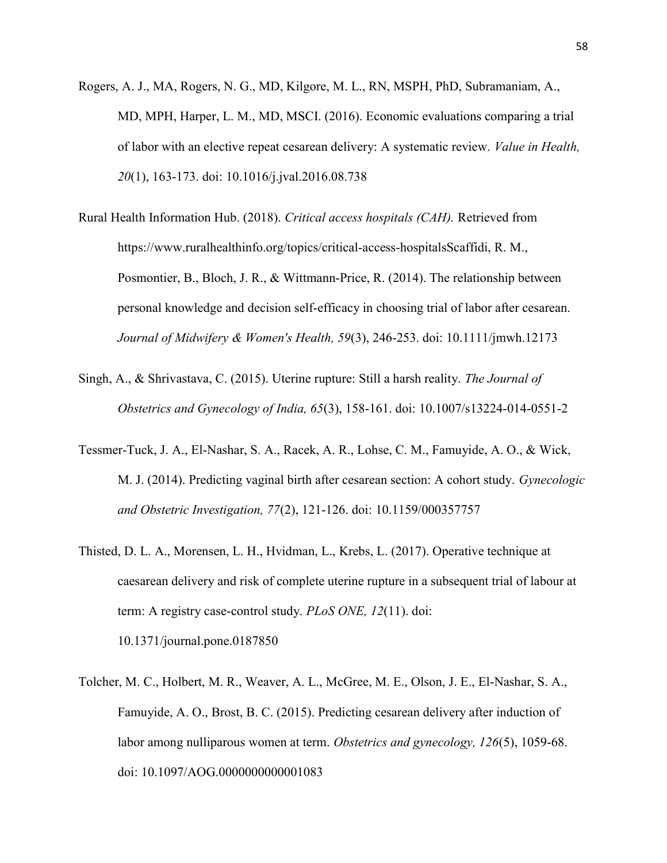- Rogers, A. J., MA, Rogers, N. G., MD, Kilgore, M. L., RN, MSPH, PhD, Subramaniam, A., MD, MPH, Harper, L. M., MD, MSCI. (2016). Economic evaluations comparing a trial of labor with an elective repeat cesarean delivery: A systematic review. Value in Health, 20(1), 163-173. doi: 10.1016/j.jval.2016.08.738
- Rural Health Information Hub. (2018). Critical access hospitals (CAH). Retrieved from https://www.ruralhealthinfo.org/topics/critical-access-hospitalsScaffidi, R. M., Posmontier, B., Bloch, J. R., & Wittmann‐Price, R. (2014). The relationship between personal knowledge and decision self‐efficacy in choosing trial of labor after cesarean. Journal of Midwifery & Women's Health, 59(3), 246-253. doi: 10.1111/jmwh.12173
- Singh, A., & Shrivastava, C. (2015). Uterine rupture: Still a harsh reality. The Journal of Obstetrics and Gynecology of India, 65(3), 158-161. doi: 10.1007/s13224-014-0551-2
- Tessmer-Tuck, J. A., El-Nashar, S. A., Racek, A. R., Lohse, C. M., Famuyide, A. O., & Wick, M. J. (2014). Predicting vaginal birth after cesarean section: A cohort study. Gynecologic and Obstetric Investigation, 77(2), 121-126. doi: 10.1159/000357757
- Thisted, D. L. A., Morensen, L. H., Hvidman, L., Krebs, L. (2017). Operative technique at caesarean delivery and risk of complete uterine rupture in a subsequent trial of labour at term: A registry case-control study. PLoS ONE, 12(11). doi: 10.1371/journal.pone.0187850
- Tolcher, M. C., Holbert, M. R., Weaver, A. L., McGree, M. E., Olson, J. E., El-Nashar, S. A., Famuyide, A. O., Brost, B. C. (2015). Predicting cesarean delivery after induction of labor among nulliparous women at term. *Obstetrics and gynecology*, 126(5), 1059-68. doi: 10.1097/AOG.0000000000001083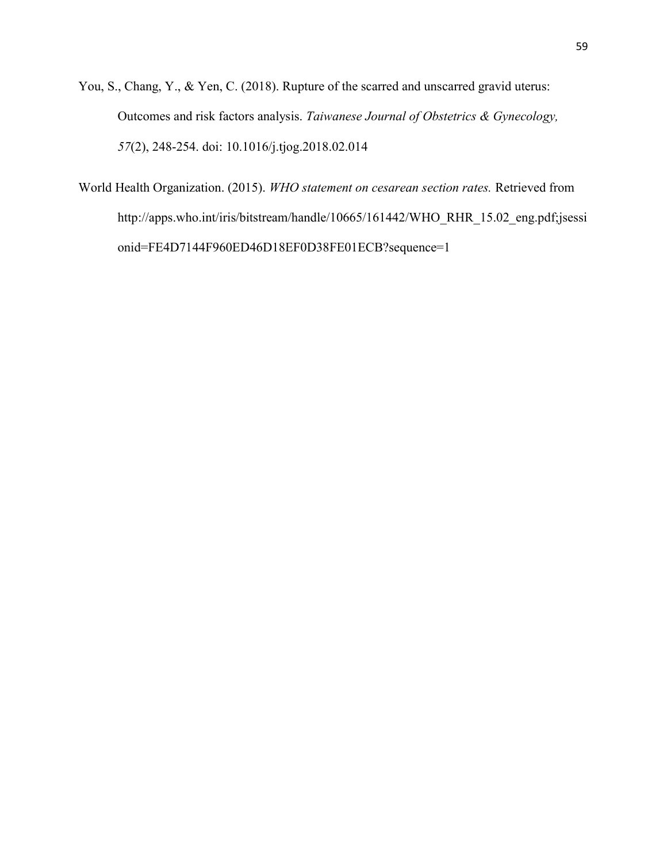You, S., Chang, Y., & Yen, C. (2018). Rupture of the scarred and unscarred gravid uterus: Outcomes and risk factors analysis. Taiwanese Journal of Obstetrics & Gynecology, 57(2), 248-254. doi: 10.1016/j.tjog.2018.02.014

World Health Organization. (2015). WHO statement on cesarean section rates. Retrieved from http://apps.who.int/iris/bitstream/handle/10665/161442/WHO\_RHR\_15.02\_eng.pdf;jsessi onid=FE4D7144F960ED46D18EF0D38FE01ECB?sequence=1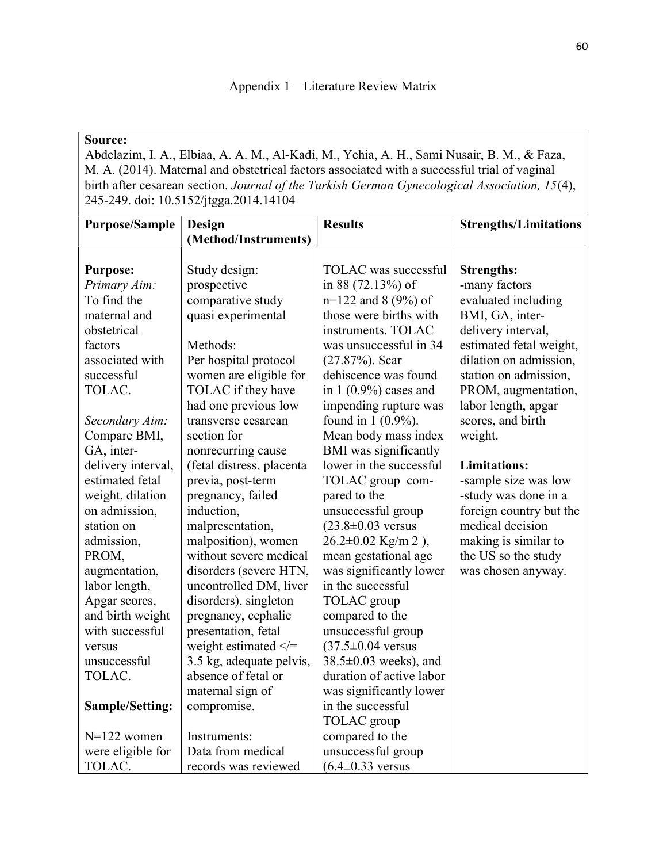## Source:

 Abdelazim, I. A., Elbiaa, A. A. M., Al-Kadi, M., Yehia, A. H., Sami Nusair, B. M., & Faza, M. A. (2014). Maternal and obstetrical factors associated with a successful trial of vaginal birth after cesarean section. Journal of the Turkish German Gynecological Association, 15(4), 245-249. doi: 10.5152/jtgga.2014.14104

| <b>Purpose/Sample</b> | Design                     | <b>Results</b>                  | <b>Strengths/Limitations</b> |
|-----------------------|----------------------------|---------------------------------|------------------------------|
|                       | (Method/Instruments)       |                                 |                              |
| <b>Purpose:</b>       | Study design:              | TOLAC was successful            | <b>Strengths:</b>            |
| Primary Aim:          | prospective                | in 88 (72.13%) of               | -many factors                |
| To find the           | comparative study          | $n=122$ and 8 (9%) of           | evaluated including          |
| maternal and          | quasi experimental         | those were births with          | BMI, GA, inter-              |
| obstetrical           |                            | instruments. TOLAC              | delivery interval,           |
| factors               | Methods:                   | was unsuccessful in 34          | estimated fetal weight,      |
| associated with       | Per hospital protocol      | $(27.87%)$ . Scar               | dilation on admission,       |
| successful            | women are eligible for     | dehiscence was found            | station on admission,        |
| TOLAC.                | TOLAC if they have         | in $1(0.9\%)$ cases and         | PROM, augmentation,          |
|                       | had one previous low       | impending rupture was           | labor length, apgar          |
| Secondary Aim:        | transverse cesarean        | found in $1(0.9\%)$ .           | scores, and birth            |
| Compare BMI,          | section for                | Mean body mass index            | weight.                      |
| GA, inter-            | nonrecurring cause         | BMI was significantly           |                              |
| delivery interval,    | (fetal distress, placenta  | lower in the successful         | <b>Limitations:</b>          |
| estimated fetal       | previa, post-term          | TOLAC group com-                | -sample size was low         |
| weight, dilation      | pregnancy, failed          | pared to the                    | -study was done in a         |
| on admission,         | induction,                 | unsuccessful group              | foreign country but the      |
| station on            | malpresentation,           | $(23.8 \pm 0.03$ versus         | medical decision             |
| admission,            | malposition), women        | $26.2 \pm 0.02$ Kg/m 2),        | making is similar to         |
| PROM,                 | without severe medical     | mean gestational age            | the US so the study          |
| augmentation,         | disorders (severe HTN,     | was significantly lower         | was chosen anyway.           |
| labor length,         | uncontrolled DM, liver     | in the successful               |                              |
| Apgar scores,         | disorders), singleton      | TOLAC group                     |                              |
| and birth weight      | pregnancy, cephalic        | compared to the                 |                              |
| with successful       | presentation, fetal        | unsuccessful group              |                              |
| versus                | weight estimated $\le$ $=$ | $(37.5 \pm 0.04 \text{ versus}$ |                              |
| unsuccessful          | 3.5 kg, adequate pelvis,   | $38.5\pm0.03$ weeks), and       |                              |
| TOLAC.                | absence of fetal or        | duration of active labor        |                              |
|                       | maternal sign of           | was significantly lower         |                              |
| Sample/Setting:       | compromise.                | in the successful               |                              |
|                       |                            | TOLAC group                     |                              |
| $N=122$ women         | Instruments:               | compared to the                 |                              |
| were eligible for     | Data from medical          | unsuccessful group              |                              |
| TOLAC.                | records was reviewed       | $(6.4 \pm 0.33 \text{ versus}$  |                              |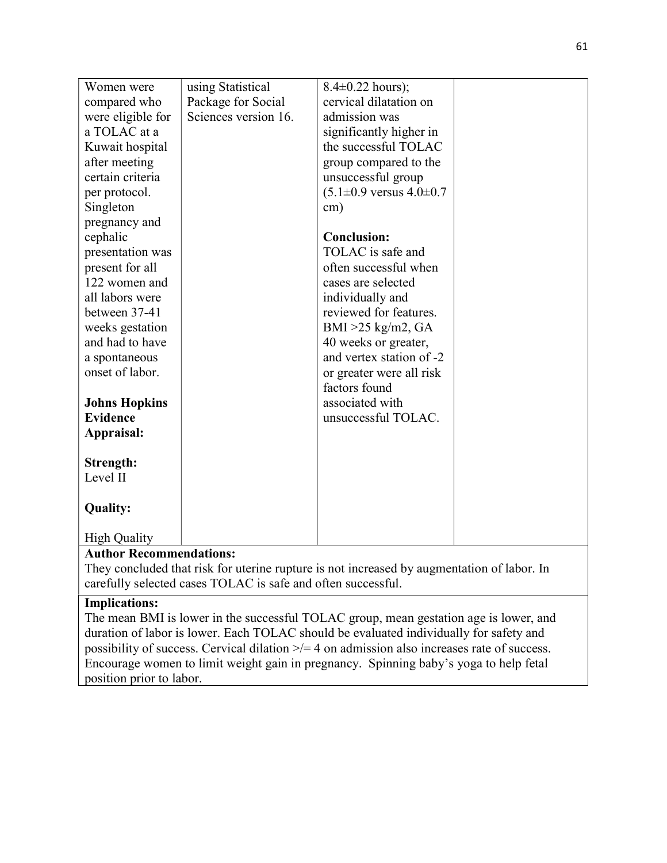| Women were           | using Statistical    | $8.4 \pm 0.22$ hours);                     |  |
|----------------------|----------------------|--------------------------------------------|--|
| compared who         | Package for Social   | cervical dilatation on                     |  |
| were eligible for    | Sciences version 16. | admission was                              |  |
| a TOLAC at a         |                      | significantly higher in                    |  |
| Kuwait hospital      |                      | the successful TOLAC                       |  |
| after meeting        |                      | group compared to the                      |  |
| certain criteria     |                      | unsuccessful group                         |  |
| per protocol.        |                      | $(5.1 \pm 0.9 \text{ versus } 4.0 \pm 0.7$ |  |
| Singleton            |                      | $\text{cm}$ )                              |  |
| pregnancy and        |                      |                                            |  |
| cephalic             |                      | <b>Conclusion:</b>                         |  |
| presentation was     |                      | TOLAC is safe and                          |  |
| present for all      |                      | often successful when                      |  |
| 122 women and        |                      | cases are selected                         |  |
| all labors were      |                      | individually and                           |  |
| between 37-41        |                      | reviewed for features.                     |  |
| weeks gestation      |                      | BMI $>25$ kg/m2, GA                        |  |
| and had to have      |                      | 40 weeks or greater,                       |  |
| a spontaneous        |                      | and vertex station of -2                   |  |
| onset of labor.      |                      | or greater were all risk                   |  |
|                      |                      | factors found                              |  |
| <b>Johns Hopkins</b> |                      | associated with                            |  |
| <b>Evidence</b>      |                      | unsuccessful TOLAC.                        |  |
| Appraisal:           |                      |                                            |  |
|                      |                      |                                            |  |
| Strength:            |                      |                                            |  |
| Level II             |                      |                                            |  |
|                      |                      |                                            |  |
| <b>Quality:</b>      |                      |                                            |  |
|                      |                      |                                            |  |
| <b>High Quality</b>  |                      |                                            |  |

## Author Recommendations:

They concluded that risk for uterine rupture is not increased by augmentation of labor. In carefully selected cases TOLAC is safe and often successful.

## Implications:

The mean BMI is lower in the successful TOLAC group, mean gestation age is lower, and duration of labor is lower. Each TOLAC should be evaluated individually for safety and possibility of success. Cervical dilation >/= 4 on admission also increases rate of success. Encourage women to limit weight gain in pregnancy. Spinning baby's yoga to help fetal position prior to labor.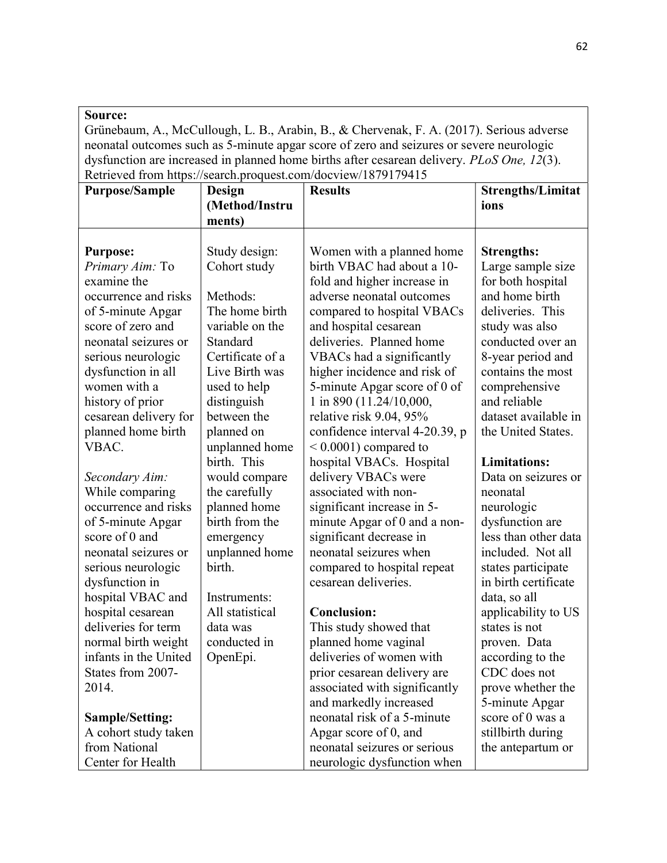## Source:

Grünebaum, A., McCullough, L. B., Arabin, B., & Chervenak, F. A. (2017). Serious adverse neonatal outcomes such as 5-minute apgar score of zero and seizures or severe neurologic dysfunction are increased in planned home births after cesarean delivery. PLoS One, 12(3). Retrieved from https://search.proquest.com/docview/1879179415

| <b>Purpose/Sample</b>  | Design           | Retrieved from https://search.proquest.com/docview/10/21/2412<br><b>Results</b> | <b>Strengths/Limitat</b> |
|------------------------|------------------|---------------------------------------------------------------------------------|--------------------------|
|                        | (Method/Instru   |                                                                                 | ions                     |
|                        | ments)           |                                                                                 |                          |
|                        |                  |                                                                                 |                          |
| <b>Purpose:</b>        | Study design:    | Women with a planned home                                                       | <b>Strengths:</b>        |
| Primary Aim: To        | Cohort study     | birth VBAC had about a 10-                                                      | Large sample size        |
| examine the            |                  | fold and higher increase in                                                     | for both hospital        |
| occurrence and risks   | Methods:         | adverse neonatal outcomes                                                       | and home birth           |
| of 5-minute Apgar      | The home birth   | compared to hospital VBACs                                                      | deliveries. This         |
| score of zero and      | variable on the  | and hospital cesarean                                                           | study was also           |
| neonatal seizures or   | Standard         | deliveries. Planned home                                                        | conducted over an        |
| serious neurologic     | Certificate of a | VBACs had a significantly                                                       | 8-year period and        |
| dysfunction in all     | Live Birth was   | higher incidence and risk of                                                    | contains the most        |
| women with a           | used to help     | 5-minute Apgar score of 0 of                                                    | comprehensive            |
| history of prior       | distinguish      | 1 in 890 (11.24/10,000,                                                         | and reliable             |
| cesarean delivery for  | between the      | relative risk 9.04, 95%                                                         | dataset available in     |
| planned home birth     | planned on       | confidence interval 4-20.39, p                                                  | the United States.       |
| VBAC.                  | unplanned home   | $< 0.0001$ ) compared to                                                        |                          |
|                        | birth. This      | hospital VBACs. Hospital                                                        | <b>Limitations:</b>      |
| Secondary Aim:         | would compare    | delivery VBACs were                                                             | Data on seizures or      |
| While comparing        | the carefully    | associated with non-                                                            | neonatal                 |
| occurrence and risks   | planned home     | significant increase in 5-                                                      | neurologic               |
| of 5-minute Apgar      | birth from the   | minute Apgar of 0 and a non-                                                    | dysfunction are          |
| score of 0 and         | emergency        | significant decrease in                                                         | less than other data     |
| neonatal seizures or   | unplanned home   | neonatal seizures when                                                          | included. Not all        |
| serious neurologic     | birth.           | compared to hospital repeat                                                     | states participate       |
| dysfunction in         |                  | cesarean deliveries.                                                            | in birth certificate     |
| hospital VBAC and      | Instruments:     |                                                                                 | data, so all             |
| hospital cesarean      | All statistical  | <b>Conclusion:</b>                                                              | applicability to US      |
| deliveries for term    | data was         | This study showed that                                                          | states is not            |
| normal birth weight    | conducted in     | planned home vaginal                                                            | proven. Data             |
| infants in the United  | OpenEpi.         | deliveries of women with                                                        | according to the         |
| States from 2007-      |                  | prior cesarean delivery are                                                     | CDC does not             |
| 2014.                  |                  | associated with significantly                                                   | prove whether the        |
|                        |                  | and markedly increased                                                          | 5-minute Apgar           |
| <b>Sample/Setting:</b> |                  | neonatal risk of a 5-minute                                                     | score of 0 was a         |
| A cohort study taken   |                  | Apgar score of 0, and                                                           | stillbirth during        |
| from National          |                  | neonatal seizures or serious                                                    | the antepartum or        |
| Center for Health      |                  | neurologic dysfunction when                                                     |                          |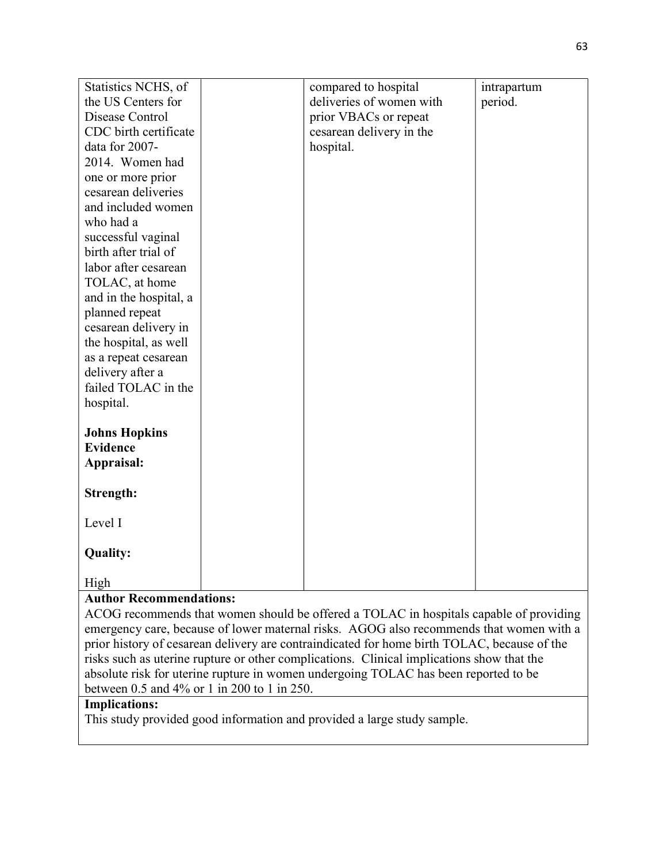| Statistics NCHS, of                     | compared to hospital     | intrapartum |
|-----------------------------------------|--------------------------|-------------|
| the US Centers for                      | deliveries of women with | period.     |
| Disease Control                         | prior VBACs or repeat    |             |
| CDC birth certificate                   | cesarean delivery in the |             |
| data for 2007-                          | hospital.                |             |
| 2014. Women had                         |                          |             |
| one or more prior                       |                          |             |
| cesarean deliveries                     |                          |             |
| and included women                      |                          |             |
| who had a                               |                          |             |
| successful vaginal                      |                          |             |
| birth after trial of                    |                          |             |
| labor after cesarean                    |                          |             |
| TOLAC, at home                          |                          |             |
| and in the hospital, a                  |                          |             |
| planned repeat                          |                          |             |
| cesarean delivery in                    |                          |             |
| the hospital, as well                   |                          |             |
| as a repeat cesarean                    |                          |             |
| delivery after a                        |                          |             |
| failed TOLAC in the                     |                          |             |
| hospital.                               |                          |             |
|                                         |                          |             |
| <b>Johns Hopkins</b><br><b>Evidence</b> |                          |             |
| Appraisal:                              |                          |             |
|                                         |                          |             |
| Strength:                               |                          |             |
|                                         |                          |             |
| Level I                                 |                          |             |
|                                         |                          |             |
| <b>Quality:</b>                         |                          |             |
| High                                    |                          |             |

## Author Recommendations:

ACOG recommends that women should be offered a TOLAC in hospitals capable of providing emergency care, because of lower maternal risks. AGOG also recommends that women with a prior history of cesarean delivery are contraindicated for home birth TOLAC, because of the risks such as uterine rupture or other complications. Clinical implications show that the absolute risk for uterine rupture in women undergoing TOLAC has been reported to be between 0.5 and 4% or 1 in 200 to 1 in 250.

## Implications:

This study provided good information and provided a large study sample.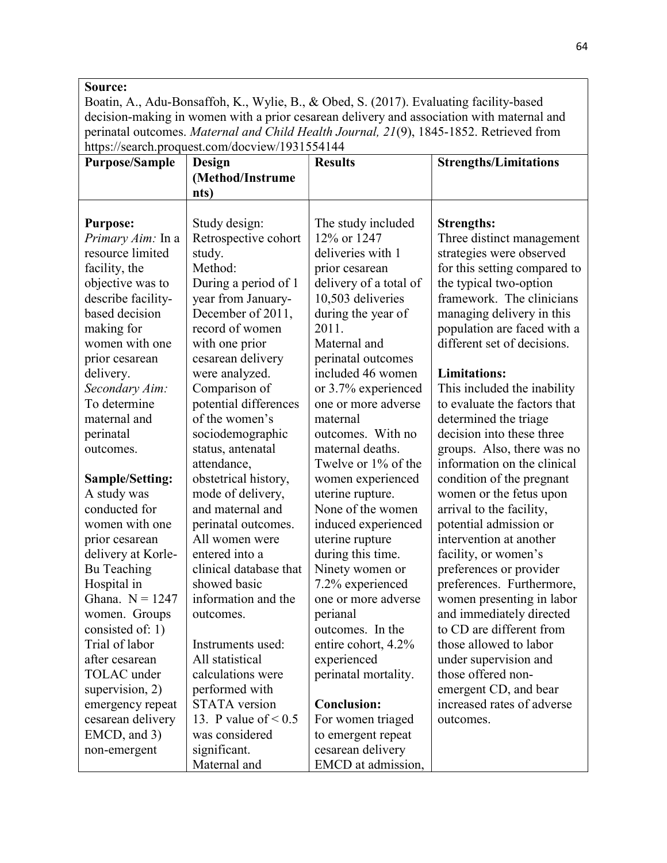### Source:

Boatin, A., Adu-Bonsaffoh, K., Wylie, B., & Obed, S. (2017). Evaluating facility-based decision-making in women with a prior cesarean delivery and association with maternal and perinatal outcomes. Maternal and Child Health Journal, 21(9), 1845-1852. Retrieved from https://search.proquest.com/docview/1931554144

| <b>Purpose/Sample</b>    | Design                    | <b>Results</b>         | <b>Strengths/Limitations</b> |
|--------------------------|---------------------------|------------------------|------------------------------|
|                          | (Method/Instrume          |                        |                              |
|                          | nts)                      |                        |                              |
|                          |                           |                        |                              |
| <b>Purpose:</b>          | Study design:             | The study included     | <b>Strengths:</b>            |
| <i>Primary Aim:</i> In a | Retrospective cohort      | 12% or 1247            | Three distinct management    |
| resource limited         | study.                    | deliveries with 1      | strategies were observed     |
| facility, the            | Method:                   | prior cesarean         | for this setting compared to |
| objective was to         | During a period of 1      | delivery of a total of | the typical two-option       |
| describe facility-       | year from January-        | 10,503 deliveries      | framework. The clinicians    |
| based decision           | December of 2011,         | during the year of     | managing delivery in this    |
| making for               | record of women           | 2011.                  | population are faced with a  |
| women with one           | with one prior            | Maternal and           | different set of decisions.  |
| prior cesarean           | cesarean delivery         | perinatal outcomes     |                              |
| delivery.                | were analyzed.            | included 46 women      | <b>Limitations:</b>          |
| Secondary Aim:           | Comparison of             | or 3.7% experienced    | This included the inability  |
| To determine             | potential differences     | one or more adverse    | to evaluate the factors that |
| maternal and             | of the women's            | maternal               | determined the triage        |
| perinatal                | sociodemographic          | outcomes. With no      | decision into these three    |
| outcomes.                | status, antenatal         | maternal deaths.       | groups. Also, there was no   |
|                          | attendance,               | Twelve or 1% of the    | information on the clinical  |
| <b>Sample/Setting:</b>   | obstetrical history,      | women experienced      | condition of the pregnant    |
| A study was              | mode of delivery,         | uterine rupture.       | women or the fetus upon      |
| conducted for            | and maternal and          | None of the women      | arrival to the facility,     |
| women with one           | perinatal outcomes.       | induced experienced    | potential admission or       |
| prior cesarean           | All women were            | uterine rupture        | intervention at another      |
| delivery at Korle-       | entered into a            | during this time.      | facility, or women's         |
| Bu Teaching              | clinical database that    | Ninety women or        | preferences or provider      |
| Hospital in              | showed basic              | 7.2% experienced       | preferences. Furthermore,    |
| Ghana. $N = 1247$        | information and the       | one or more adverse    | women presenting in labor    |
| women. Groups            | outcomes.                 | perianal               | and immediately directed     |
| consisted of: 1)         |                           | outcomes. In the       | to CD are different from     |
| Trial of labor           | Instruments used:         | entire cohort, 4.2%    | those allowed to labor       |
| after cesarean           | All statistical           | experienced            | under supervision and        |
| TOLAC under              | calculations were         | perinatal mortality.   | those offered non-           |
| supervision, 2)          | performed with            |                        | emergent CD, and bear        |
| emergency repeat         | <b>STATA</b> version      | <b>Conclusion:</b>     | increased rates of adverse   |
| cesarean delivery        | 13. P value of $\leq 0.5$ | For women triaged      | outcomes.                    |
| EMCD, and 3)             | was considered            | to emergent repeat     |                              |
| non-emergent             | significant.              | cesarean delivery      |                              |
|                          | Maternal and              | EMCD at admission,     |                              |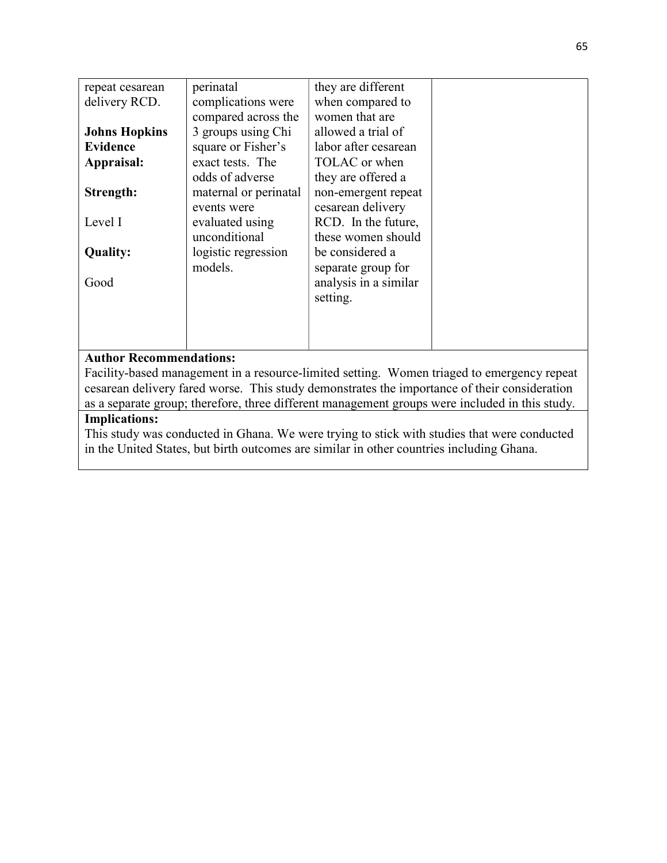| repeat cesarean                | perinatal                                                                                  | they are different    |  |
|--------------------------------|--------------------------------------------------------------------------------------------|-----------------------|--|
| delivery RCD.                  | complications were                                                                         | when compared to      |  |
|                                | compared across the                                                                        | women that are        |  |
| <b>Johns Hopkins</b>           | 3 groups using Chi                                                                         | allowed a trial of    |  |
| <b>Evidence</b>                | square or Fisher's                                                                         | labor after cesarean  |  |
| Appraisal:                     | exact tests. The                                                                           | TOLAC or when         |  |
|                                | odds of adverse                                                                            | they are offered a    |  |
| Strength:                      | maternal or perinatal                                                                      | non-emergent repeat   |  |
|                                | events were                                                                                | cesarean delivery     |  |
| Level I                        | evaluated using                                                                            | RCD. In the future,   |  |
|                                | unconditional                                                                              | these women should    |  |
| <b>Quality:</b>                | logistic regression                                                                        | be considered a       |  |
|                                | models.                                                                                    | separate group for    |  |
| Good                           |                                                                                            | analysis in a similar |  |
|                                |                                                                                            | setting.              |  |
|                                |                                                                                            |                       |  |
|                                |                                                                                            |                       |  |
|                                |                                                                                            |                       |  |
| <b>Author Recommendations:</b> |                                                                                            |                       |  |
|                                | Facility-based management in a resource-limited setting. Women triaged to emergency repeat |                       |  |
|                                |                                                                                            |                       |  |

cesarean delivery fared worse. This study demonstrates the importance of their consideration as a separate group; therefore, three different management groups were included in this study.

## Implications:

This study was conducted in Ghana. We were trying to stick with studies that were conducted in the United States, but birth outcomes are similar in other countries including Ghana.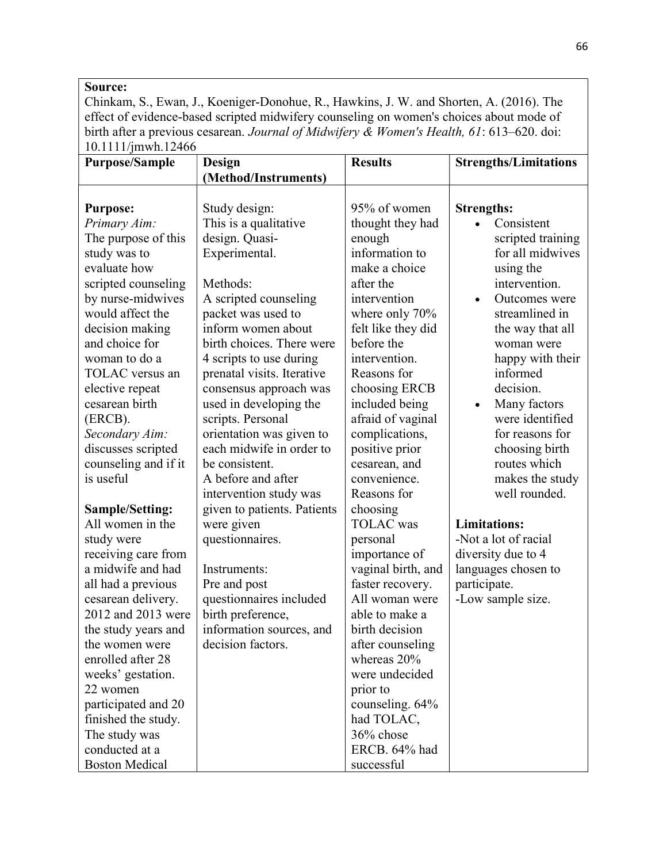#### Source:

Chinkam, S., Ewan, J., Koeniger-Donohue, R., Hawkins, J. W. and Shorten, A. (2016). The effect of evidence-based scripted midwifery counseling on women's choices about mode of birth after a previous cesarean. Journal of Midwifery & Women's Health, 61: 613-620. doi: 10.1111/jmwh.12466

| <b>Purpose/Sample</b>  | Design                      | <b>Results</b>     | <b>Strengths/Limitations</b> |
|------------------------|-----------------------------|--------------------|------------------------------|
|                        | (Method/Instruments)        |                    |                              |
|                        |                             |                    |                              |
| <b>Purpose:</b>        | Study design:               | 95% of women       | <b>Strengths:</b>            |
| Primary Aim:           | This is a qualitative       | thought they had   | Consistent                   |
| The purpose of this    | design. Quasi-              | enough             | scripted training            |
| study was to           | Experimental.               | information to     | for all midwives             |
| evaluate how           |                             | make a choice      | using the                    |
| scripted counseling    | Methods:                    | after the          | intervention.                |
| by nurse-midwives      | A scripted counseling       | intervention       | Outcomes were<br>$\bullet$   |
| would affect the       | packet was used to          | where only 70%     | streamlined in               |
| decision making        | inform women about          | felt like they did | the way that all             |
| and choice for         | birth choices. There were   | before the         | woman were                   |
| woman to do a          | 4 scripts to use during     | intervention.      | happy with their             |
| TOLAC versus an        | prenatal visits. Iterative  | Reasons for        | informed                     |
| elective repeat        | consensus approach was      | choosing ERCB      | decision.                    |
| cesarean birth         | used in developing the      | included being     | Many factors<br>$\bullet$    |
| (ERCB).                | scripts. Personal           | afraid of vaginal  | were identified              |
| Secondary Aim:         | orientation was given to    | complications,     | for reasons for              |
| discusses scripted     | each midwife in order to    | positive prior     | choosing birth               |
| counseling and if it   | be consistent.              | cesarean, and      | routes which                 |
| is useful              | A before and after          | convenience.       | makes the study              |
|                        | intervention study was      | Reasons for        | well rounded.                |
| <b>Sample/Setting:</b> | given to patients. Patients | choosing           |                              |
| All women in the       | were given                  | <b>TOLAC</b> was   | <b>Limitations:</b>          |
| study were             | questionnaires.             | personal           | -Not a lot of racial         |
| receiving care from    |                             | importance of      | diversity due to 4           |
| a midwife and had      | Instruments:                | vaginal birth, and | languages chosen to          |
| all had a previous     | Pre and post                | faster recovery.   | participate.                 |
| cesarean delivery.     | questionnaires included     | All woman were     | -Low sample size.            |
| 2012 and 2013 were     | birth preference,           | able to make a     |                              |
| the study years and    | information sources, and    | birth decision     |                              |
| the women were         | decision factors.           | after counseling   |                              |
| enrolled after 28      |                             | whereas 20%        |                              |
| weeks' gestation.      |                             | were undecided     |                              |
| 22 women               |                             | prior to           |                              |
| participated and 20    |                             | counseling. 64%    |                              |
| finished the study.    |                             | had TOLAC,         |                              |
| The study was          |                             | 36% chose          |                              |
| conducted at a         |                             | ERCB. 64% had      |                              |
| <b>Boston Medical</b>  |                             | successful         |                              |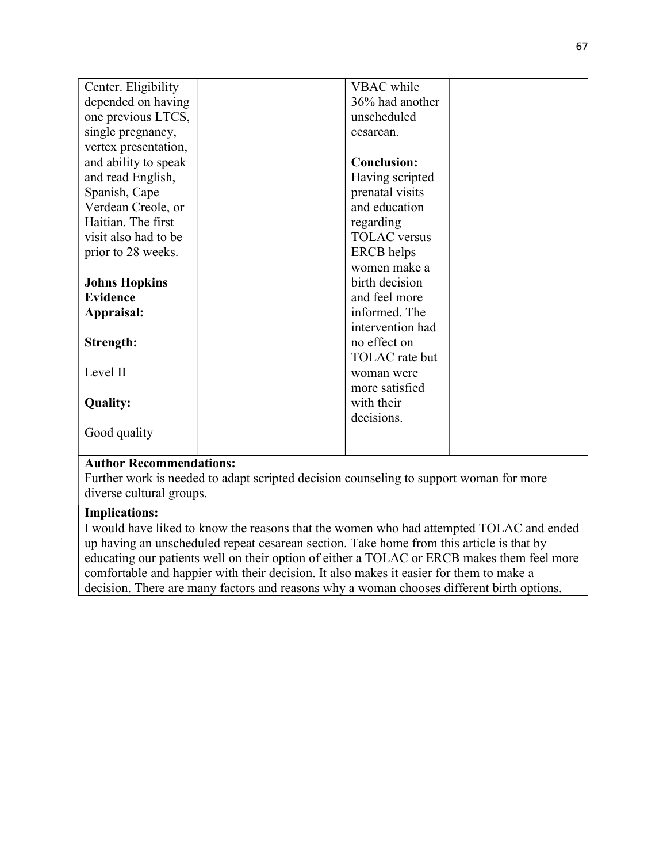| Center. Eligibility            | VBAC while                                                                             |  |
|--------------------------------|----------------------------------------------------------------------------------------|--|
| depended on having             | 36% had another                                                                        |  |
| one previous LTCS,             | unscheduled                                                                            |  |
| single pregnancy,              | cesarean.                                                                              |  |
| vertex presentation,           |                                                                                        |  |
| and ability to speak           | <b>Conclusion:</b>                                                                     |  |
| and read English,              | Having scripted                                                                        |  |
| Spanish, Cape                  | prenatal visits                                                                        |  |
| Verdean Creole, or             | and education                                                                          |  |
| Haitian. The first             | regarding                                                                              |  |
| visit also had to be           | <b>TOLAC</b> versus                                                                    |  |
| prior to 28 weeks.             | <b>ERCB</b> helps                                                                      |  |
|                                | women make a                                                                           |  |
| <b>Johns Hopkins</b>           | birth decision                                                                         |  |
| <b>Evidence</b>                | and feel more                                                                          |  |
| Appraisal:                     | informed. The                                                                          |  |
|                                | intervention had                                                                       |  |
| Strength:                      | no effect on                                                                           |  |
|                                | TOLAC rate but                                                                         |  |
| Level II                       | woman were                                                                             |  |
|                                | more satisfied                                                                         |  |
| <b>Quality:</b>                | with their                                                                             |  |
|                                | decisions.                                                                             |  |
| Good quality                   |                                                                                        |  |
|                                |                                                                                        |  |
| <b>Author Recommendations:</b> |                                                                                        |  |
|                                | Further work is needed to adapt scripted decision counseling to support woman for more |  |

Further work is needed to adapt scripted decision counseling to support woman for more diverse cultural groups.

## Implications:

I would have liked to know the reasons that the women who had attempted TOLAC and ended up having an unscheduled repeat cesarean section. Take home from this article is that by educating our patients well on their option of either a TOLAC or ERCB makes them feel more comfortable and happier with their decision. It also makes it easier for them to make a decision. There are many factors and reasons why a woman chooses different birth options.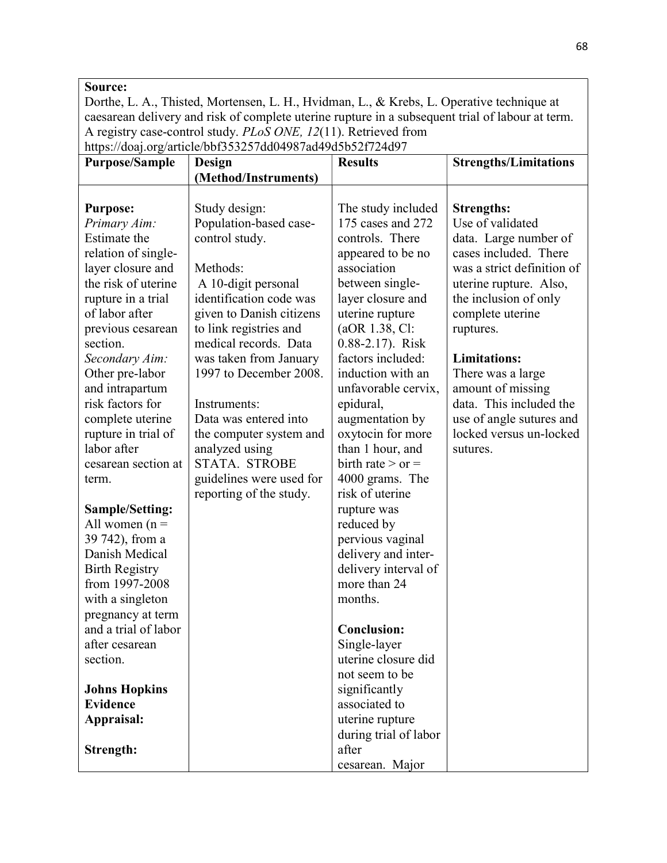#### Source:

Dorthe, L. A., Thisted, Mortensen, L. H., Hvidman, L., & Krebs, L. Operative technique at caesarean delivery and risk of complete uterine rupture in a subsequent trial of labour at term. A registry case-control study. PLoS ONE, 12(11). Retrieved from https://doaj.org/article/bbf353257dd04987ad49d5b52f724d97

| <b>Purpose/Sample</b>  | Design                   | <b>Results</b>        | <b>Strengths/Limitations</b> |
|------------------------|--------------------------|-----------------------|------------------------------|
|                        | (Method/Instruments)     |                       |                              |
|                        |                          |                       |                              |
| <b>Purpose:</b>        | Study design:            | The study included    | <b>Strengths:</b>            |
| Primary Aim:           | Population-based case-   | 175 cases and 272     | Use of validated             |
| Estimate the           | control study.           | controls. There       | data. Large number of        |
| relation of single-    |                          | appeared to be no     | cases included. There        |
| layer closure and      | Methods:                 | association           | was a strict definition of   |
| the risk of uterine    | A 10-digit personal      | between single-       | uterine rupture. Also,       |
| rupture in a trial     | identification code was  | layer closure and     | the inclusion of only        |
| of labor after         | given to Danish citizens | uterine rupture       | complete uterine             |
| previous cesarean      | to link registries and   | (aOR 1.38, Cl:        | ruptures.                    |
| section.               | medical records. Data    | 0.88-2.17). Risk      |                              |
| Secondary Aim:         | was taken from January   | factors included:     | <b>Limitations:</b>          |
| Other pre-labor        | 1997 to December 2008.   | induction with an     | There was a large            |
| and intrapartum        |                          | unfavorable cervix,   | amount of missing            |
| risk factors for       | Instruments:             | epidural,             | data. This included the      |
| complete uterine       | Data was entered into    | augmentation by       | use of angle sutures and     |
| rupture in trial of    | the computer system and  | oxytocin for more     | locked versus un-locked      |
| labor after            | analyzed using           | than 1 hour, and      | sutures.                     |
| cesarean section at    | STATA. STROBE            | birth rate $>$ or $=$ |                              |
| term.                  | guidelines were used for | 4000 grams. The       |                              |
|                        | reporting of the study.  | risk of uterine       |                              |
| <b>Sample/Setting:</b> |                          | rupture was           |                              |
| All women $(n =$       |                          | reduced by            |                              |
| 39 742), from a        |                          | pervious vaginal      |                              |
| Danish Medical         |                          | delivery and inter-   |                              |
| <b>Birth Registry</b>  |                          | delivery interval of  |                              |
| from 1997-2008         |                          | more than 24          |                              |
| with a singleton       |                          | months.               |                              |
| pregnancy at term      |                          |                       |                              |
| and a trial of labor   |                          | <b>Conclusion:</b>    |                              |
| after cesarean         |                          | Single-layer          |                              |
| section.               |                          | uterine closure did   |                              |
|                        |                          | not seem to be        |                              |
| <b>Johns Hopkins</b>   |                          | significantly         |                              |
| <b>Evidence</b>        |                          | associated to         |                              |
| Appraisal:             |                          | uterine rupture       |                              |
|                        |                          | during trial of labor |                              |
| Strength:              |                          | after                 |                              |
|                        |                          | cesarean. Major       |                              |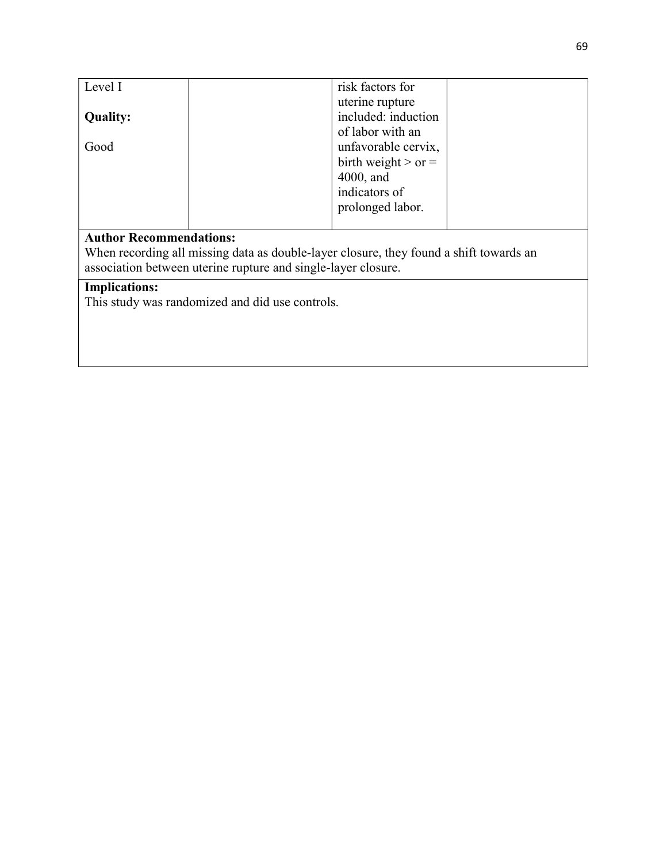| Level I         | risk factors for        |
|-----------------|-------------------------|
|                 | uterine rupture         |
| <b>Quality:</b> | included: induction     |
|                 | of labor with an        |
| Good            | unfavorable cervix,     |
|                 | birth weight $>$ or $=$ |
|                 | $4000$ , and            |
|                 | indicators of           |
|                 | prolonged labor.        |
|                 |                         |

## Author Recommendations:

When recording all missing data as double-layer closure, they found a shift towards an association between uterine rupture and single-layer closure.

## Implications:

This study was randomized and did use controls.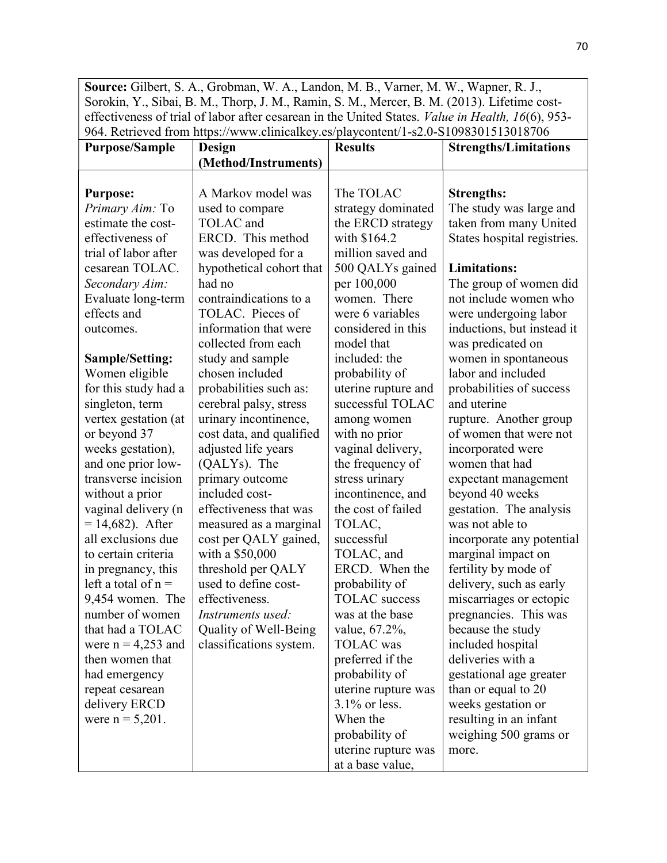Source: Gilbert, S. A., Grobman, W. A., Landon, M. B., Varner, M. W., Wapner, R. J., Sorokin, Y., Sibai, B. M., Thorp, J. M., Ramin, S. M., Mercer, B. M. (2013). Lifetime costeffectiveness of trial of labor after cesarean in the United States. Value in Health, 16(6), 953- 964. Retrieved from https://www.clinicalkey.es/playcontent/1-s2.0-S1098301513018706

| <b>Purpose/Sample</b>  | Design                   | <b>Results</b>       | <b>Strengths/Limitations</b> |
|------------------------|--------------------------|----------------------|------------------------------|
|                        | (Method/Instruments)     |                      |                              |
|                        |                          |                      |                              |
| <b>Purpose:</b>        | A Markov model was       | The TOLAC            | <b>Strengths:</b>            |
| Primary Aim: To        | used to compare          | strategy dominated   | The study was large and      |
| estimate the cost-     | TOLAC and                | the ERCD strategy    | taken from many United       |
| effectiveness of       | ERCD. This method        | with \$164.2         | States hospital registries.  |
| trial of labor after   | was developed for a      | million saved and    |                              |
| cesarean TOLAC.        | hypothetical cohort that | 500 QALYs gained     | <b>Limitations:</b>          |
| Secondary Aim:         | had no                   | per 100,000          | The group of women did       |
| Evaluate long-term     | contraindications to a   | women. There         | not include women who        |
| effects and            | TOLAC. Pieces of         | were 6 variables     | were undergoing labor        |
| outcomes.              | information that were    | considered in this   | inductions, but instead it   |
|                        | collected from each      | model that           | was predicated on            |
| <b>Sample/Setting:</b> | study and sample         | included: the        | women in spontaneous         |
| Women eligible         | chosen included          | probability of       | labor and included           |
| for this study had a   | probabilities such as:   | uterine rupture and  | probabilities of success     |
| singleton, term        | cerebral palsy, stress   | successful TOLAC     | and uterine                  |
| vertex gestation (at   | urinary incontinence,    | among women          | rupture. Another group       |
| or beyond 37           | cost data, and qualified | with no prior        | of women that were not       |
| weeks gestation),      | adjusted life years      | vaginal delivery,    | incorporated were            |
| and one prior low-     | (QALYs). The             | the frequency of     | women that had               |
| transverse incision    | primary outcome          | stress urinary       | expectant management         |
| without a prior        | included cost-           | incontinence, and    | beyond 40 weeks              |
| vaginal delivery (n    | effectiveness that was   | the cost of failed   | gestation. The analysis      |
| $= 14,682$ ). After    | measured as a marginal   | TOLAC,               | was not able to              |
| all exclusions due     | cost per QALY gained,    | successful           | incorporate any potential    |
| to certain criteria    | with a \$50,000          | TOLAC, and           | marginal impact on           |
| in pregnancy, this     | threshold per QALY       | ERCD. When the       | fertility by mode of         |
| left a total of $n =$  | used to define cost-     | probability of       | delivery, such as early      |
| 9,454 women. The       | effectiveness.           | <b>TOLAC</b> success | miscarriages or ectopic      |
| number of women        | Instruments used:        | was at the base      | pregnancies. This was        |
| that had a TOLAC       | Quality of Well-Being    | value, 67.2%,        | because the study            |
| were $n = 4,253$ and   | classifications system.  | <b>TOLAC</b> was     | included hospital            |
| then women that        |                          | preferred if the     | deliveries with a            |
| had emergency          |                          | probability of       | gestational age greater      |
| repeat cesarean        |                          | uterine rupture was  | than or equal to 20          |
| delivery ERCD          |                          | $3.1\%$ or less.     | weeks gestation or           |
| were $n = 5,201$ .     |                          | When the             | resulting in an infant       |
|                        |                          | probability of       | weighing 500 grams or        |
|                        |                          | uterine rupture was  | more.                        |
|                        |                          | at a base value,     |                              |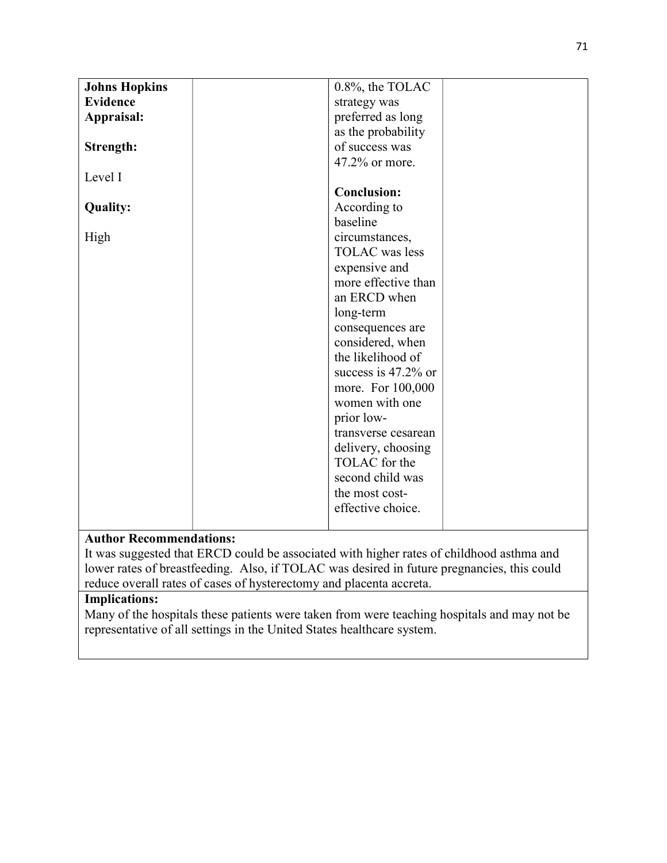| <b>Johns Hopkins</b> | 0.8%, the TOLAC       |
|----------------------|-----------------------|
| <b>Evidence</b>      | strategy was          |
| Appraisal:           | preferred as long     |
|                      | as the probability    |
| Strength:            | of success was        |
|                      | 47.2% or more.        |
| Level I              |                       |
|                      | <b>Conclusion:</b>    |
| <b>Quality:</b>      | According to          |
|                      | baseline              |
| High                 | circumstances,        |
|                      | <b>TOLAC</b> was less |
|                      | expensive and         |
|                      | more effective than   |
|                      | an ERCD when          |
|                      | long-term             |
|                      | consequences are      |
|                      | considered, when      |
|                      | the likelihood of     |
|                      | success is 47.2% or   |
|                      | more. For 100,000     |
|                      | women with one        |
|                      | prior low-            |
|                      | transverse cesarean   |
|                      | delivery, choosing    |
|                      | TOLAC for the         |
|                      | second child was      |
|                      | the most cost-        |
|                      | effective choice.     |
|                      |                       |

## Author Recommendations:

It was suggested that ERCD could be associated with higher rates of childhood asthma and lower rates of breastfeeding. Also, if TOLAC was desired in future pregnancies, this could reduce overall rates of cases of hysterectomy and placenta accreta.

## Implications:

Many of the hospitals these patients were taken from were teaching hospitals and may not be representative of all settings in the United States healthcare system.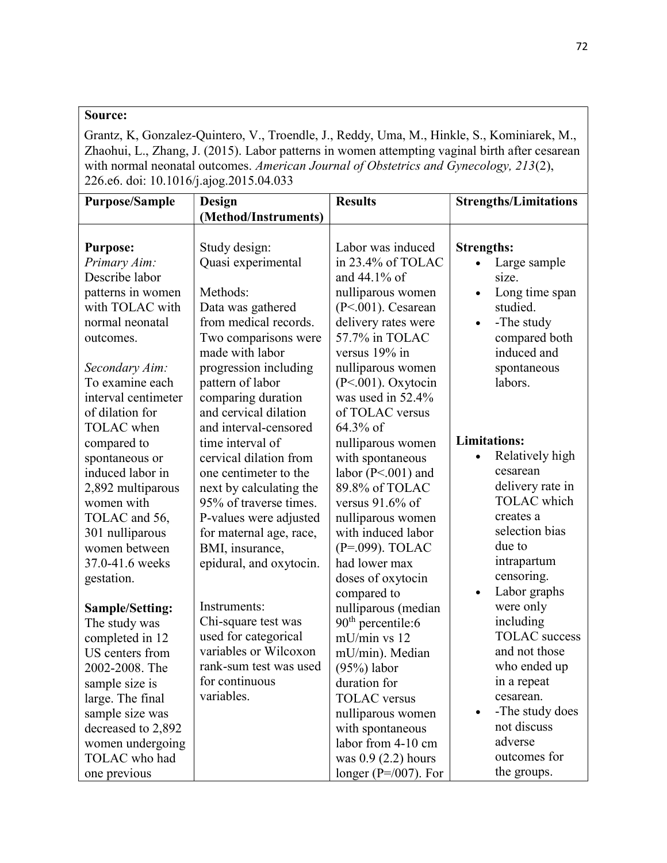Grantz, K, Gonzalez-Quintero, V., Troendle, J., Reddy, Uma, M., Hinkle, S., Kominiarek, M., Zhaohui, L., Zhang, J. (2015). Labor patterns in women attempting vaginal birth after cesarean with normal neonatal outcomes. American Journal of Obstetrics and Gynecology, 213(2), 226.e6. doi: 10.1016/j.ajog.2015.04.033

| <b>Purpose/Sample</b> | Design                                      | <b>Results</b>            | <b>Strengths/Limitations</b> |
|-----------------------|---------------------------------------------|---------------------------|------------------------------|
|                       | (Method/Instruments)                        |                           |                              |
|                       |                                             |                           |                              |
| <b>Purpose:</b>       | Study design:                               | Labor was induced         | <b>Strengths:</b>            |
| Primary Aim:          | Quasi experimental                          | in 23.4% of TOLAC         | Large sample<br>$\bullet$    |
| Describe labor        |                                             | and $44.1\%$ of           | size.                        |
| patterns in women     | Methods:                                    | nulliparous women         | Long time span               |
| with TOLAC with       | Data was gathered                           | $(P<.001)$ . Cesarean     | studied.                     |
| normal neonatal       | from medical records.                       | delivery rates were       | -The study<br>$\bullet$      |
| outcomes.             | Two comparisons were                        | 57.7% in TOLAC            | compared both                |
|                       | made with labor                             | versus 19% in             | induced and                  |
| Secondary Aim:        | progression including                       | nulliparous women         | spontaneous                  |
| To examine each       | pattern of labor                            | $(P<.001)$ . Oxytocin     | labors.                      |
| interval centimeter   |                                             | was used in 52.4%         |                              |
| of dilation for       | comparing duration<br>and cervical dilation | of TOLAC versus           |                              |
| <b>TOLAC</b> when     |                                             |                           |                              |
|                       | and interval-censored                       | 64.3% of                  | <b>Limitations:</b>          |
| compared to           | time interval of                            | nulliparous women         |                              |
| spontaneous or        | cervical dilation from                      | with spontaneous          | Relatively high              |
| induced labor in      | one centimeter to the                       | labor ( $P<.001$ ) and    | cesarean                     |
| 2,892 multiparous     | next by calculating the                     | 89.8% of TOLAC            | delivery rate in             |
| women with            | 95% of traverse times.                      | versus $91.6\%$ of        | <b>TOLAC</b> which           |
| TOLAC and 56,         | P-values were adjusted                      | nulliparous women         | creates a                    |
| 301 nulliparous       | for maternal age, race,                     | with induced labor        | selection bias               |
| women between         | BMI, insurance,                             | (P=.099). TOLAC           | due to                       |
| 37.0-41.6 weeks       | epidural, and oxytocin.                     | had lower max             | intrapartum                  |
| gestation.            |                                             | doses of oxytocin         | censoring.                   |
|                       |                                             | compared to               | Labor graphs<br>$\bullet$    |
| Sample/Setting:       | Instruments:                                | nulliparous (median       | were only                    |
| The study was         | Chi-square test was                         | $90th$ percentile:6       | including                    |
| completed in 12       | used for categorical                        | mU/min vs 12              | <b>TOLAC</b> success         |
| US centers from       | variables or Wilcoxon                       | mU/min). Median           | and not those                |
| 2002-2008. The        | rank-sum test was used                      | $(95%)$ labor             | who ended up                 |
| sample size is        | for continuous                              | duration for              | in a repeat                  |
| large. The final      | variables.                                  | <b>TOLAC</b> versus       | cesarean.                    |
| sample size was       |                                             | nulliparous women         | -The study does<br>$\bullet$ |
| decreased to 2,892    |                                             | with spontaneous          | not discuss                  |
| women undergoing      |                                             | labor from 4-10 cm        | adverse                      |
| TOLAC who had         |                                             | was $0.9$ (2.2) hours     | outcomes for                 |
| one previous          |                                             | longer ( $P = 007$ ). For | the groups.                  |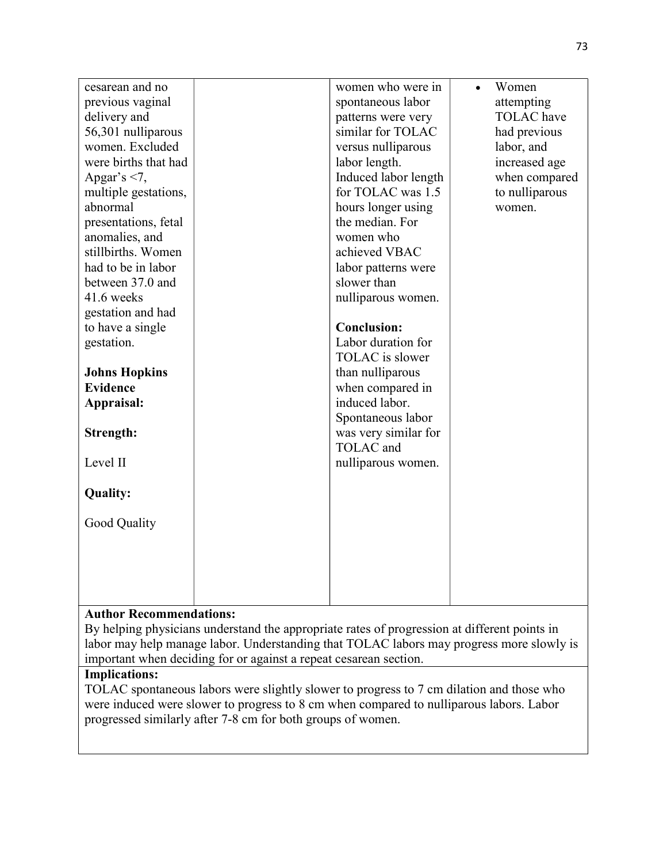| cesarean and no      | women who were in    | $\bullet$ | Women             |
|----------------------|----------------------|-----------|-------------------|
| previous vaginal     | spontaneous labor    |           | attempting        |
| delivery and         | patterns were very   |           | <b>TOLAC</b> have |
| 56,301 nulliparous   | similar for TOLAC    |           | had previous      |
| women. Excluded      | versus nulliparous   |           | labor, and        |
| were births that had | labor length.        |           | increased age     |
| Apgar's $<$ 7,       | Induced labor length |           | when compared     |
| multiple gestations, | for TOLAC was 1.5    |           | to nulliparous    |
| abnormal             | hours longer using   |           | women.            |
| presentations, fetal | the median. For      |           |                   |
| anomalies, and       | women who            |           |                   |
| stillbirths. Women   | achieved VBAC        |           |                   |
| had to be in labor   | labor patterns were  |           |                   |
| between 37.0 and     | slower than          |           |                   |
| 41.6 weeks           | nulliparous women.   |           |                   |
| gestation and had    |                      |           |                   |
| to have a single     | <b>Conclusion:</b>   |           |                   |
| gestation.           | Labor duration for   |           |                   |
|                      | TOLAC is slower      |           |                   |
| <b>Johns Hopkins</b> | than nulliparous     |           |                   |
| <b>Evidence</b>      | when compared in     |           |                   |
| Appraisal:           | induced labor.       |           |                   |
|                      | Spontaneous labor    |           |                   |
| Strength:            | was very similar for |           |                   |
|                      | TOLAC and            |           |                   |
| Level II             | nulliparous women.   |           |                   |
|                      |                      |           |                   |
| <b>Quality:</b>      |                      |           |                   |
|                      |                      |           |                   |
| Good Quality         |                      |           |                   |
|                      |                      |           |                   |
|                      |                      |           |                   |
|                      |                      |           |                   |
|                      |                      |           |                   |
|                      |                      |           |                   |

By helping physicians understand the appropriate rates of progression at different points in labor may help manage labor. Understanding that TOLAC labors may progress more slowly is important when deciding for or against a repeat cesarean section.

# Implications:

TOLAC spontaneous labors were slightly slower to progress to 7 cm dilation and those who were induced were slower to progress to 8 cm when compared to nulliparous labors. Labor progressed similarly after 7-8 cm for both groups of women.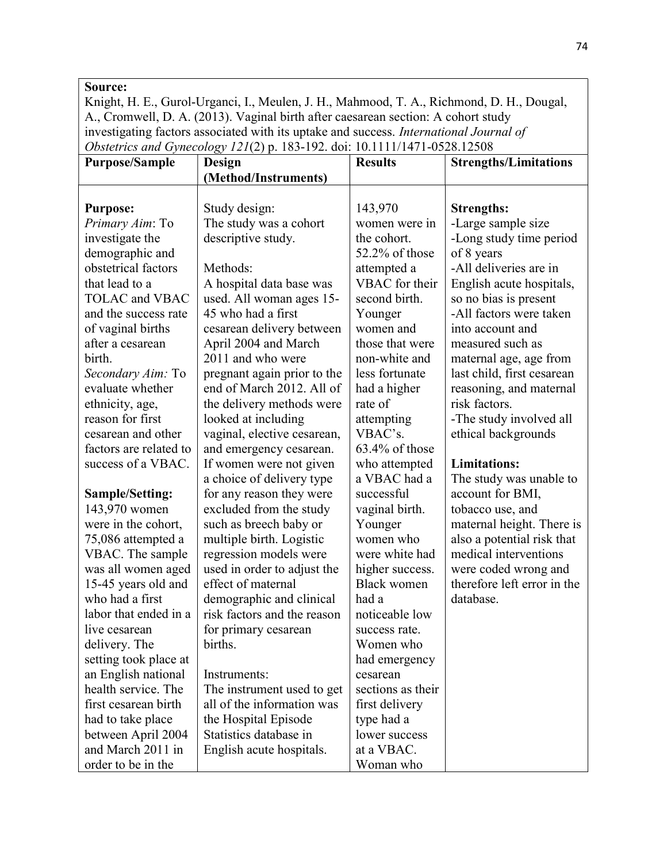Knight, H. E., Gurol-Urganci, I., Meulen, J. H., Mahmood, T. A., Richmond, D. H., Dougal, A., Cromwell, D. A. (2013). Vaginal birth after caesarean section: A cohort study investigating factors associated with its uptake and success. International Journal of Obstetrics and Gynecology 121(2) p. 183-192. doi: 10.1111/1471-0528.12508

| <b>Purpose/Sample</b>  | Design                      | <b>Results</b>     | <b>Strengths/Limitations</b> |
|------------------------|-----------------------------|--------------------|------------------------------|
|                        | (Method/Instruments)        |                    |                              |
|                        |                             |                    |                              |
| <b>Purpose:</b>        | Study design:               | 143,970            | <b>Strengths:</b>            |
| Primary Aim: To        | The study was a cohort      | women were in      | -Large sample size           |
| investigate the        | descriptive study.          | the cohort.        | -Long study time period      |
| demographic and        |                             | 52.2% of those     | of 8 years                   |
| obstetrical factors    | Methods:                    | attempted a        | -All deliveries are in       |
| that lead to a         | A hospital data base was    | VBAC for their     | English acute hospitals,     |
| <b>TOLAC</b> and VBAC  | used. All woman ages 15-    | second birth.      | so no bias is present        |
| and the success rate   | 45 who had a first          | Younger            | -All factors were taken      |
| of vaginal births      | cesarean delivery between   | women and          | into account and             |
| after a cesarean       | April 2004 and March        | those that were    | measured such as             |
| birth.                 | 2011 and who were           | non-white and      | maternal age, age from       |
| Secondary Aim: To      | pregnant again prior to the | less fortunate     | last child, first cesarean   |
| evaluate whether       | end of March 2012. All of   | had a higher       | reasoning, and maternal      |
| ethnicity, age,        | the delivery methods were   | rate of            | risk factors.                |
| reason for first       | looked at including         | attempting         | -The study involved all      |
| cesarean and other     | vaginal, elective cesarean, | VBAC's.            | ethical backgrounds          |
| factors are related to | and emergency cesarean.     | 63.4% of those     |                              |
| success of a VBAC.     | If women were not given     | who attempted      | <b>Limitations:</b>          |
|                        | a choice of delivery type   | a VBAC had a       | The study was unable to      |
| Sample/Setting:        | for any reason they were    | successful         | account for BMI,             |
| 143,970 women          | excluded from the study     | vaginal birth.     | tobacco use, and             |
| were in the cohort,    | such as breech baby or      | Younger            | maternal height. There is    |
| 75,086 attempted a     | multiple birth. Logistic    | women who          | also a potential risk that   |
| VBAC. The sample       | regression models were      | were white had     | medical interventions        |
| was all women aged     | used in order to adjust the | higher success.    | were coded wrong and         |
| 15-45 years old and    | effect of maternal          | <b>Black women</b> | therefore left error in the  |
| who had a first        | demographic and clinical    | had a              | database.                    |
| labor that ended in a  | risk factors and the reason | noticeable low     |                              |
| live cesarean          | for primary cesarean        | success rate.      |                              |
| delivery. The          | births.                     | Women who          |                              |
| setting took place at  |                             | had emergency      |                              |
| an English national    | Instruments:                | cesarean           |                              |
| health service. The    | The instrument used to get  | sections as their  |                              |
| first cesarean birth   | all of the information was  | first delivery     |                              |
| had to take place      | the Hospital Episode        | type had a         |                              |
| between April 2004     | Statistics database in      | lower success      |                              |
| and March 2011 in      | English acute hospitals.    | at a VBAC.         |                              |
| order to be in the     |                             | Woman who          |                              |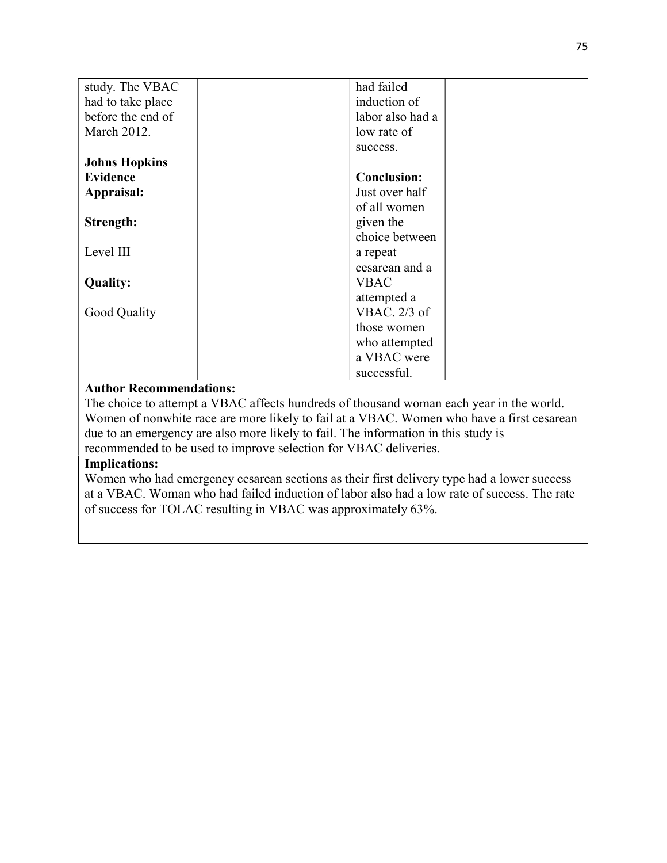| study. The VBAC      | had failed         |
|----------------------|--------------------|
| had to take place    | induction of       |
| before the end of    | labor also had a   |
| March 2012.          | low rate of        |
|                      | success.           |
| <b>Johns Hopkins</b> |                    |
| <b>Evidence</b>      | <b>Conclusion:</b> |
| Appraisal:           | Just over half     |
|                      | of all women       |
| Strength:            | given the          |
|                      | choice between     |
| Level III            | a repeat           |
|                      | cesarean and a     |
| <b>Quality:</b>      | <b>VBAC</b>        |
|                      | attempted a        |
| Good Quality         | VBAC. $2/3$ of     |
|                      | those women        |
|                      | who attempted      |
|                      | a VBAC were        |
|                      | successful.        |

The choice to attempt a VBAC affects hundreds of thousand woman each year in the world. Women of nonwhite race are more likely to fail at a VBAC. Women who have a first cesarean due to an emergency are also more likely to fail. The information in this study is recommended to be used to improve selection for VBAC deliveries.

### Implications:

Women who had emergency cesarean sections as their first delivery type had a lower success at a VBAC. Woman who had failed induction of labor also had a low rate of success. The rate of success for TOLAC resulting in VBAC was approximately 63%.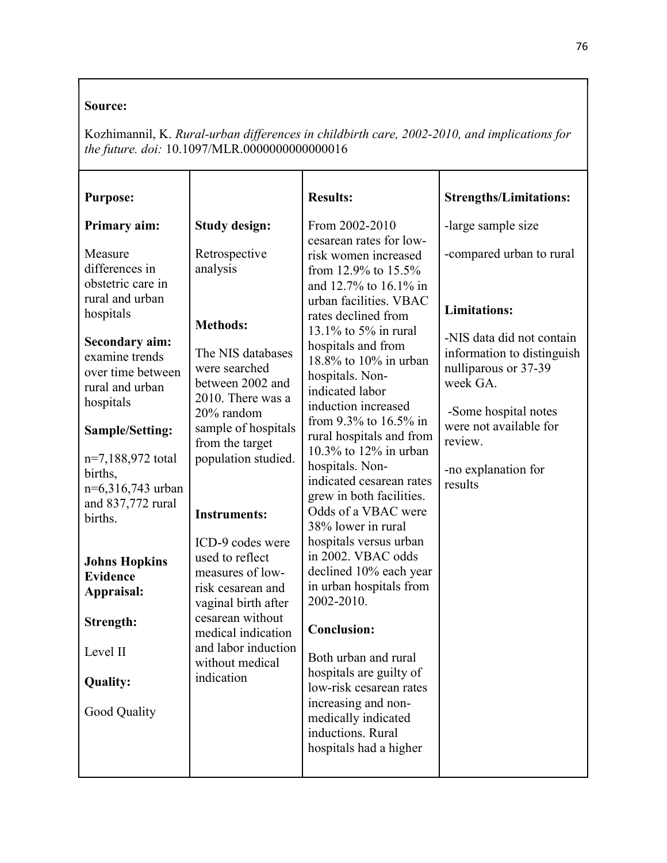Kozhimannil, K. Rural-urban differences in childbirth care, 2002-2010, and implications for the future. doi: 10.1097/MLR.0000000000000016

| <b>Purpose:</b>                                                                              |                                                                                                                                               | <b>Results:</b>                                                                                                                                  | <b>Strengths/Limitations:</b>                                                                                       |
|----------------------------------------------------------------------------------------------|-----------------------------------------------------------------------------------------------------------------------------------------------|--------------------------------------------------------------------------------------------------------------------------------------------------|---------------------------------------------------------------------------------------------------------------------|
| Primary aim:                                                                                 | <b>Study design:</b>                                                                                                                          | From 2002-2010                                                                                                                                   | -large sample size                                                                                                  |
| Measure<br>differences in<br>obstetric care in<br>rural and urban<br>hospitals               | Retrospective<br>analysis<br><b>Methods:</b>                                                                                                  | cesarean rates for low-<br>risk women increased<br>from 12.9% to 15.5%<br>and 12.7% to 16.1% in<br>urban facilities. VBAC<br>rates declined from | -compared urban to rural<br><b>Limitations:</b>                                                                     |
| <b>Secondary aim:</b><br>examine trends<br>over time between<br>rural and urban<br>hospitals | The NIS databases<br>were searched<br>between 2002 and<br>2010. There was a<br>20% random                                                     | 13.1% to 5% in rural<br>hospitals and from<br>18.8% to 10% in urban<br>hospitals. Non-<br>indicated labor<br>induction increased                 | -NIS data did not contain<br>information to distinguish<br>nulliparous or 37-39<br>week GA.<br>-Some hospital notes |
| Sample/Setting:                                                                              | sample of hospitals<br>from the target                                                                                                        | from 9.3% to $16.5\%$ in<br>rural hospitals and from                                                                                             | were not available for<br>review.                                                                                   |
| $n=7,188,972$ total<br>births,<br>n=6,316,743 urban<br>and 837,772 rural<br>births.          | population studied.<br><b>Instruments:</b>                                                                                                    | 10.3% to $12\%$ in urban<br>hospitals. Non-<br>indicated cesarean rates<br>grew in both facilities.<br>Odds of a VBAC were<br>38% lower in rural | -no explanation for<br>results                                                                                      |
| <b>Johns Hopkins</b><br><b>Evidence</b><br>Appraisal:<br>Strength:                           | ICD-9 codes were<br>used to reflect<br>measures of low-<br>risk cesarean and<br>vaginal birth after<br>cesarean without<br>medical indication | hospitals versus urban<br>in 2002. VBAC odds<br>declined 10% each year<br>in urban hospitals from<br>2002-2010.<br><b>Conclusion:</b>            |                                                                                                                     |
| Level II                                                                                     | and labor induction<br>without medical                                                                                                        | Both urban and rural                                                                                                                             |                                                                                                                     |
| <b>Quality:</b><br>Good Quality                                                              | indication                                                                                                                                    | hospitals are guilty of<br>low-risk cesarean rates<br>increasing and non-<br>medically indicated                                                 |                                                                                                                     |
|                                                                                              |                                                                                                                                               | inductions. Rural<br>hospitals had a higher                                                                                                      |                                                                                                                     |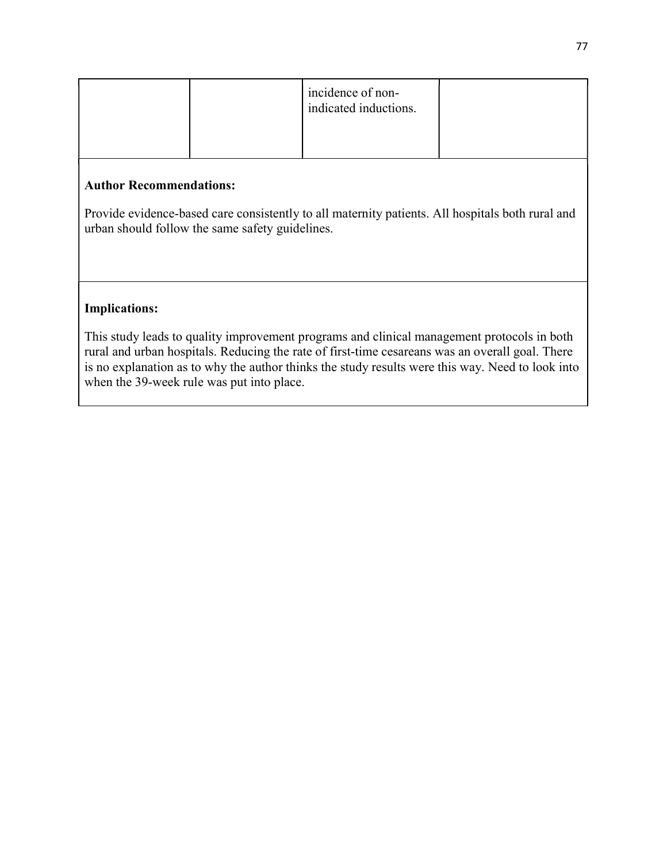|  | incidence of non-<br>indicated inductions. |  |
|--|--------------------------------------------|--|
|  |                                            |  |

Provide evidence-based care consistently to all maternity patients. All hospitals both rural and urban should follow the same safety guidelines.

### Implications:

This study leads to quality improvement programs and clinical management protocols in both rural and urban hospitals. Reducing the rate of first-time cesareans was an overall goal. There is no explanation as to why the author thinks the study results were this way. Need to look into when the 39-week rule was put into place.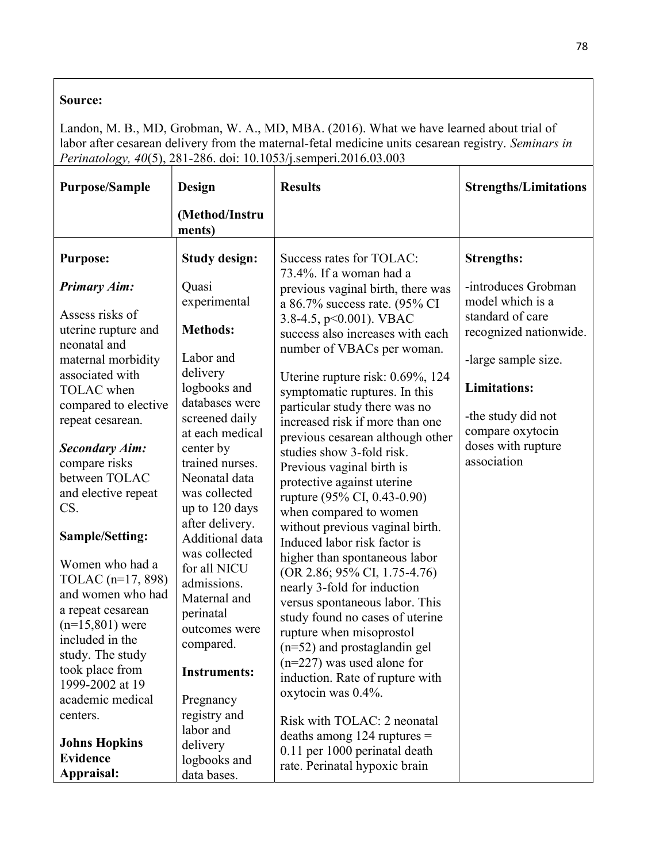Landon, M. B., MD, Grobman, W. A., MD, MBA. (2016). What we have learned about trial of labor after cesarean delivery from the maternal-fetal medicine units cesarean registry. Seminars in Perinatology, 40(5), 281-286. doi: 10.1053/j.semperi.2016.03.003

| <b>Purpose/Sample</b>                                                                                                                      | Design                                                                                                  | <b>Results</b>                                                                                                                                                                                                                  | <b>Strengths/Limitations</b>                                |
|--------------------------------------------------------------------------------------------------------------------------------------------|---------------------------------------------------------------------------------------------------------|---------------------------------------------------------------------------------------------------------------------------------------------------------------------------------------------------------------------------------|-------------------------------------------------------------|
|                                                                                                                                            | (Method/Instru<br>ments)                                                                                |                                                                                                                                                                                                                                 |                                                             |
| <b>Purpose:</b>                                                                                                                            | <b>Study design:</b>                                                                                    | Success rates for TOLAC:<br>73.4%. If a woman had a                                                                                                                                                                             | <b>Strengths:</b>                                           |
| <b>Primary Aim:</b><br>Assess risks of                                                                                                     | Quasi<br>experimental                                                                                   | previous vaginal birth, there was<br>a 86.7% success rate. (95% CI<br>3.8-4.5, $p<0.001$ ). VBAC                                                                                                                                | -introduces Grobman<br>model which is a<br>standard of care |
| uterine rupture and<br>neonatal and<br>maternal morbidity                                                                                  | <b>Methods:</b><br>Labor and                                                                            | success also increases with each<br>number of VBACs per woman.                                                                                                                                                                  | recognized nationwide.<br>-large sample size.               |
| associated with<br>TOLAC when                                                                                                              | delivery<br>logbooks and                                                                                | Uterine rupture risk: 0.69%, 124<br>symptomatic ruptures. In this                                                                                                                                                               | <b>Limitations:</b>                                         |
| compared to elective<br>repeat cesarean.                                                                                                   | databases were<br>screened daily<br>at each medical                                                     | particular study there was no<br>increased risk if more than one<br>previous cesarean although other                                                                                                                            | -the study did not<br>compare oxytocin                      |
| <b>Secondary Aim:</b><br>compare risks<br>between TOLAC<br>and elective repeat<br>CS.                                                      | center by<br>trained nurses.<br>Neonatal data<br>was collected<br>up to 120 days                        | studies show 3-fold risk.<br>Previous vaginal birth is<br>protective against uterine<br>rupture (95% CI, 0.43-0.90)<br>when compared to women                                                                                   | doses with rupture<br>association                           |
| Sample/Setting:                                                                                                                            | after delivery.<br>Additional data                                                                      | without previous vaginal birth.<br>Induced labor risk factor is                                                                                                                                                                 |                                                             |
| Women who had a<br>TOLAC (n=17, 898)<br>and women who had<br>a repeat cesarean<br>$(n=15,801)$ were<br>included in the<br>study. The study | was collected<br>for all NICU<br>admissions.<br>Maternal and<br>perinatal<br>outcomes were<br>compared. | higher than spontaneous labor<br>(OR 2.86; 95% CI, 1.75-4.76)<br>nearly 3-fold for induction<br>versus spontaneous labor. This<br>study found no cases of uterine<br>rupture when misoprostol<br>$(n=52)$ and prostaglandin gel |                                                             |
| took place from<br>1999-2002 at 19                                                                                                         | <b>Instruments:</b>                                                                                     | $(n=227)$ was used alone for<br>induction. Rate of rupture with                                                                                                                                                                 |                                                             |
| academic medical<br>centers.<br><b>Johns Hopkins</b><br><b>Evidence</b>                                                                    | Pregnancy<br>registry and<br>labor and<br>delivery<br>logbooks and                                      | oxytocin was 0.4%.<br>Risk with TOLAC: 2 neonatal<br>deaths among $124$ ruptures =<br>0.11 per 1000 perinatal death<br>rate. Perinatal hypoxic brain                                                                            |                                                             |
| Appraisal:                                                                                                                                 | data bases.                                                                                             |                                                                                                                                                                                                                                 |                                                             |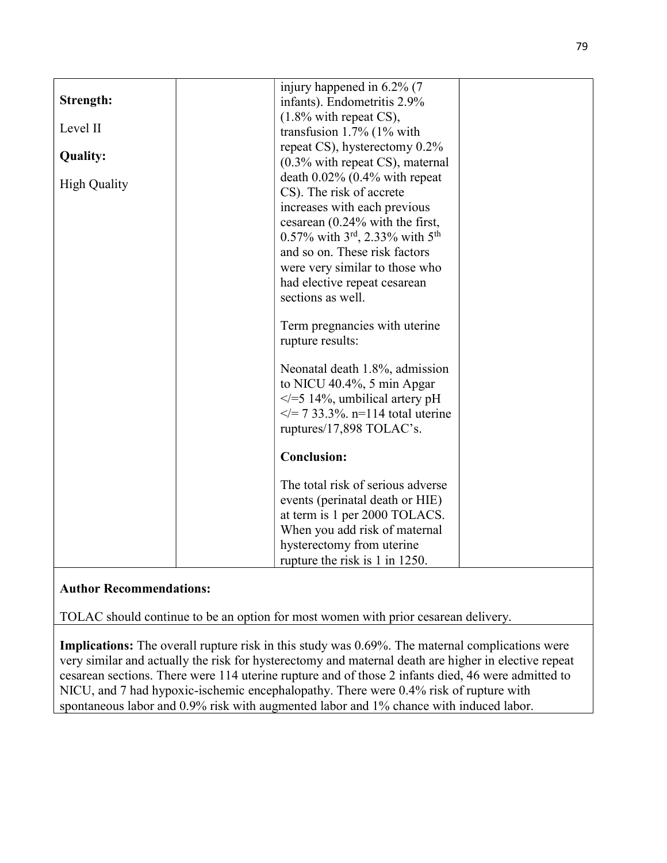|                     | injury happened in 6.2% (7                              |  |
|---------------------|---------------------------------------------------------|--|
| Strength:           | infants). Endometritis 2.9%                             |  |
| Level II            | $(1.8\%$ with repeat CS),                               |  |
|                     | transfusion $1.7\%$ (1% with                            |  |
| <b>Quality:</b>     | repeat CS), hysterectomy 0.2%                           |  |
|                     | $(0.3\%$ with repeat CS), maternal                      |  |
| <b>High Quality</b> | death $0.02\%$ (0.4% with repeat                        |  |
|                     | CS). The risk of accrete                                |  |
|                     | increases with each previous                            |  |
|                     | cesarean (0.24% with the first,                         |  |
|                     | 0.57% with $3^{\text{rd}}$ , 2.33% with $5^{\text{th}}$ |  |
|                     | and so on. These risk factors                           |  |
|                     | were very similar to those who                          |  |
|                     | had elective repeat cesarean                            |  |
|                     | sections as well.                                       |  |
|                     |                                                         |  |
|                     | Term pregnancies with uterine                           |  |
|                     | rupture results:                                        |  |
|                     | Neonatal death 1.8%, admission                          |  |
|                     | to NICU 40.4%, 5 min Apgar                              |  |
|                     | $\le$ /=5 14%, umbilical artery pH                      |  |
|                     | $\le$ /= 7 33.3%. n=114 total uterine                   |  |
|                     | ruptures/17,898 TOLAC's.                                |  |
|                     |                                                         |  |
|                     | <b>Conclusion:</b>                                      |  |
|                     | The total risk of serious adverse                       |  |
|                     | events (perinatal death or HIE)                         |  |
|                     | at term is 1 per 2000 TOLACS.                           |  |
|                     | When you add risk of maternal                           |  |
|                     | hysterectomy from uterine                               |  |
|                     | rupture the risk is 1 in 1250.                          |  |

TOLAC should continue to be an option for most women with prior cesarean delivery.

Implications: The overall rupture risk in this study was 0.69%. The maternal complications were very similar and actually the risk for hysterectomy and maternal death are higher in elective repeat cesarean sections. There were 114 uterine rupture and of those 2 infants died, 46 were admitted to NICU, and 7 had hypoxic-ischemic encephalopathy. There were 0.4% risk of rupture with spontaneous labor and 0.9% risk with augmented labor and 1% chance with induced labor.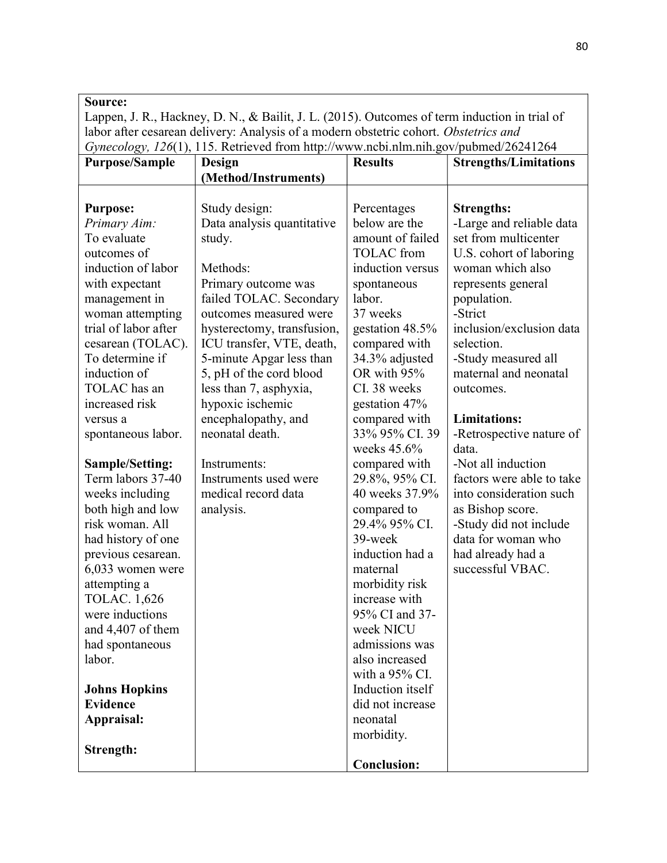Lappen, J. R., Hackney, D. N., & Bailit, J. L. (2015). Outcomes of term induction in trial of labor after cesarean delivery: Analysis of a modern obstetric cohort. Obstetrics and Gynecology, 126(1), 115. Retrieved from http://www.ncbi.nlm.nih.gov/pubmed/26241264

| <b>Purpose/Sample</b> | Design                     | <b>Results</b>     | <b>Strengths/Limitations</b> |
|-----------------------|----------------------------|--------------------|------------------------------|
|                       | (Method/Instruments)       |                    |                              |
|                       |                            |                    |                              |
| <b>Purpose:</b>       | Study design:              | Percentages        | <b>Strengths:</b>            |
| Primary Aim:          | Data analysis quantitative | below are the      | -Large and reliable data     |
| To evaluate           | study.                     | amount of failed   | set from multicenter         |
| outcomes of           |                            | <b>TOLAC</b> from  | U.S. cohort of laboring      |
| induction of labor    | Methods:                   | induction versus   | woman which also             |
| with expectant        | Primary outcome was        | spontaneous        | represents general           |
| management in         | failed TOLAC. Secondary    | labor.             | population.                  |
| woman attempting      | outcomes measured were     | 37 weeks           | -Strict                      |
| trial of labor after  | hysterectomy, transfusion, | gestation 48.5%    | inclusion/exclusion data     |
| cesarean (TOLAC).     | ICU transfer, VTE, death,  | compared with      | selection.                   |
| To determine if       | 5-minute Apgar less than   | 34.3% adjusted     | -Study measured all          |
| induction of          | 5, pH of the cord blood    | OR with 95%        | maternal and neonatal        |
| TOLAC has an          | less than 7, asphyxia,     | CI. 38 weeks       | outcomes.                    |
| increased risk        | hypoxic ischemic           | gestation 47%      |                              |
| versus a              | encephalopathy, and        | compared with      | <b>Limitations:</b>          |
| spontaneous labor.    | neonatal death.            | 33% 95% CI.39      | -Retrospective nature of     |
|                       |                            | weeks $45.6\%$     | data.                        |
| Sample/Setting:       | Instruments:               | compared with      | -Not all induction           |
| Term labors 37-40     | Instruments used were      | 29.8%, 95% CI.     | factors were able to take    |
| weeks including       | medical record data        | 40 weeks 37.9%     | into consideration such      |
| both high and low     | analysis.                  | compared to        | as Bishop score.             |
| risk woman. All       |                            | 29.4% 95% CI.      | -Study did not include       |
| had history of one    |                            | 39-week            | data for woman who           |
| previous cesarean.    |                            | induction had a    | had already had a            |
| 6,033 women were      |                            | maternal           | successful VBAC.             |
| attempting a          |                            | morbidity risk     |                              |
| <b>TOLAC.</b> 1,626   |                            | increase with      |                              |
| were inductions       |                            | 95% CI and 37-     |                              |
| and 4,407 of them     |                            | week NICU          |                              |
| had spontaneous       |                            | admissions was     |                              |
| labor.                |                            | also increased     |                              |
|                       |                            | with a 95% CI.     |                              |
| <b>Johns Hopkins</b>  |                            | Induction itself   |                              |
| <b>Evidence</b>       |                            | did not increase   |                              |
| Appraisal:            |                            | neonatal           |                              |
|                       |                            | morbidity.         |                              |
| Strength:             |                            |                    |                              |
|                       |                            | <b>Conclusion:</b> |                              |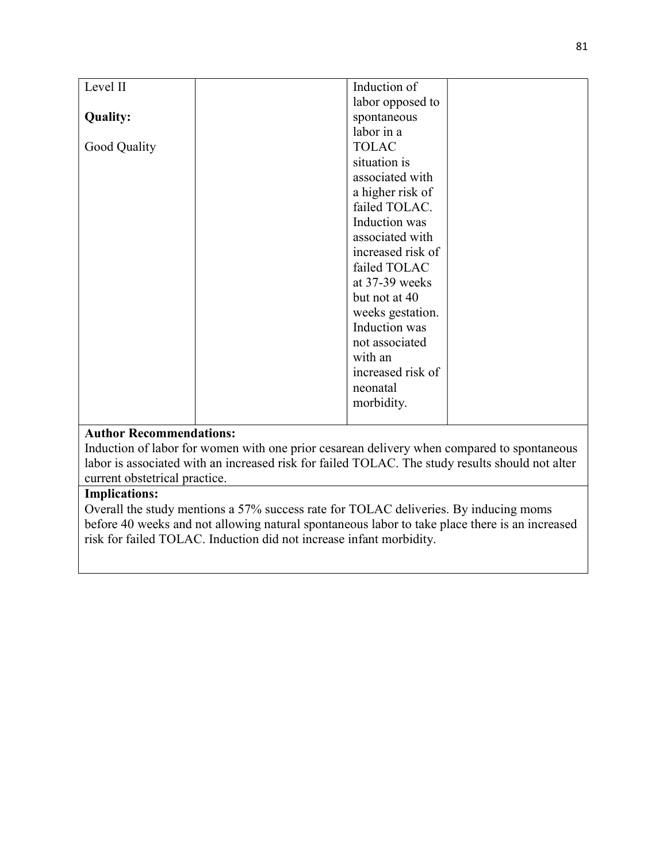|                 | Induction of      |  |
|-----------------|-------------------|--|
| Level II        |                   |  |
|                 | labor opposed to  |  |
| <b>Quality:</b> | spontaneous       |  |
|                 | labor in a        |  |
| Good Quality    | <b>TOLAC</b>      |  |
|                 | situation is      |  |
|                 | associated with   |  |
|                 | a higher risk of  |  |
|                 | failed TOLAC.     |  |
|                 | Induction was     |  |
|                 | associated with   |  |
|                 | increased risk of |  |
|                 | failed TOLAC      |  |
|                 | at 37-39 weeks    |  |
|                 | but not at 40     |  |
|                 | weeks gestation.  |  |
|                 | Induction was     |  |
|                 | not associated    |  |
|                 | with an           |  |
|                 | increased risk of |  |
|                 | neonatal          |  |
|                 | morbidity.        |  |
|                 |                   |  |

Induction of labor for women with one prior cesarean delivery when compared to spontaneous labor is associated with an increased risk for failed TOLAC. The study results should not alter current obstetrical practice.

## Implications:

Overall the study mentions a 57% success rate for TOLAC deliveries. By inducing moms before 40 weeks and not allowing natural spontaneous labor to take place there is an increased risk for failed TOLAC. Induction did not increase infant morbidity.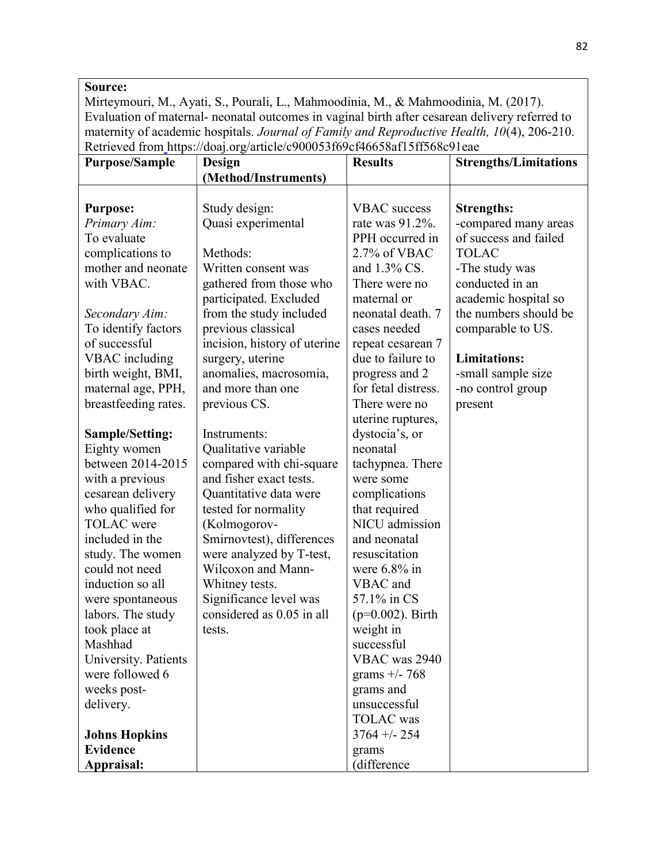Mirteymouri, M., Ayati, S., Pourali, L., Mahmoodinia, M., & Mahmoodinia, M. (2017). Evaluation of maternal- neonatal outcomes in vaginal birth after cesarean delivery referred to maternity of academic hospitals. Journal of Family and Reproductive Health, 10(4), 206-210. Retrieved from https://doaj.org/article/c900053f69cf46658af15ff568c91eae

| <b>Purpose/Sample</b>  | Design                       | <b>Results</b>      | <b>Strengths/Limitations</b> |
|------------------------|------------------------------|---------------------|------------------------------|
|                        | (Method/Instruments)         |                     |                              |
|                        |                              |                     |                              |
| <b>Purpose:</b>        | Study design:                | <b>VBAC</b> success | <b>Strengths:</b>            |
| Primary Aim:           | Quasi experimental           | rate was 91.2%.     | -compared many areas         |
| To evaluate            |                              | PPH occurred in     | of success and failed        |
| complications to       | Methods:                     | 2.7% of VBAC        | <b>TOLAC</b>                 |
| mother and neonate     | Written consent was          | and 1.3% CS.        | -The study was               |
| with VBAC.             | gathered from those who      | There were no       | conducted in an              |
|                        | participated. Excluded       | maternal or         | academic hospital so         |
| Secondary Aim:         | from the study included      | neonatal death. 7   | the numbers should be        |
| To identify factors    | previous classical           | cases needed        | comparable to US.            |
| of successful          | incision, history of uterine | repeat cesarean 7   |                              |
| VBAC including         | surgery, uterine             | due to failure to   | <b>Limitations:</b>          |
| birth weight, BMI,     | anomalies, macrosomia,       | progress and 2      | -small sample size           |
| maternal age, PPH,     | and more than one            | for fetal distress. | -no control group            |
| breastfeeding rates.   | previous CS.                 | There were no       | present                      |
|                        |                              | uterine ruptures,   |                              |
| <b>Sample/Setting:</b> | Instruments:                 | dystocia's, or      |                              |
| Eighty women           | Qualitative variable         | neonatal            |                              |
| between 2014-2015      | compared with chi-square     | tachypnea. There    |                              |
| with a previous        | and fisher exact tests.      | were some           |                              |
| cesarean delivery      | Quantitative data were       | complications       |                              |
| who qualified for      | tested for normality         | that required       |                              |
| <b>TOLAC</b> were      | (Kolmogorov-                 | NICU admission      |                              |
| included in the        | Smirnovtest), differences    | and neonatal        |                              |
| study. The women       | were analyzed by T-test,     | resuscitation       |                              |
| could not need         | Wilcoxon and Mann-           | were $6.8\%$ in     |                              |
| induction so all       | Whitney tests.               | VBAC and            |                              |
| were spontaneous       | Significance level was       | 57.1% in CS         |                              |
| labors. The study      | considered as 0.05 in all    | $(p=0.002)$ . Birth |                              |
| took place at          | tests.                       | weight in           |                              |
| Mashhad                |                              | successful          |                              |
| University. Patients   |                              | VBAC was 2940       |                              |
| were followed 6        |                              | grams $+/- 768$     |                              |
| weeks post-            |                              | grams and           |                              |
| delivery.              |                              | unsuccessful        |                              |
|                        |                              | <b>TOLAC</b> was    |                              |
| <b>Johns Hopkins</b>   |                              | $3764 + - 254$      |                              |
| <b>Evidence</b>        |                              | grams               |                              |
| Appraisal:             |                              | (difference         |                              |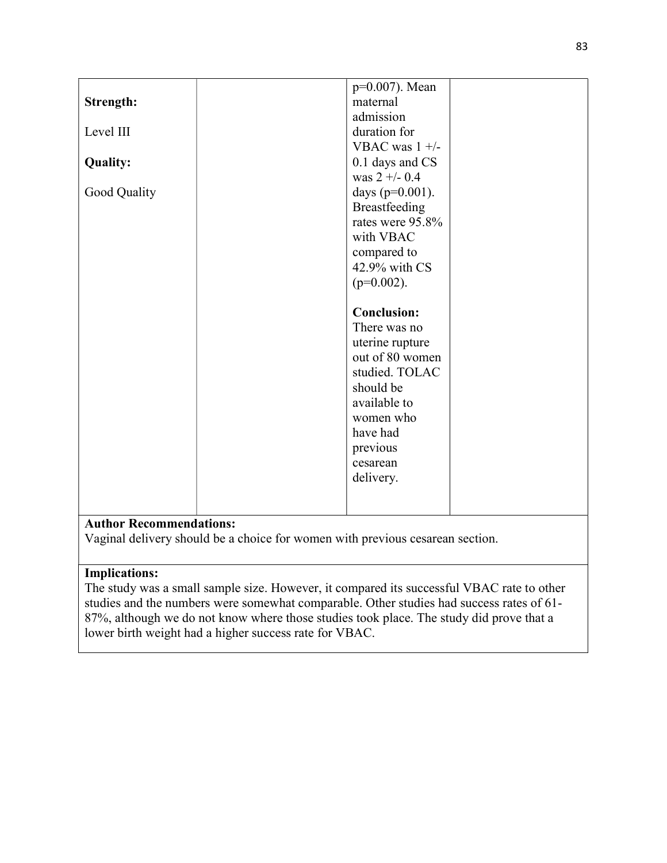|                 | p=0.007). Mean      |
|-----------------|---------------------|
| Strength:       | maternal            |
|                 | admission           |
| Level III       | duration for        |
|                 | VBAC was $1 +/-$    |
| <b>Quality:</b> | 0.1 days and CS     |
|                 | was $2 + (-0.4)$    |
| Good Quality    | days ( $p=0.001$ ). |
|                 | Breastfeeding       |
|                 | rates were 95.8%    |
|                 | with VBAC           |
|                 | compared to         |
|                 | 42.9% with CS       |
|                 | $(p=0.002)$ .       |
|                 |                     |
|                 | <b>Conclusion:</b>  |
|                 | There was no        |
|                 | uterine rupture     |
|                 | out of 80 women     |
|                 | studied. TOLAC      |
|                 | should be           |
|                 | available to        |
|                 | women who           |
|                 | have had            |
|                 | previous            |
|                 | cesarean            |
|                 | delivery.           |
|                 |                     |
|                 |                     |

Vaginal delivery should be a choice for women with previous cesarean section.

## Implications:

The study was a small sample size. However, it compared its successful VBAC rate to other studies and the numbers were somewhat comparable. Other studies had success rates of 61- 87%, although we do not know where those studies took place. The study did prove that a lower birth weight had a higher success rate for VBAC.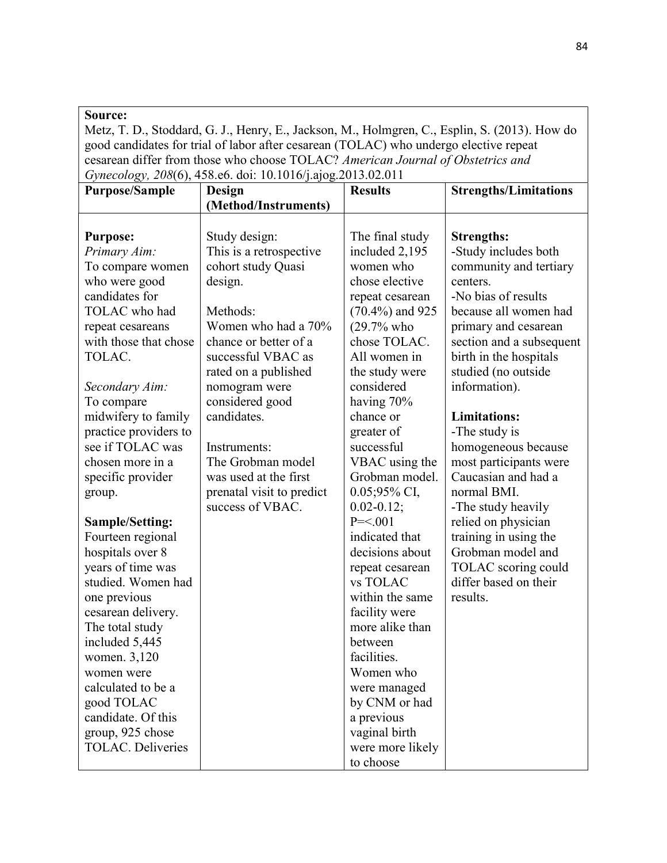Metz, T. D., Stoddard, G. J., Henry, E., Jackson, M., Holmgren, C., Esplin, S. (2013). How do good candidates for trial of labor after cesarean (TOLAC) who undergo elective repeat cesarean differ from those who choose TOLAC? American Journal of Obstetrics and Gynecology, 208(6), 458.e6. doi: 10.1016/j.ajog.2013.02.011

| <b>Purpose/Sample</b>                                                                  | $O(10^{11}C)$<br>Design                                                                                | <b>Results</b>                                                                       | <b>Strengths/Limitations</b>                                                                                                    |
|----------------------------------------------------------------------------------------|--------------------------------------------------------------------------------------------------------|--------------------------------------------------------------------------------------|---------------------------------------------------------------------------------------------------------------------------------|
|                                                                                        | (Method/Instruments)                                                                                   |                                                                                      |                                                                                                                                 |
|                                                                                        |                                                                                                        |                                                                                      |                                                                                                                                 |
| <b>Purpose:</b><br>Primary Aim:<br>To compare women<br>who were good<br>candidates for | Study design:<br>This is a retrospective<br>cohort study Quasi<br>design.                              | The final study<br>included 2,195<br>women who<br>chose elective<br>repeat cesarean  | <b>Strengths:</b><br>-Study includes both<br>community and tertiary<br>centers.<br>-No bias of results<br>because all women had |
| TOLAC who had<br>repeat cesareans<br>with those that chose<br>TOLAC.                   | Methods:<br>Women who had a 70%<br>chance or better of a<br>successful VBAC as<br>rated on a published | $(70.4\%)$ and 925<br>$(29.7%$ who<br>chose TOLAC.<br>All women in<br>the study were | primary and cesarean<br>section and a subsequent<br>birth in the hospitals<br>studied (no outside                               |
| Secondary Aim:<br>To compare<br>midwifery to family                                    | nomogram were<br>considered good<br>candidates.                                                        | considered<br>having 70%<br>chance or                                                | information).<br><b>Limitations:</b>                                                                                            |
| practice providers to<br>see if TOLAC was<br>chosen more in a                          | Instruments:<br>The Grobman model                                                                      | greater of<br>successful<br>VBAC using the                                           | -The study is<br>homogeneous because<br>most participants were                                                                  |
| specific provider<br>group.                                                            | was used at the first<br>prenatal visit to predict<br>success of VBAC.                                 | Grobman model.<br>0.05;95% CI,<br>$0.02 - 0.12;$                                     | Caucasian and had a<br>normal BMI.<br>-The study heavily                                                                        |
| <b>Sample/Setting:</b><br>Fourteen regional<br>hospitals over 8<br>years of time was   |                                                                                                        | $P = 0.001$<br>indicated that<br>decisions about<br>repeat cesarean                  | relied on physician<br>training in using the<br>Grobman model and<br>TOLAC scoring could                                        |
| studied. Women had<br>one previous<br>cesarean delivery.<br>The total study            |                                                                                                        | vs TOLAC<br>within the same<br>facility were<br>more alike than                      | differ based on their<br>results.                                                                                               |
| included 5,445<br>women. 3,120<br>women were                                           |                                                                                                        | between<br>facilities.<br>Women who                                                  |                                                                                                                                 |
| calculated to be a<br>good TOLAC<br>candidate. Of this<br>group, 925 chose             |                                                                                                        | were managed<br>by CNM or had<br>a previous<br>vaginal birth                         |                                                                                                                                 |
| <b>TOLAC.</b> Deliveries                                                               |                                                                                                        | were more likely<br>to choose                                                        |                                                                                                                                 |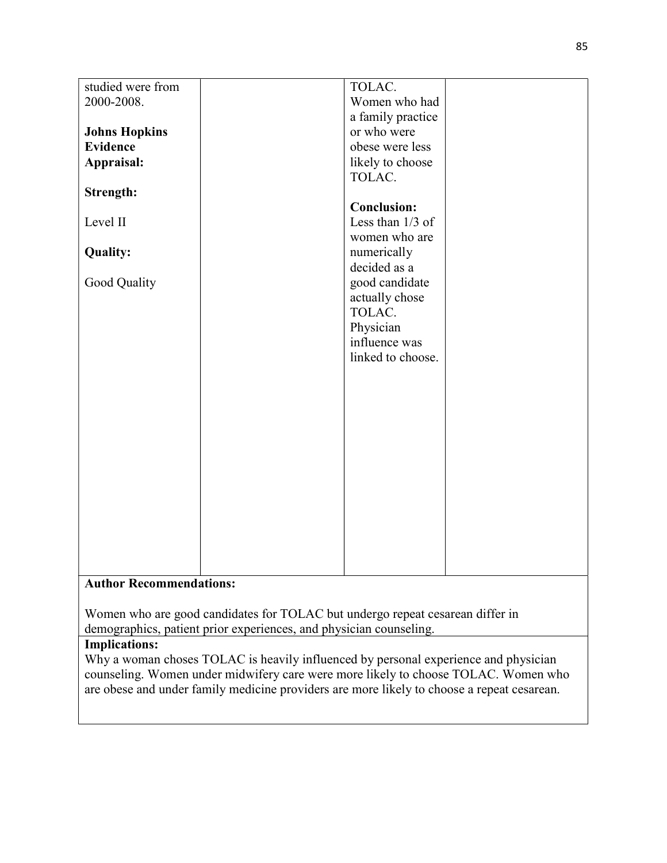| studied were from              | TOLAC.             |  |  |
|--------------------------------|--------------------|--|--|
| 2000-2008.                     | Women who had      |  |  |
|                                | a family practice  |  |  |
| <b>Johns Hopkins</b>           | or who were        |  |  |
| <b>Evidence</b>                | obese were less    |  |  |
| Appraisal:                     | likely to choose   |  |  |
|                                | TOLAC.             |  |  |
| <b>Strength:</b>               |                    |  |  |
|                                | <b>Conclusion:</b> |  |  |
| Level II                       | Less than 1/3 of   |  |  |
|                                | women who are      |  |  |
| <b>Quality:</b>                | numerically        |  |  |
|                                | decided as a       |  |  |
| Good Quality                   | good candidate     |  |  |
|                                | actually chose     |  |  |
|                                | TOLAC.             |  |  |
|                                | Physician          |  |  |
|                                | influence was      |  |  |
|                                |                    |  |  |
|                                | linked to choose.  |  |  |
|                                |                    |  |  |
|                                |                    |  |  |
|                                |                    |  |  |
|                                |                    |  |  |
|                                |                    |  |  |
|                                |                    |  |  |
|                                |                    |  |  |
|                                |                    |  |  |
|                                |                    |  |  |
|                                |                    |  |  |
|                                |                    |  |  |
|                                |                    |  |  |
|                                |                    |  |  |
|                                |                    |  |  |
| <b>Author Recommendations:</b> |                    |  |  |

Women who are good candidates for TOLAC but undergo repeat cesarean differ in demographics, patient prior experiences, and physician counseling.

## Implications:

Why a woman choses TOLAC is heavily influenced by personal experience and physician counseling. Women under midwifery care were more likely to choose TOLAC. Women who are obese and under family medicine providers are more likely to choose a repeat cesarean.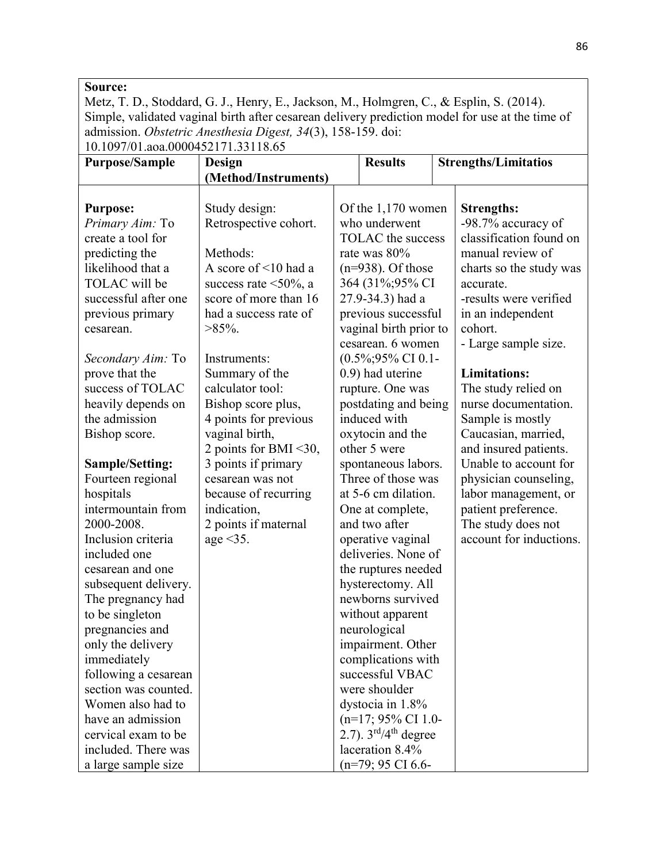Metz, T. D., Stoddard, G. J., Henry, E., Jackson, M., Holmgren, C., & Esplin, S. (2014). Simple, validated vaginal birth after cesarean delivery prediction model for use at the time of admission. Obstetric Anesthesia Digest, 34(3), 158-159. doi: 10.1097/01.aoa.0000452171.33118.65

| <b>Purpose/Sample</b>  | Design                       | <b>Results</b>                             | <b>Strengths/Limitatios</b> |
|------------------------|------------------------------|--------------------------------------------|-----------------------------|
|                        | (Method/Instruments)         |                                            |                             |
|                        |                              |                                            |                             |
| <b>Purpose:</b>        | Study design:                | Of the 1,170 women                         | <b>Strengths:</b>           |
| Primary Aim: To        | Retrospective cohort.        | who underwent                              | -98.7% accuracy of          |
| create a tool for      |                              | <b>TOLAC</b> the success                   | classification found on     |
| predicting the         | Methods:                     | rate was 80%                               | manual review of            |
| likelihood that a      | A score of $\leq 10$ had a   | $(n=938)$ . Of those                       | charts so the study was     |
| TOLAC will be          | success rate $\leq 50\%$ , a | 364 (31%;95% CI                            | accurate.                   |
| successful after one   | score of more than 16        | 27.9-34.3) had a                           | -results were verified      |
| previous primary       | had a success rate of        | previous successful                        | in an independent           |
| cesarean.              | $>85\%$ .                    | vaginal birth prior to                     | cohort.                     |
|                        |                              | cesarean. 6 women                          | - Large sample size.        |
| Secondary Aim: To      | Instruments:                 | $(0.5\%;95\% \text{ CI } 0.1-$             |                             |
| prove that the         | Summary of the               | 0.9) had uterine                           | <b>Limitations:</b>         |
| success of TOLAC       | calculator tool:             | rupture. One was                           | The study relied on         |
| heavily depends on     | Bishop score plus,           | postdating and being                       | nurse documentation.        |
| the admission          | 4 points for previous        | induced with                               | Sample is mostly            |
| Bishop score.          | vaginal birth,               | oxytocin and the                           | Caucasian, married,         |
|                        | 2 points for BMI <30,        | other 5 were                               | and insured patients.       |
| <b>Sample/Setting:</b> | 3 points if primary          | spontaneous labors.                        | Unable to account for       |
| Fourteen regional      | cesarean was not             | Three of those was                         | physician counseling,       |
| hospitals              | because of recurring         | at 5-6 cm dilation.                        | labor management, or        |
| intermountain from     | indication,                  | One at complete,                           | patient preference.         |
| 2000-2008.             | 2 points if maternal         | and two after                              | The study does not          |
| Inclusion criteria     | age $\leq$ 35.               | operative vaginal                          | account for inductions.     |
| included one           |                              | deliveries. None of                        |                             |
| cesarean and one       |                              | the ruptures needed                        |                             |
| subsequent delivery.   |                              | hysterectomy. All                          |                             |
| The pregnancy had      |                              | newborns survived                          |                             |
| to be singleton        |                              | without apparent                           |                             |
| pregnancies and        |                              | neurological                               |                             |
| only the delivery      |                              | impairment. Other                          |                             |
| immediately            |                              | complications with                         |                             |
| following a cesarean   |                              | successful VBAC                            |                             |
| section was counted.   |                              | were shoulder                              |                             |
| Women also had to      |                              | dystocia in 1.8%                           |                             |
| have an admission      |                              | $(n=17; 95\% \text{ CI } 1.0$ -            |                             |
| cervical exam to be    |                              | 2.7). $3^{\text{rd}}/4^{\text{th}}$ degree |                             |
| included. There was    |                              | laceration 8.4%                            |                             |
| a large sample size    |                              | $(n=79; 95 \text{ CI } 6.6$ -              |                             |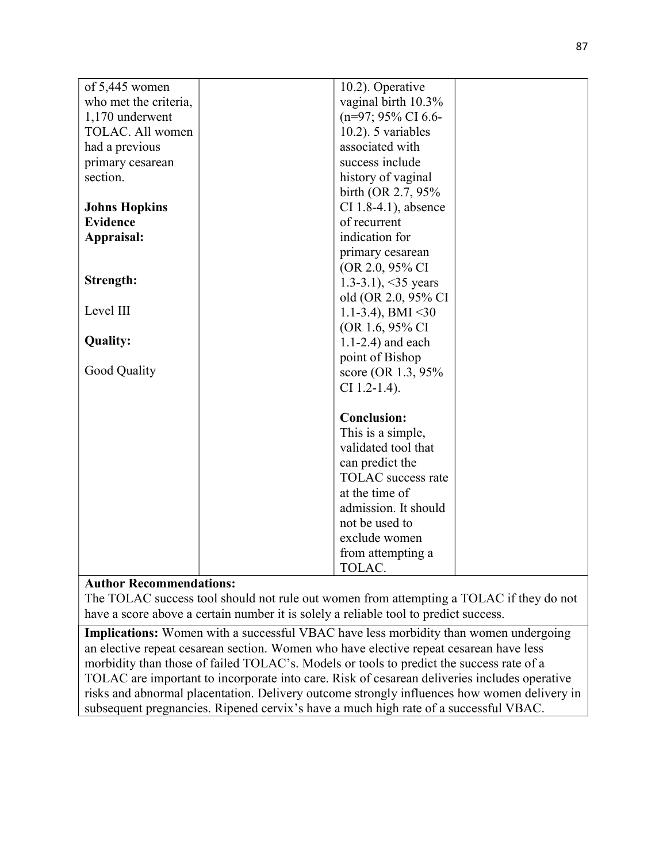| of 5,445 women        | 10.2). Operative                |  |
|-----------------------|---------------------------------|--|
| who met the criteria, | vaginal birth 10.3%             |  |
| 1,170 underwent       | $(n=97; 95\% \text{ CI } 6.6$ - |  |
| TOLAC. All women      | $10.2$ ). 5 variables           |  |
| had a previous        | associated with                 |  |
| primary cesarean      | success include                 |  |
| section.              | history of vaginal              |  |
|                       | birth (OR 2.7, 95%)             |  |
| <b>Johns Hopkins</b>  | CI 1.8-4.1), absence            |  |
| <b>Evidence</b>       | of recurrent                    |  |
| Appraisal:            | indication for                  |  |
|                       | primary cesarean                |  |
|                       | (OR 2.0, 95% CI)                |  |
| Strength:             | 1.3-3.1), $\leq$ 35 years       |  |
|                       | old (OR 2.0, 95% CI             |  |
| Level III             | 1.1-3.4), BMI $\leq$ 30         |  |
|                       | (OR 1.6, 95% CI)                |  |
| <b>Quality:</b>       | $1.1-2.4$ ) and each            |  |
|                       | point of Bishop                 |  |
| Good Quality          | score (OR 1.3, 95%)             |  |
|                       | $CI$ 1.2-1.4).                  |  |
|                       |                                 |  |
|                       | <b>Conclusion:</b>              |  |
|                       | This is a simple,               |  |
|                       | validated tool that             |  |
|                       | can predict the                 |  |
|                       | TOLAC success rate              |  |
|                       | at the time of                  |  |
|                       | admission. It should            |  |
|                       | not be used to                  |  |
|                       | exclude women                   |  |
|                       | from attempting a               |  |
|                       | TOLAC.                          |  |

The TOLAC success tool should not rule out women from attempting a TOLAC if they do not have a score above a certain number it is solely a reliable tool to predict success.

Implications: Women with a successful VBAC have less morbidity than women undergoing an elective repeat cesarean section. Women who have elective repeat cesarean have less morbidity than those of failed TOLAC's. Models or tools to predict the success rate of a TOLAC are important to incorporate into care. Risk of cesarean deliveries includes operative risks and abnormal placentation. Delivery outcome strongly influences how women delivery in subsequent pregnancies. Ripened cervix's have a much high rate of a successful VBAC.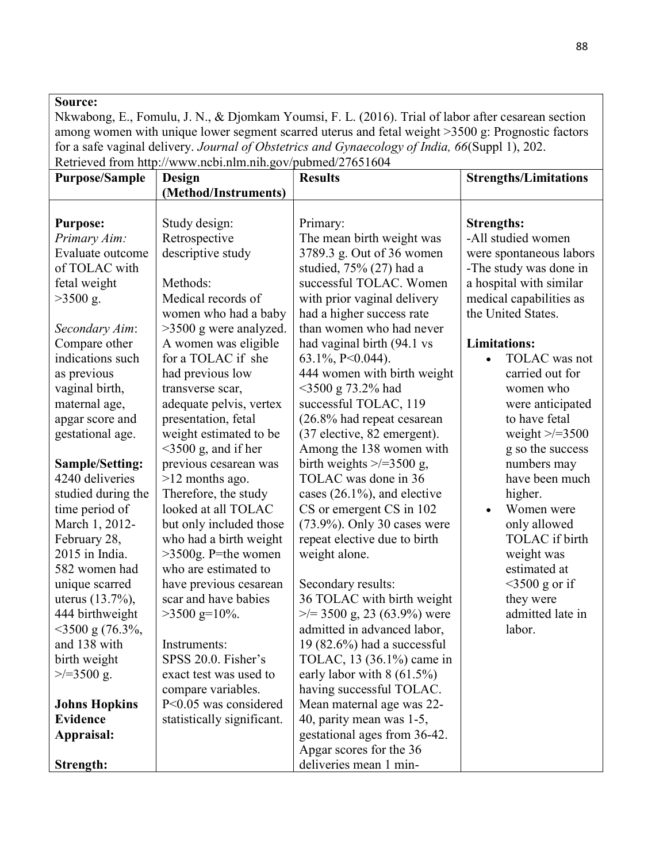Nkwabong, E., Fomulu, J. N., & Djomkam Youmsi, F. L. (2016). Trial of labor after cesarean section among women with unique lower segment scarred uterus and fetal weight >3500 g: Prognostic factors for a safe vaginal delivery. Journal of Obstetrics and Gynaecology of India, 66(Suppl 1), 202. Retrieved from http://www.ncbi.nlm.nih.gov/pubmed/27651604

| <b>Purpose/Sample</b>  | Design                     | <b>Results</b>                   | <b>Strengths/Limitations</b> |
|------------------------|----------------------------|----------------------------------|------------------------------|
|                        | (Method/Instruments)       |                                  |                              |
|                        |                            |                                  |                              |
| <b>Purpose:</b>        | Study design:              | Primary:                         | <b>Strengths:</b>            |
| Primary Aim:           | Retrospective              | The mean birth weight was        | -All studied women           |
| Evaluate outcome       | descriptive study          | 3789.3 g. Out of 36 women        | were spontaneous labors      |
| of TOLAC with          |                            | studied, 75% (27) had a          | -The study was done in       |
| fetal weight           | Methods:                   | successful TOLAC. Women          | a hospital with similar      |
| $>3500$ g.             | Medical records of         | with prior vaginal delivery      | medical capabilities as      |
|                        | women who had a baby       | had a higher success rate        | the United States.           |
| Secondary Aim:         | >3500 g were analyzed.     | than women who had never         |                              |
| Compare other          | A women was eligible       | had vaginal birth (94.1 vs       | <b>Limitations:</b>          |
| indications such       | for a TOLAC if she         | $63.1\%, P<0.044$ ).             | TOLAC was not                |
| as previous            | had previous low           | 444 women with birth weight      | carried out for              |
| vaginal birth,         | transverse scar,           | $<$ 3500 g 73.2% had             | women who                    |
| maternal age,          | adequate pelvis, vertex    | successful TOLAC, 119            | were anticipated             |
| apgar score and        | presentation, fetal        | (26.8% had repeat cesarean       | to have fetal                |
| gestational age.       | weight estimated to be     | (37 elective, 82 emergent).      | weight $\ge$ /=3500          |
|                        | $\leq$ 3500 g, and if her  | Among the 138 women with         | g so the success             |
| <b>Sample/Setting:</b> | previous cesarean was      | birth weights $\ge$ /=3500 g,    | numbers may                  |
| 4240 deliveries        | >12 months ago.            | TOLAC was done in 36             | have been much               |
| studied during the     | Therefore, the study       | cases $(26.1\%)$ , and elective  | higher.                      |
| time period of         | looked at all TOLAC        | CS or emergent CS in 102         | Women were                   |
| March 1, 2012-         | but only included those    | (73.9%). Only 30 cases were      | only allowed                 |
| February 28,           | who had a birth weight     | repeat elective due to birth     | TOLAC if birth               |
| 2015 in India.         | >3500g. P=the women        | weight alone.                    | weight was                   |
| 582 women had          | who are estimated to       |                                  | estimated at                 |
| unique scarred         | have previous cesarean     | Secondary results:               | $\leq$ 3500 g or if          |
| uterus $(13.7\%)$ ,    | scar and have babies       | 36 TOLAC with birth weight       | they were                    |
| 444 birthweight        | $>3500$ g=10%.             | $\ge$ /= 3500 g, 23 (63.9%) were | admitted late in             |
| $<$ 3500 g (76.3%,     |                            | admitted in advanced labor,      | labor.                       |
| and 138 with           | Instruments:               | 19 $(82.6%)$ had a successful    |                              |
| birth weight           | SPSS 20.0. Fisher's        | TOLAC, 13 (36.1%) came in        |                              |
| $\ge$ /=3500 g.        | exact test was used to     | early labor with $8(61.5\%)$     |                              |
|                        | compare variables.         | having successful TOLAC.         |                              |
| <b>Johns Hopkins</b>   | P<0.05 was considered      | Mean maternal age was 22-        |                              |
| <b>Evidence</b>        | statistically significant. | 40, parity mean was 1-5,         |                              |
| Appraisal:             |                            | gestational ages from 36-42.     |                              |
|                        |                            | Apgar scores for the 36          |                              |
| Strength:              |                            | deliveries mean 1 min-           |                              |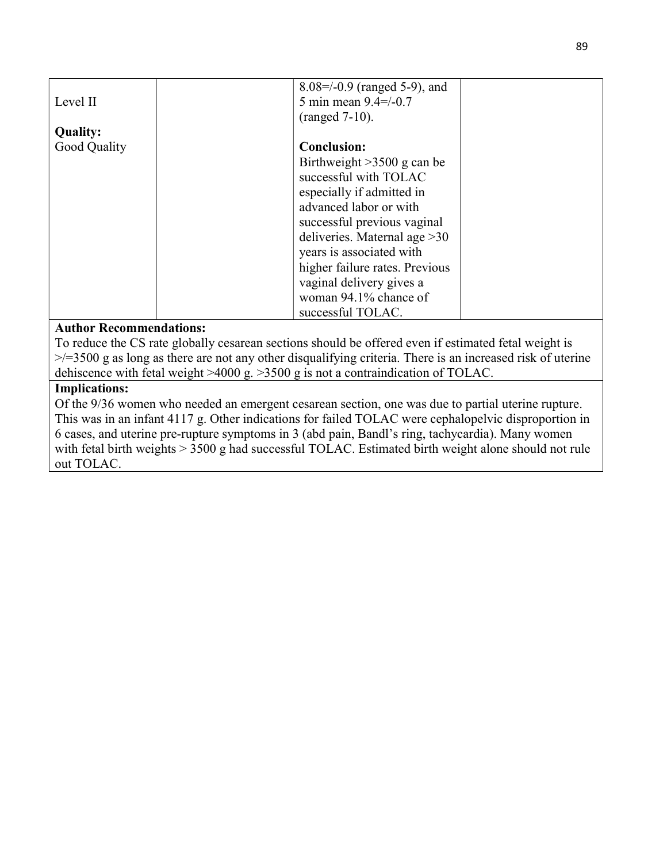|                 | $8.08 = -0.9$ (ranged 5-9), and |  |
|-----------------|---------------------------------|--|
| Level II        | 5 min mean $9.4 = / -0.7$       |  |
|                 | $(ranged 7-10)$ .               |  |
| <b>Quality:</b> |                                 |  |
| Good Quality    | <b>Conclusion:</b>              |  |
|                 | Birthweight $>3500$ g can be    |  |
|                 | successful with TOLAC           |  |
|                 | especially if admitted in       |  |
|                 | advanced labor or with          |  |
|                 | successful previous vaginal     |  |
|                 | deliveries. Maternal age $>30$  |  |
|                 | years is associated with        |  |
|                 | higher failure rates. Previous  |  |
|                 | vaginal delivery gives a        |  |
|                 | woman 94.1% chance of           |  |
|                 | successful TOLAC.               |  |

To reduce the CS rate globally cesarean sections should be offered even if estimated fetal weight is  $\ge$ /=3500 g as long as there are not any other disqualifying criteria. There is an increased risk of uterine dehiscence with fetal weight >4000 g. >3500 g is not a contraindication of TOLAC.

### Implications:

Of the 9/36 women who needed an emergent cesarean section, one was due to partial uterine rupture. This was in an infant 4117 g. Other indications for failed TOLAC were cephalopelvic disproportion in 6 cases, and uterine pre-rupture symptoms in 3 (abd pain, Bandl's ring, tachycardia). Many women with fetal birth weights > 3500 g had successful TOLAC. Estimated birth weight alone should not rule out TOLAC.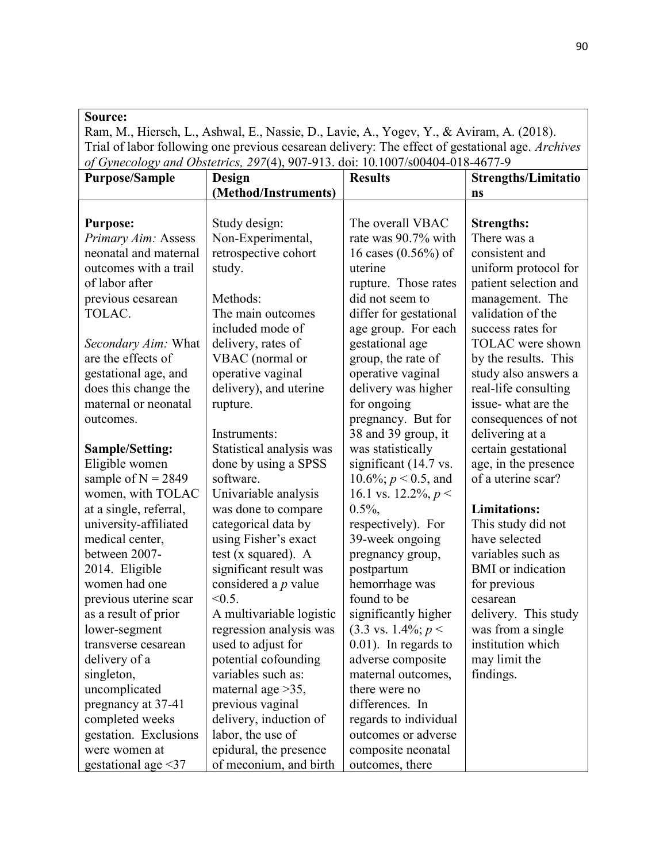Ram, M., Hiersch, L., Ashwal, E., Nassie, D., Lavie, A., Yogev, Y., & Aviram, A. (2018). Trial of labor following one previous cesarean delivery: The effect of gestational age. Archives of Gynecology and Obstetrics, 297(4), 907-913. doi: 10.1007/s00404-018-4677-9

| $\sim$ , $\sim$ $\sim$ $\sim$ $\sim$ $\sim$<br><b>Purpose/Sample</b> | <b>Design</b>            | <b>Results</b>                 | Strengths/Limitatio      |
|----------------------------------------------------------------------|--------------------------|--------------------------------|--------------------------|
|                                                                      | (Method/Instruments)     |                                | ns                       |
|                                                                      |                          |                                |                          |
| <b>Purpose:</b>                                                      | Study design:            | The overall VBAC               | <b>Strengths:</b>        |
| Primary Aim: Assess                                                  | Non-Experimental,        | rate was 90.7% with            | There was a              |
| neonatal and maternal                                                | retrospective cohort     | 16 cases (0.56%) of            | consistent and           |
| outcomes with a trail                                                | study.                   | uterine                        | uniform protocol for     |
| of labor after                                                       |                          | rupture. Those rates           | patient selection and    |
| previous cesarean                                                    | Methods:                 | did not seem to                | management. The          |
| TOLAC.                                                               | The main outcomes        | differ for gestational         | validation of the        |
|                                                                      | included mode of         | age group. For each            | success rates for        |
| <i>Secondary Aim:</i> What                                           | delivery, rates of       | gestational age                | TOLAC were shown         |
| are the effects of                                                   | VBAC (normal or          | group, the rate of             | by the results. This     |
| gestational age, and                                                 | operative vaginal        | operative vaginal              | study also answers a     |
| does this change the                                                 | delivery), and uterine   | delivery was higher            | real-life consulting     |
| maternal or neonatal                                                 | rupture.                 | for ongoing                    | issue-what are the       |
| outcomes.                                                            |                          | pregnancy. But for             | consequences of not      |
|                                                                      | Instruments:             | 38 and 39 group, it            | delivering at a          |
| Sample/Setting:                                                      | Statistical analysis was | was statistically              | certain gestational      |
| Eligible women                                                       | done by using a SPSS     | significant (14.7 vs.          | age, in the presence     |
| sample of $N = 2849$                                                 | software.                | 10.6%; $p < 0.5$ , and         | of a uterine scar?       |
| women, with TOLAC                                                    | Univariable analysis     | 16.1 vs. 12.2%, $p <$          |                          |
| at a single, referral,                                               | was done to compare      | $0.5\%$ ,                      | <b>Limitations:</b>      |
| university-affiliated                                                | categorical data by      | respectively). For             | This study did not       |
| medical center,                                                      | using Fisher's exact     | 39-week ongoing                | have selected            |
| between 2007-                                                        | test ( $x$ squared). A   | pregnancy group,               | variables such as        |
| 2014. Eligible                                                       | significant result was   | postpartum                     | <b>BMI</b> or indication |
| women had one                                                        | considered a $p$ value   | hemorrhage was                 | for previous             |
| previous uterine scar                                                | $< 0.5$ .                | found to be                    | cesarean                 |
| as a result of prior                                                 | A multivariable logistic | significantly higher           | delivery. This study     |
| lower-segment                                                        | regression analysis was  | $(3.3 \text{ vs. } 1.4\%; p <$ | was from a single        |
| transverse cesarean                                                  | used to adjust for       | $0.01$ ). In regards to        | institution which        |
| delivery of a                                                        | potential cofounding     | adverse composite              | may limit the            |
| singleton,                                                           | variables such as:       | maternal outcomes,             | findings.                |
| uncomplicated                                                        | maternal age $>35$ ,     | there were no                  |                          |
| pregnancy at 37-41                                                   | previous vaginal         | differences. In                |                          |
| completed weeks                                                      | delivery, induction of   | regards to individual          |                          |
| gestation. Exclusions                                                | labor, the use of        | outcomes or adverse            |                          |
| were women at                                                        | epidural, the presence   | composite neonatal             |                          |
| gestational age <37                                                  | of meconium, and birth   | outcomes, there                |                          |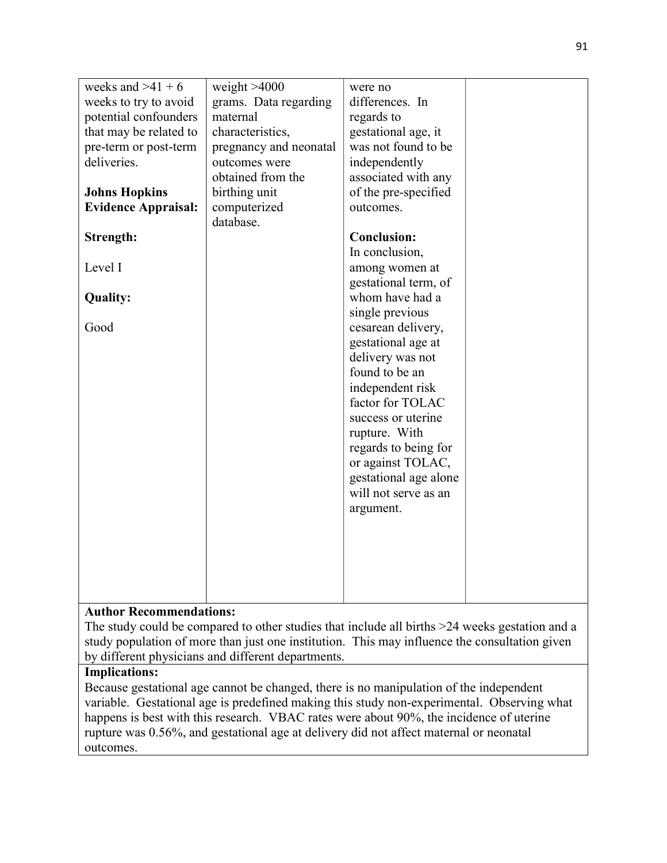| weeks and $>41 + 6$        | weight $>4000$         | were no                                 |  |
|----------------------------|------------------------|-----------------------------------------|--|
| weeks to try to avoid      | grams. Data regarding  | differences. In                         |  |
| potential confounders      | maternal               | regards to                              |  |
| that may be related to     | characteristics,       | gestational age, it                     |  |
| pre-term or post-term      | pregnancy and neonatal | was not found to be                     |  |
| deliveries.                | outcomes were          | independently                           |  |
|                            | obtained from the      | associated with any                     |  |
| <b>Johns Hopkins</b>       | birthing unit          | of the pre-specified                    |  |
| <b>Evidence Appraisal:</b> | computerized           | outcomes.                               |  |
|                            | database.              |                                         |  |
| Strength:                  |                        | <b>Conclusion:</b>                      |  |
|                            |                        | In conclusion,                          |  |
| Level I                    |                        |                                         |  |
|                            |                        | among women at                          |  |
|                            |                        | gestational term, of<br>whom have had a |  |
| <b>Quality:</b>            |                        |                                         |  |
|                            |                        | single previous                         |  |
| Good                       |                        | cesarean delivery,                      |  |
|                            |                        | gestational age at                      |  |
|                            |                        | delivery was not                        |  |
|                            |                        | found to be an                          |  |
|                            |                        | independent risk                        |  |
|                            |                        | factor for TOLAC                        |  |
|                            |                        | success or uterine                      |  |
|                            |                        | rupture. With                           |  |
|                            |                        | regards to being for                    |  |
|                            |                        | or against TOLAC,                       |  |
|                            |                        | gestational age alone                   |  |
|                            |                        | will not serve as an                    |  |
|                            |                        | argument.                               |  |
|                            |                        |                                         |  |
|                            |                        |                                         |  |
|                            |                        |                                         |  |
|                            |                        |                                         |  |
|                            |                        |                                         |  |
|                            |                        |                                         |  |

The study could be compared to other studies that include all births >24 weeks gestation and a study population of more than just one institution. This may influence the consultation given by different physicians and different departments.

## Implications:

Because gestational age cannot be changed, there is no manipulation of the independent variable. Gestational age is predefined making this study non-experimental. Observing what happens is best with this research. VBAC rates were about 90%, the incidence of uterine rupture was 0.56%, and gestational age at delivery did not affect maternal or neonatal outcomes.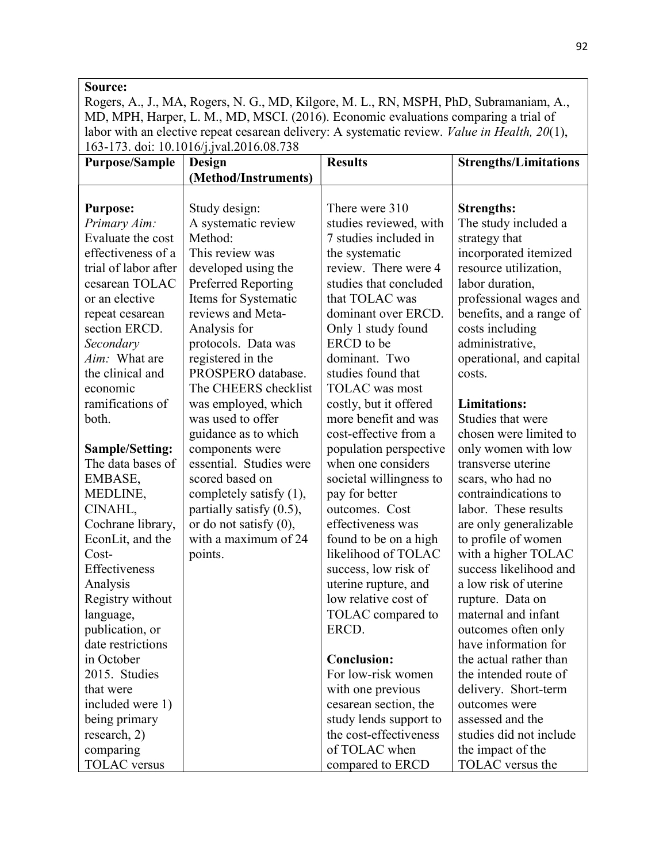Rogers, A., J., MA, Rogers, N. G., MD, Kilgore, M. L., RN, MSPH, PhD, Subramaniam, A., MD, MPH, Harper, L. M., MD, MSCI. (2016). Economic evaluations comparing a trial of labor with an elective repeat cesarean delivery: A systematic review. Value in Health, 20(1), 163-173. doi: 10.1016/j.jval.2016.08.738

| <b>Purpose/Sample</b> | Design                     | <b>Results</b>          | <b>Strengths/Limitations</b> |
|-----------------------|----------------------------|-------------------------|------------------------------|
|                       | (Method/Instruments)       |                         |                              |
|                       |                            |                         |                              |
| <b>Purpose:</b>       | Study design:              | There were 310          | <b>Strengths:</b>            |
| Primary Aim:          | A systematic review        | studies reviewed, with  | The study included a         |
| Evaluate the cost     | Method:                    | 7 studies included in   | strategy that                |
| effectiveness of a    | This review was            | the systematic          | incorporated itemized        |
| trial of labor after  | developed using the        | review. There were 4    | resource utilization,        |
| cesarean TOLAC        | <b>Preferred Reporting</b> | studies that concluded  | labor duration,              |
| or an elective        | Items for Systematic       | that TOLAC was          | professional wages and       |
| repeat cesarean       | reviews and Meta-          | dominant over ERCD.     | benefits, and a range of     |
| section ERCD.         | Analysis for               | Only 1 study found      | costs including              |
| Secondary             | protocols. Data was        | ERCD to be              | administrative,              |
| Aim: What are         | registered in the          | dominant. Two           | operational, and capital     |
| the clinical and      | PROSPERO database.         | studies found that      | costs.                       |
| economic              | The CHEERS checklist       | <b>TOLAC</b> was most   |                              |
| ramifications of      | was employed, which        | costly, but it offered  | <b>Limitations:</b>          |
| both.                 | was used to offer          | more benefit and was    | Studies that were            |
|                       | guidance as to which       | cost-effective from a   | chosen were limited to       |
| Sample/Setting:       | components were            | population perspective  | only women with low          |
| The data bases of     | essential. Studies were    | when one considers      | transverse uterine           |
| EMBASE,               | scored based on            | societal willingness to | scars, who had no            |
| MEDLINE,              | completely satisfy (1),    | pay for better          | contraindications to         |
| CINAHL,               | partially satisfy (0.5),   | outcomes. Cost          | labor. These results         |
| Cochrane library,     | or do not satisfy $(0)$ ,  | effectiveness was       | are only generalizable       |
| EconLit, and the      | with a maximum of 24       | found to be on a high   | to profile of women          |
| Cost-                 | points.                    | likelihood of TOLAC     | with a higher TOLAC          |
| Effectiveness         |                            | success, low risk of    | success likelihood and       |
| Analysis              |                            | uterine rupture, and    | a low risk of uterine        |
| Registry without      |                            | low relative cost of    | rupture. Data on             |
| language,             |                            | TOLAC compared to       | maternal and infant          |
| publication, or       |                            | ERCD.                   | outcomes often only          |
| date restrictions     |                            |                         | have information for         |
| in October            |                            | <b>Conclusion:</b>      | the actual rather than       |
| 2015. Studies         |                            | For low-risk women      | the intended route of        |
| that were             |                            | with one previous       | delivery. Short-term         |
| included were 1)      |                            | cesarean section, the   | outcomes were                |
| being primary         |                            | study lends support to  | assessed and the             |
| research, 2)          |                            | the cost-effectiveness  | studies did not include      |
| comparing             |                            | of TOLAC when           | the impact of the            |
| <b>TOLAC</b> versus   |                            | compared to ERCD        | TOLAC versus the             |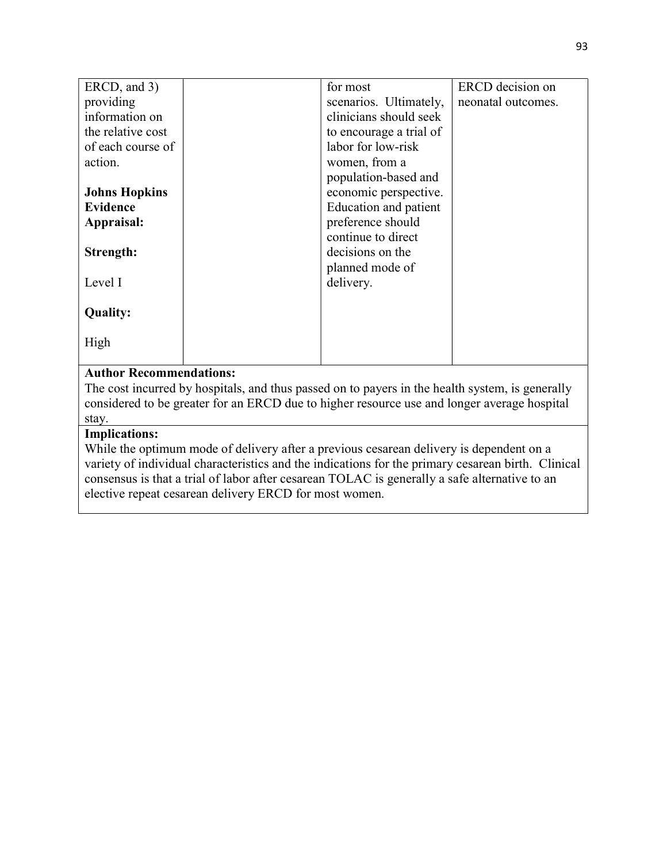| ERCD, and 3)                  | for most                | ERCD decision on   |
|-------------------------------|-------------------------|--------------------|
| providing                     | scenarios. Ultimately,  | neonatal outcomes. |
| information on                | clinicians should seek  |                    |
| the relative cost             | to encourage a trial of |                    |
| of each course of             | labor for low-risk      |                    |
| action.                       | women, from a           |                    |
|                               | population-based and    |                    |
| <b>Johns Hopkins</b>          | economic perspective.   |                    |
| <b>Evidence</b>               | Education and patient   |                    |
| Appraisal:                    | preference should       |                    |
|                               | continue to direct      |                    |
| Strength:                     | decisions on the        |                    |
|                               | planned mode of         |                    |
| Level I                       | delivery.               |                    |
|                               |                         |                    |
| <b>Quality:</b>               |                         |                    |
|                               |                         |                    |
| High                          |                         |                    |
|                               |                         |                    |
| $\lambda$ $\lambda$ $\lambda$ |                         |                    |

The cost incurred by hospitals, and thus passed on to payers in the health system, is generally considered to be greater for an ERCD due to higher resource use and longer average hospital stay.

# Implications:

While the optimum mode of delivery after a previous cesarean delivery is dependent on a variety of individual characteristics and the indications for the primary cesarean birth. Clinical consensus is that a trial of labor after cesarean TOLAC is generally a safe alternative to an elective repeat cesarean delivery ERCD for most women.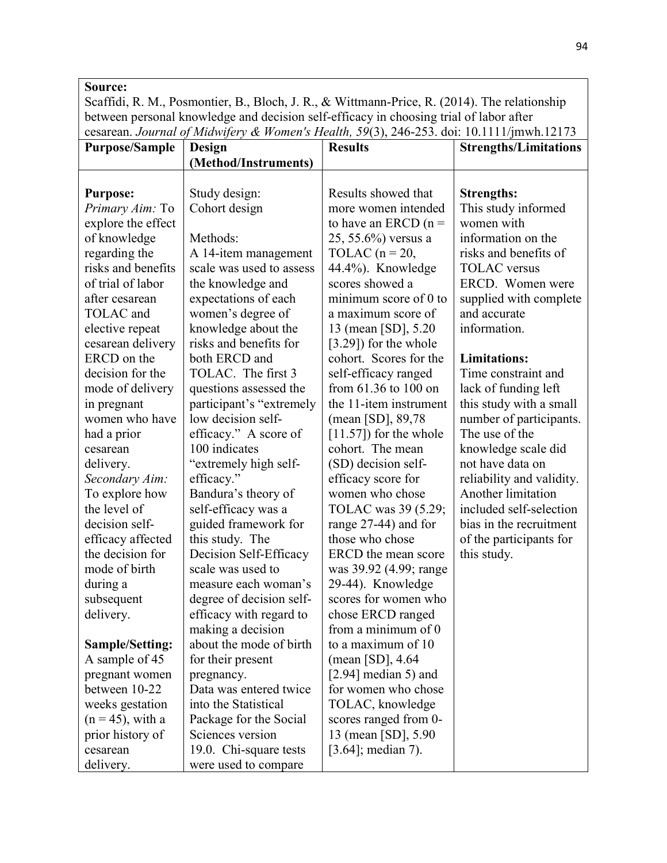Scaffidi, R. M., Posmontier, B., Bloch, J. R., & Wittmann‐Price, R. (2014). The relationship between personal knowledge and decision self‐efficacy in choosing trial of labor after cesarean. Journal of Midwifery & Women's Health, 59(3), 246-253. doi: 10.1111/jmwh.12173

| <b>Purpose/Sample</b>  | Design                   | <b>Results</b>            | <b>Strengths/Limitations</b> |
|------------------------|--------------------------|---------------------------|------------------------------|
|                        | (Method/Instruments)     |                           |                              |
|                        |                          |                           |                              |
| <b>Purpose:</b>        | Study design:            | Results showed that       | <b>Strengths:</b>            |
| Primary Aim: To        | Cohort design            | more women intended       | This study informed          |
| explore the effect     |                          | to have an ERCD $(n =$    | women with                   |
| of knowledge           | Methods:                 | 25, 55.6%) versus a       | information on the           |
| regarding the          | A 14-item management     | TOLAC ( $n = 20$ )        | risks and benefits of        |
| risks and benefits     | scale was used to assess | 44.4%). Knowledge         | <b>TOLAC</b> versus          |
| of trial of labor      | the knowledge and        | scores showed a           | ERCD. Women were             |
| after cesarean         | expectations of each     | minimum score of 0 to     | supplied with complete       |
| TOLAC and              | women's degree of        | a maximum score of        | and accurate                 |
| elective repeat        | knowledge about the      | 13 (mean [SD], 5.20       | information.                 |
| cesarean delivery      | risks and benefits for   | [3.29]) for the whole     |                              |
| ERCD on the            | both ERCD and            | cohort. Scores for the    | <b>Limitations:</b>          |
| decision for the       | TOLAC. The first 3       | self-efficacy ranged      | Time constraint and          |
| mode of delivery       | questions assessed the   | from $61.36$ to $100$ on  | lack of funding left         |
| in pregnant            | participant's "extremely | the 11-item instrument    | this study with a small      |
| women who have         | low decision self-       | (mean [SD], 89,78         | number of participants.      |
| had a prior            | efficacy." A score of    | $[11.57]$ ) for the whole | The use of the               |
| cesarean               | 100 indicates            | cohort. The mean          | knowledge scale did          |
| delivery.              | "extremely high self-    | (SD) decision self-       | not have data on             |
| Secondary Aim:         | efficacy."               | efficacy score for        | reliability and validity.    |
| To explore how         | Bandura's theory of      | women who chose           | Another limitation           |
| the level of           | self-efficacy was a      | TOLAC was 39 (5.29;       | included self-selection      |
| decision self-         | guided framework for     | range 27-44) and for      | bias in the recruitment      |
| efficacy affected      | this study. The          | those who chose           | of the participants for      |
| the decision for       | Decision Self-Efficacy   | ERCD the mean score       | this study.                  |
| mode of birth          | scale was used to        | was 39.92 (4.99; range    |                              |
| during a               | measure each woman's     | 29-44). Knowledge         |                              |
| subsequent             | degree of decision self- | scores for women who      |                              |
| delivery.              | efficacy with regard to  | chose ERCD ranged         |                              |
|                        | making a decision        | from a minimum of 0       |                              |
| <b>Sample/Setting:</b> | about the mode of birth  | to a maximum of 10        |                              |
| A sample of 45         | for their present        | (mean [SD], $4.64$        |                              |
| pregnant women         | pregnancy.               | $[2.94]$ median 5) and    |                              |
| between 10-22          | Data was entered twice   | for women who chose       |                              |
| weeks gestation        | into the Statistical     | TOLAC, knowledge          |                              |
| $(n = 45)$ , with a    | Package for the Social   | scores ranged from 0-     |                              |
| prior history of       | Sciences version         | 13 (mean [SD], 5.90       |                              |
| cesarean               | 19.0. Chi-square tests   | $[3.64]$ ; median 7).     |                              |
| delivery.              | were used to compare     |                           |                              |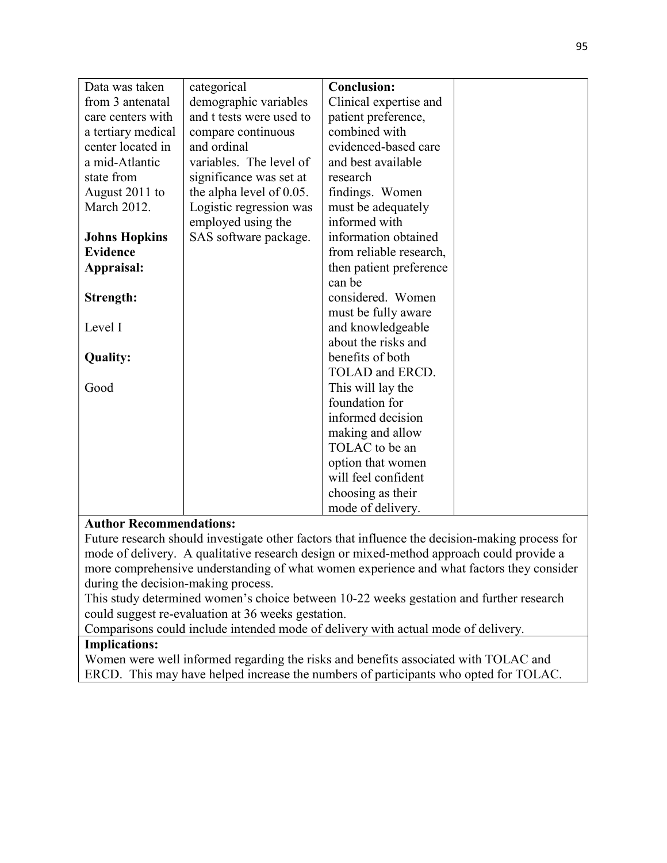| Data was taken       | categorical              | <b>Conclusion:</b>      |  |
|----------------------|--------------------------|-------------------------|--|
|                      |                          |                         |  |
| from 3 antenatal     | demographic variables    | Clinical expertise and  |  |
| care centers with    | and t tests were used to | patient preference,     |  |
| a tertiary medical   | compare continuous       | combined with           |  |
| center located in    | and ordinal              | evidenced-based care    |  |
| a mid-Atlantic       | variables. The level of  | and best available      |  |
| state from           | significance was set at  | research                |  |
| August 2011 to       | the alpha level of 0.05. | findings. Women         |  |
| March 2012.          | Logistic regression was  | must be adequately      |  |
|                      | employed using the       | informed with           |  |
| <b>Johns Hopkins</b> | SAS software package.    | information obtained    |  |
| <b>Evidence</b>      |                          | from reliable research, |  |
| Appraisal:           |                          | then patient preference |  |
|                      |                          | can be                  |  |
| Strength:            |                          | considered. Women       |  |
|                      |                          | must be fully aware     |  |
| Level I              |                          | and knowledgeable       |  |
|                      |                          | about the risks and     |  |
| <b>Quality:</b>      |                          | benefits of both        |  |
|                      |                          | TOLAD and ERCD.         |  |
| Good                 |                          | This will lay the       |  |
|                      |                          | foundation for          |  |
|                      |                          |                         |  |
|                      |                          | informed decision       |  |
|                      |                          | making and allow        |  |
|                      |                          | TOLAC to be an          |  |
|                      |                          | option that women       |  |
|                      |                          | will feel confident     |  |
|                      |                          | choosing as their       |  |
|                      |                          | mode of delivery.       |  |

Future research should investigate other factors that influence the decision-making process for mode of delivery. A qualitative research design or mixed-method approach could provide a more comprehensive understanding of what women experience and what factors they consider during the decision-making process.

This study determined women's choice between 10-22 weeks gestation and further research could suggest re-evaluation at 36 weeks gestation.

Comparisons could include intended mode of delivery with actual mode of delivery.

## Implications:

Women were well informed regarding the risks and benefits associated with TOLAC and ERCD. This may have helped increase the numbers of participants who opted for TOLAC.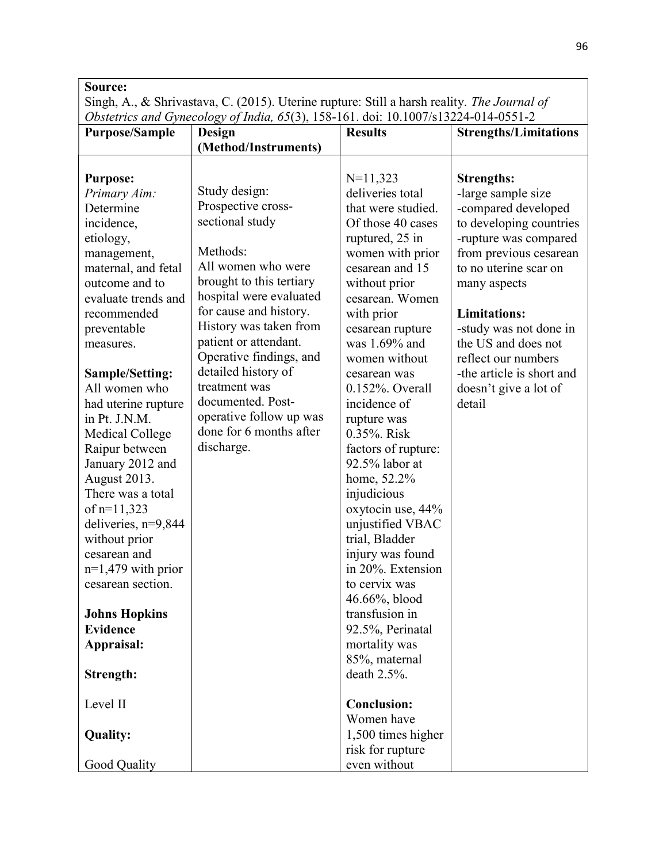Singh, A., & Shrivastava, C. (2015). Uterine rupture: Still a harsh reality. The Journal of Obstetrics and Gynecology of India, 65(3), 158-161. doi: 10.1007/s13224-014-0551-2

|                                         | Obsietrics and Oynecology of India, 09(9), 196-101. doi. 10.100//819224-014-0991-2 |                                       |                              |
|-----------------------------------------|------------------------------------------------------------------------------------|---------------------------------------|------------------------------|
| <b>Purpose/Sample</b>                   | <b>Design</b>                                                                      | <b>Results</b>                        | <b>Strengths/Limitations</b> |
|                                         | (Method/Instruments)                                                               |                                       |                              |
|                                         |                                                                                    |                                       |                              |
| <b>Purpose:</b>                         |                                                                                    | $N=11,323$                            | <b>Strengths:</b>            |
| Primary Aim:                            | Study design:                                                                      | deliveries total                      | -large sample size           |
| Determine                               | Prospective cross-                                                                 | that were studied.                    | -compared developed          |
| incidence,                              | sectional study                                                                    | Of those 40 cases                     | to developing countries      |
| etiology,                               |                                                                                    | ruptured, 25 in                       | -rupture was compared        |
| management,                             | Methods:                                                                           | women with prior                      | from previous cesarean       |
| maternal, and fetal                     | All women who were                                                                 | cesarean and 15                       | to no uterine scar on        |
| outcome and to                          | brought to this tertiary                                                           | without prior                         | many aspects                 |
| evaluate trends and                     | hospital were evaluated                                                            | cesarean. Women                       |                              |
| recommended                             | for cause and history.                                                             | with prior                            | <b>Limitations:</b>          |
| preventable                             | History was taken from                                                             | cesarean rupture                      | -study was not done in       |
| measures.                               | patient or attendant.                                                              | was 1.69% and                         | the US and does not          |
|                                         | Operative findings, and                                                            | women without                         | reflect our numbers          |
| <b>Sample/Setting:</b>                  | detailed history of                                                                | cesarean was                          | -the article is short and    |
| All women who                           | treatment was                                                                      | $0.152\%$ . Overall                   | doesn't give a lot of        |
| had uterine rupture                     | documented. Post-                                                                  | incidence of                          | detail                       |
| in Pt. J.N.M.                           | operative follow up was                                                            | rupture was                           |                              |
| Medical College                         | done for 6 months after                                                            | 0.35%. Risk                           |                              |
| Raipur between                          | discharge.                                                                         | factors of rupture:                   |                              |
| January 2012 and                        |                                                                                    | 92.5% labor at                        |                              |
| August 2013.                            |                                                                                    | home, 52.2%                           |                              |
| There was a total                       |                                                                                    | injudicious                           |                              |
|                                         |                                                                                    |                                       |                              |
| of $n=11,323$                           |                                                                                    | oxytocin use, 44%<br>unjustified VBAC |                              |
| deliveries, $n=9,844$<br>without prior  |                                                                                    | trial, Bladder                        |                              |
| cesarean and                            |                                                                                    | injury was found                      |                              |
| $n=1,479$ with prior                    |                                                                                    | in 20%. Extension                     |                              |
| cesarean section.                       |                                                                                    | to cervix was                         |                              |
|                                         |                                                                                    |                                       |                              |
|                                         |                                                                                    | 46.66%, blood<br>transfusion in       |                              |
| <b>Johns Hopkins</b><br><b>Evidence</b> |                                                                                    |                                       |                              |
|                                         |                                                                                    | 92.5%, Perinatal                      |                              |
| Appraisal:                              |                                                                                    | mortality was                         |                              |
|                                         |                                                                                    | 85%, maternal<br>death $2.5\%$ .      |                              |
| <b>Strength:</b>                        |                                                                                    |                                       |                              |
| Level II                                |                                                                                    | <b>Conclusion:</b>                    |                              |
|                                         |                                                                                    | Women have                            |                              |
| <b>Quality:</b>                         |                                                                                    | 1,500 times higher                    |                              |
|                                         |                                                                                    | risk for rupture                      |                              |
| Good Quality                            |                                                                                    | even without                          |                              |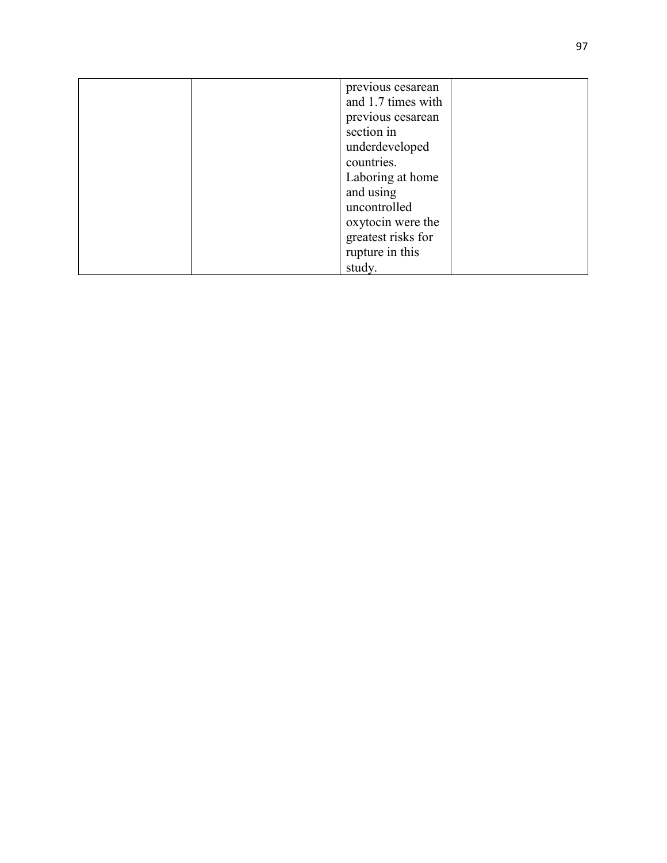| previous cesarean  |
|--------------------|
| and 1.7 times with |
| previous cesarean  |
| section in         |
| underdeveloped     |
| countries.         |
| Laboring at home   |
| and using          |
| uncontrolled       |
| oxytocin were the  |
| greatest risks for |
| rupture in this    |
| study.             |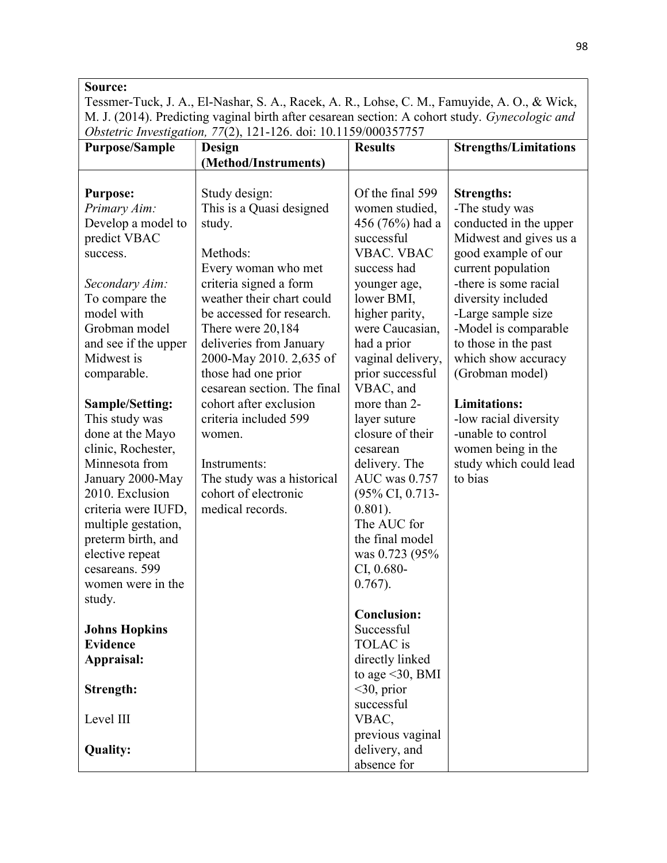Tessmer-Tuck, J. A., El-Nashar, S. A., Racek, A. R., Lohse, C. M., Famuyide, A. O., & Wick, M. J. (2014). Predicting vaginal birth after cesarean section: A cohort study. Gynecologic and Obstetric Investigation, 77(2), 121-126. doi: 10.1159/000357757

| <b>Purpose/Sample</b>                                                                                                                                                                                                                                                                                                                                           | Design                                                                                                                                    | <b>Results</b>                                                                                                                                                                                                                                                                                                                                                                 | <b>Strengths/Limitations</b>                                                                                                  |
|-----------------------------------------------------------------------------------------------------------------------------------------------------------------------------------------------------------------------------------------------------------------------------------------------------------------------------------------------------------------|-------------------------------------------------------------------------------------------------------------------------------------------|--------------------------------------------------------------------------------------------------------------------------------------------------------------------------------------------------------------------------------------------------------------------------------------------------------------------------------------------------------------------------------|-------------------------------------------------------------------------------------------------------------------------------|
|                                                                                                                                                                                                                                                                                                                                                                 | (Method/Instruments)                                                                                                                      |                                                                                                                                                                                                                                                                                                                                                                                |                                                                                                                               |
|                                                                                                                                                                                                                                                                                                                                                                 |                                                                                                                                           |                                                                                                                                                                                                                                                                                                                                                                                |                                                                                                                               |
| <b>Purpose:</b>                                                                                                                                                                                                                                                                                                                                                 | Study design:                                                                                                                             | Of the final 599                                                                                                                                                                                                                                                                                                                                                               | <b>Strengths:</b>                                                                                                             |
| Primary Aim:                                                                                                                                                                                                                                                                                                                                                    | This is a Quasi designed                                                                                                                  | women studied,                                                                                                                                                                                                                                                                                                                                                                 | -The study was                                                                                                                |
| Develop a model to                                                                                                                                                                                                                                                                                                                                              | study.                                                                                                                                    | 456 (76%) had a                                                                                                                                                                                                                                                                                                                                                                | conducted in the upper                                                                                                        |
| predict VBAC                                                                                                                                                                                                                                                                                                                                                    |                                                                                                                                           | successful                                                                                                                                                                                                                                                                                                                                                                     | Midwest and gives us a                                                                                                        |
| success.                                                                                                                                                                                                                                                                                                                                                        | Methods:                                                                                                                                  | <b>VBAC. VBAC</b>                                                                                                                                                                                                                                                                                                                                                              | good example of our                                                                                                           |
|                                                                                                                                                                                                                                                                                                                                                                 | Every woman who met                                                                                                                       | success had                                                                                                                                                                                                                                                                                                                                                                    | current population                                                                                                            |
| Secondary Aim:                                                                                                                                                                                                                                                                                                                                                  | criteria signed a form                                                                                                                    | younger age,                                                                                                                                                                                                                                                                                                                                                                   | -there is some racial                                                                                                         |
| To compare the                                                                                                                                                                                                                                                                                                                                                  | weather their chart could                                                                                                                 | lower BMI,                                                                                                                                                                                                                                                                                                                                                                     | diversity included                                                                                                            |
| model with                                                                                                                                                                                                                                                                                                                                                      | be accessed for research.                                                                                                                 | higher parity,                                                                                                                                                                                                                                                                                                                                                                 | -Large sample size                                                                                                            |
| Grobman model                                                                                                                                                                                                                                                                                                                                                   | There were 20,184                                                                                                                         | were Caucasian,                                                                                                                                                                                                                                                                                                                                                                | -Model is comparable                                                                                                          |
| and see if the upper                                                                                                                                                                                                                                                                                                                                            | deliveries from January                                                                                                                   | had a prior                                                                                                                                                                                                                                                                                                                                                                    | to those in the past                                                                                                          |
| Midwest is                                                                                                                                                                                                                                                                                                                                                      | 2000-May 2010. 2,635 of                                                                                                                   | vaginal delivery,                                                                                                                                                                                                                                                                                                                                                              | which show accuracy                                                                                                           |
| comparable.                                                                                                                                                                                                                                                                                                                                                     | those had one prior                                                                                                                       | prior successful                                                                                                                                                                                                                                                                                                                                                               | (Grobman model)                                                                                                               |
|                                                                                                                                                                                                                                                                                                                                                                 | cesarean section. The final                                                                                                               | VBAC, and                                                                                                                                                                                                                                                                                                                                                                      |                                                                                                                               |
| <b>Sample/Setting:</b>                                                                                                                                                                                                                                                                                                                                          |                                                                                                                                           |                                                                                                                                                                                                                                                                                                                                                                                |                                                                                                                               |
|                                                                                                                                                                                                                                                                                                                                                                 |                                                                                                                                           | layer suture                                                                                                                                                                                                                                                                                                                                                                   |                                                                                                                               |
|                                                                                                                                                                                                                                                                                                                                                                 | women.                                                                                                                                    |                                                                                                                                                                                                                                                                                                                                                                                |                                                                                                                               |
|                                                                                                                                                                                                                                                                                                                                                                 |                                                                                                                                           | cesarean                                                                                                                                                                                                                                                                                                                                                                       |                                                                                                                               |
|                                                                                                                                                                                                                                                                                                                                                                 |                                                                                                                                           |                                                                                                                                                                                                                                                                                                                                                                                |                                                                                                                               |
|                                                                                                                                                                                                                                                                                                                                                                 |                                                                                                                                           |                                                                                                                                                                                                                                                                                                                                                                                |                                                                                                                               |
|                                                                                                                                                                                                                                                                                                                                                                 |                                                                                                                                           |                                                                                                                                                                                                                                                                                                                                                                                |                                                                                                                               |
|                                                                                                                                                                                                                                                                                                                                                                 |                                                                                                                                           |                                                                                                                                                                                                                                                                                                                                                                                |                                                                                                                               |
|                                                                                                                                                                                                                                                                                                                                                                 |                                                                                                                                           |                                                                                                                                                                                                                                                                                                                                                                                |                                                                                                                               |
|                                                                                                                                                                                                                                                                                                                                                                 |                                                                                                                                           |                                                                                                                                                                                                                                                                                                                                                                                |                                                                                                                               |
|                                                                                                                                                                                                                                                                                                                                                                 |                                                                                                                                           |                                                                                                                                                                                                                                                                                                                                                                                |                                                                                                                               |
|                                                                                                                                                                                                                                                                                                                                                                 |                                                                                                                                           |                                                                                                                                                                                                                                                                                                                                                                                |                                                                                                                               |
|                                                                                                                                                                                                                                                                                                                                                                 |                                                                                                                                           |                                                                                                                                                                                                                                                                                                                                                                                |                                                                                                                               |
|                                                                                                                                                                                                                                                                                                                                                                 |                                                                                                                                           |                                                                                                                                                                                                                                                                                                                                                                                |                                                                                                                               |
|                                                                                                                                                                                                                                                                                                                                                                 |                                                                                                                                           |                                                                                                                                                                                                                                                                                                                                                                                |                                                                                                                               |
|                                                                                                                                                                                                                                                                                                                                                                 |                                                                                                                                           |                                                                                                                                                                                                                                                                                                                                                                                |                                                                                                                               |
|                                                                                                                                                                                                                                                                                                                                                                 |                                                                                                                                           |                                                                                                                                                                                                                                                                                                                                                                                |                                                                                                                               |
|                                                                                                                                                                                                                                                                                                                                                                 |                                                                                                                                           |                                                                                                                                                                                                                                                                                                                                                                                |                                                                                                                               |
|                                                                                                                                                                                                                                                                                                                                                                 |                                                                                                                                           |                                                                                                                                                                                                                                                                                                                                                                                |                                                                                                                               |
|                                                                                                                                                                                                                                                                                                                                                                 |                                                                                                                                           |                                                                                                                                                                                                                                                                                                                                                                                |                                                                                                                               |
|                                                                                                                                                                                                                                                                                                                                                                 |                                                                                                                                           |                                                                                                                                                                                                                                                                                                                                                                                |                                                                                                                               |
|                                                                                                                                                                                                                                                                                                                                                                 |                                                                                                                                           |                                                                                                                                                                                                                                                                                                                                                                                |                                                                                                                               |
|                                                                                                                                                                                                                                                                                                                                                                 |                                                                                                                                           |                                                                                                                                                                                                                                                                                                                                                                                |                                                                                                                               |
|                                                                                                                                                                                                                                                                                                                                                                 |                                                                                                                                           |                                                                                                                                                                                                                                                                                                                                                                                |                                                                                                                               |
| This study was<br>done at the Mayo<br>clinic, Rochester,<br>Minnesota from<br>January 2000-May<br>2010. Exclusion<br>criteria were IUFD,<br>multiple gestation,<br>preterm birth, and<br>elective repeat<br>cesareans. 599<br>women were in the<br>study.<br><b>Johns Hopkins</b><br><b>Evidence</b><br>Appraisal:<br>Strength:<br>Level III<br><b>Quality:</b> | cohort after exclusion<br>criteria included 599<br>Instruments:<br>The study was a historical<br>cohort of electronic<br>medical records. | more than 2-<br>closure of their<br>delivery. The<br>AUC was 0.757<br>(95% CI, 0.713-<br>$0.801$ ).<br>The AUC for<br>the final model<br>was 0.723 (95%<br>$CI, 0.680 -$<br>$0.767$ ).<br><b>Conclusion:</b><br>Successful<br>TOLAC is<br>directly linked<br>to age $\leq$ 30, BMI<br>$<$ 30, prior<br>successful<br>VBAC,<br>previous vaginal<br>delivery, and<br>absence for | <b>Limitations:</b><br>-low racial diversity<br>-unable to control<br>women being in the<br>study which could lead<br>to bias |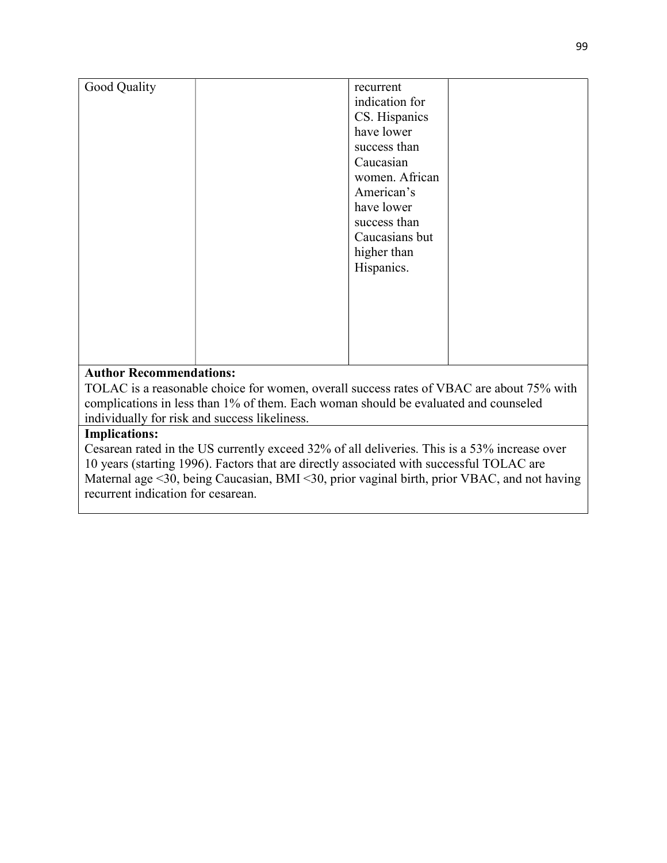| Good Quality                   | recurrent      |
|--------------------------------|----------------|
|                                | indication for |
|                                | CS. Hispanics  |
|                                | have lower     |
|                                | success than   |
|                                | Caucasian      |
|                                | women. African |
|                                | American's     |
|                                | have lower     |
|                                | success than   |
|                                | Caucasians but |
|                                | higher than    |
|                                | Hispanics.     |
|                                |                |
|                                |                |
|                                |                |
|                                |                |
|                                |                |
|                                |                |
| <b>Author Recommendations:</b> |                |

TOLAC is a reasonable choice for women, overall success rates of VBAC are about 75% with complications in less than 1% of them. Each woman should be evaluated and counseled individually for risk and success likeliness.

# Implications:

Cesarean rated in the US currently exceed 32% of all deliveries. This is a 53% increase over 10 years (starting 1996). Factors that are directly associated with successful TOLAC are Maternal age <30, being Caucasian, BMI <30, prior vaginal birth, prior VBAC, and not having recurrent indication for cesarean.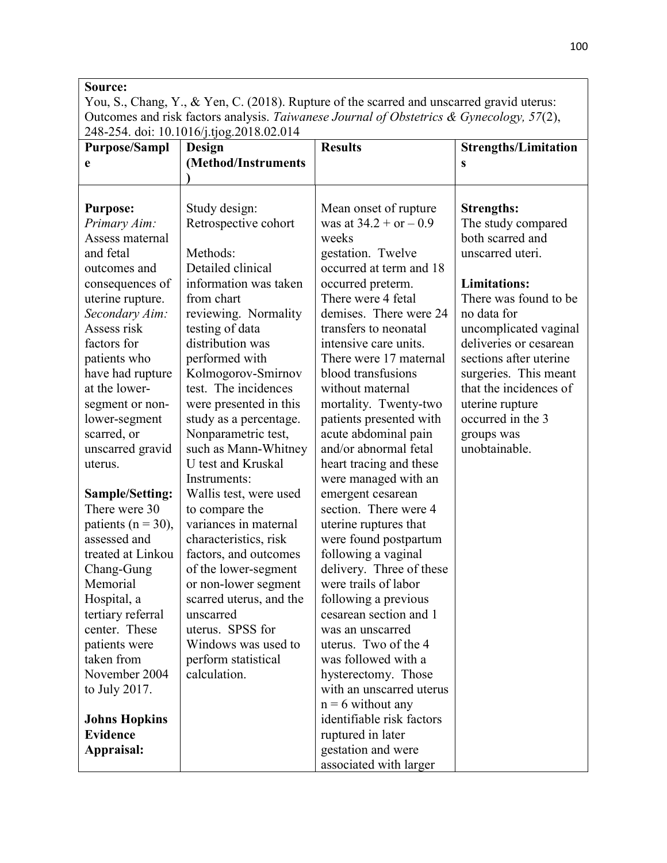| Source:                                                                                     |
|---------------------------------------------------------------------------------------------|
| You, S., Chang, Y., & Yen, C. (2018). Rupture of the scarred and unscarred gravid uterus:   |
| Outcomes and risk factors analysis. Taiwanese Journal of Obstetrics & Gynecology, $57(2)$ , |
| 248-254. doi: 10.1016/j.tjog.2018.02.014                                                    |

| <b>Purpose/Sampl</b>   | Design                  | <b>Results</b>            | <b>Strengths/Limitation</b> |
|------------------------|-------------------------|---------------------------|-----------------------------|
| e                      | (Method/Instruments     |                           | S                           |
|                        |                         |                           |                             |
|                        |                         |                           |                             |
| <b>Purpose:</b>        | Study design:           | Mean onset of rupture     | <b>Strengths:</b>           |
| Primary Aim:           | Retrospective cohort    | was at $34.2 + or - 0.9$  | The study compared          |
| Assess maternal        |                         | weeks                     | both scarred and            |
| and fetal              | Methods:                | gestation. Twelve         | unscarred uteri.            |
| outcomes and           | Detailed clinical       | occurred at term and 18   |                             |
| consequences of        | information was taken   | occurred preterm.         | <b>Limitations:</b>         |
| uterine rupture.       | from chart              | There were 4 fetal        | There was found to be       |
| Secondary Aim:         | reviewing. Normality    | demises. There were 24    | no data for                 |
| Assess risk            | testing of data         | transfers to neonatal     | uncomplicated vaginal       |
| factors for            | distribution was        | intensive care units.     | deliveries or cesarean      |
| patients who           | performed with          | There were 17 maternal    | sections after uterine      |
| have had rupture       | Kolmogorov-Smirnov      | blood transfusions        | surgeries. This meant       |
| at the lower-          | test. The incidences    | without maternal          | that the incidences of      |
| segment or non-        | were presented in this  | mortality. Twenty-two     | uterine rupture             |
| lower-segment          | study as a percentage.  | patients presented with   | occurred in the 3           |
| scarred, or            | Nonparametric test,     | acute abdominal pain      | groups was                  |
| unscarred gravid       | such as Mann-Whitney    | and/or abnormal fetal     | unobtainable.               |
| uterus.                | U test and Kruskal      | heart tracing and these   |                             |
|                        | Instruments:            | were managed with an      |                             |
| <b>Sample/Setting:</b> | Wallis test, were used  | emergent cesarean         |                             |
| There were 30          | to compare the          | section. There were 4     |                             |
| patients ( $n = 30$ ), | variances in maternal   | uterine ruptures that     |                             |
| assessed and           | characteristics, risk   | were found postpartum     |                             |
| treated at Linkou      | factors, and outcomes   | following a vaginal       |                             |
| Chang-Gung             | of the lower-segment    | delivery. Three of these  |                             |
| Memorial               | or non-lower segment    | were trails of labor      |                             |
| Hospital, a            | scarred uterus, and the | following a previous      |                             |
| tertiary referral      | unscarred               | cesarean section and 1    |                             |
| center. These          | uterus. SPSS for        | was an unscarred          |                             |
| patients were          | Windows was used to     | uterus. Two of the 4      |                             |
| taken from             | perform statistical     | was followed with a       |                             |
| November 2004          | calculation.            | hysterectomy. Those       |                             |
| to July 2017.          |                         | with an unscarred uterus  |                             |
|                        |                         | $n = 6$ without any       |                             |
| <b>Johns Hopkins</b>   |                         | identifiable risk factors |                             |
| <b>Evidence</b>        |                         | ruptured in later         |                             |
| Appraisal:             |                         | gestation and were        |                             |
|                        |                         | associated with larger    |                             |